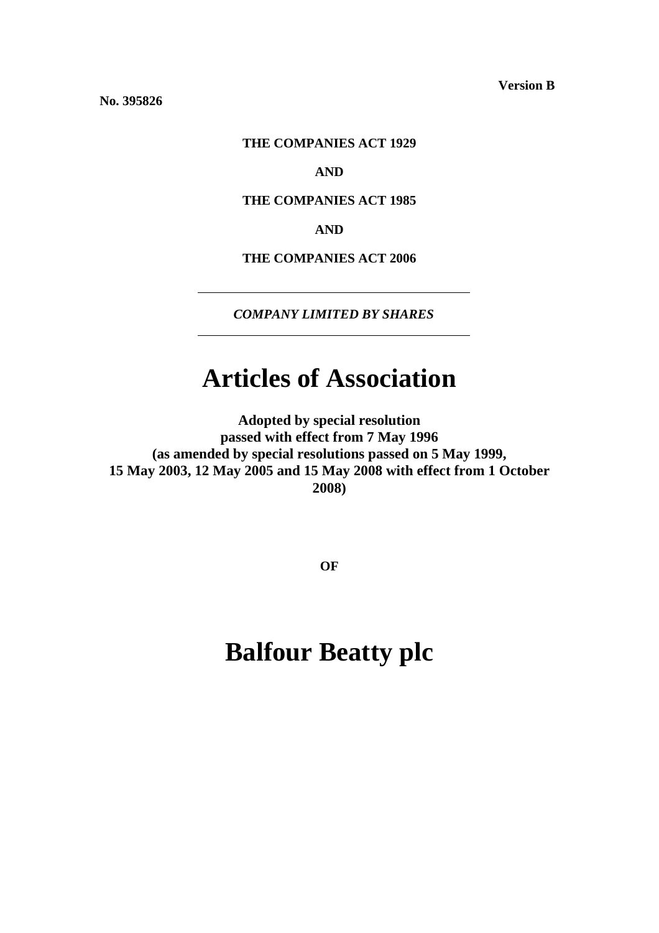**Version B**

**No. 395826** 

## **THE COMPANIES ACT 1929**

# **AND**

# **THE COMPANIES ACT 1985**

## **AND**

**THE COMPANIES ACT 2006** 

*COMPANY LIMITED BY SHARES*

# **Articles of Association**

**Adopted by special resolution passed with effect from 7 May 1996 (as amended by special resolutions passed on 5 May 1999, 15 May 2003, 12 May 2005 and 15 May 2008 with effect from 1 October 2008)**

**OF** 

# **Balfour Beatty plc**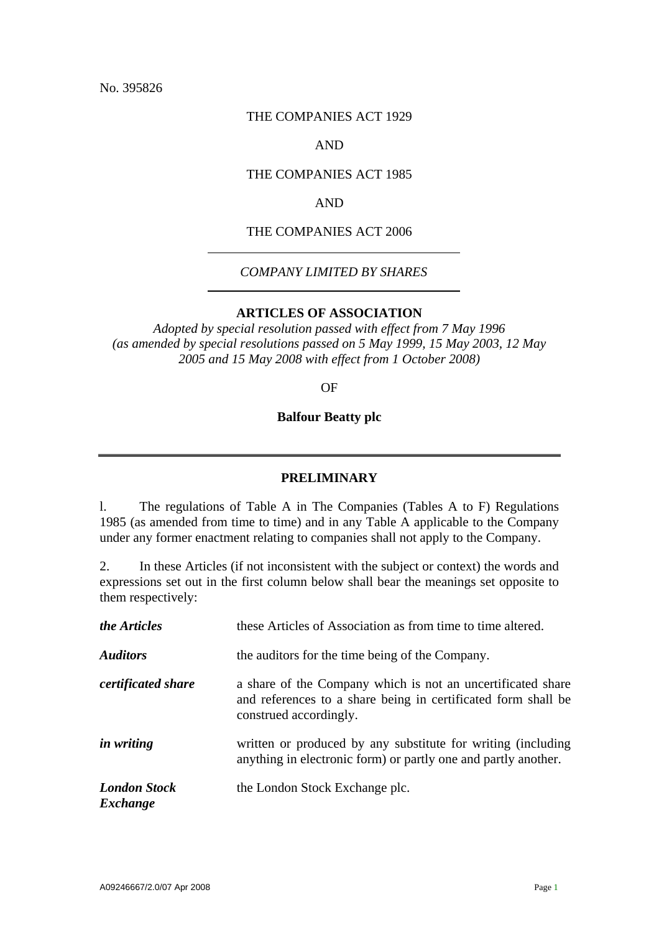No. 395826

## THE COMPANIES ACT 1929

# AND

## THE COMPANIES ACT 1985

## AND

# THE COMPANIES ACT 2006

# *COMPANY LIMITED BY SHARES*

## **ARTICLES OF ASSOCIATION**

*Adopted by special resolution passed with effect from 7 May 1996 (as amended by special resolutions passed on 5 May 1999, 15 May 2003, 12 May 2005 and 15 May 2008 with effect from 1 October 2008)* 

OF

#### **Balfour Beatty plc**

### **PRELIMINARY**

l. The regulations of Table A in The Companies (Tables A to F) Regulations 1985 (as amended from time to time) and in any Table A applicable to the Company under any former enactment relating to companies shall not apply to the Company.

2. In these Articles (if not inconsistent with the subject or context) the words and expressions set out in the first column below shall bear the meanings set opposite to them respectively:

| the Articles                    | these Articles of Association as from time to time altered.                                                                                            |
|---------------------------------|--------------------------------------------------------------------------------------------------------------------------------------------------------|
| <b>Auditors</b>                 | the auditors for the time being of the Company.                                                                                                        |
| <i>certificated share</i>       | a share of the Company which is not an uncertificated share<br>and references to a share being in certificated form shall be<br>construed accordingly. |
| <i>in writing</i>               | written or produced by any substitute for writing (including)<br>anything in electronic form) or partly one and partly another.                        |
| <b>London Stock</b><br>Exchange | the London Stock Exchange plc.                                                                                                                         |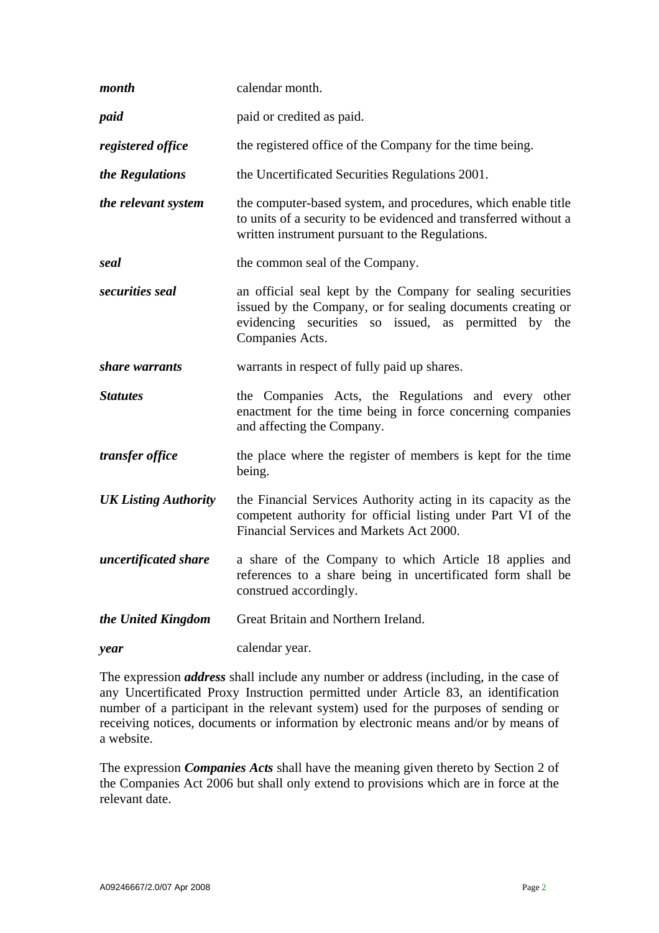| month                       | calendar month.                                                                                                                                                                                       |
|-----------------------------|-------------------------------------------------------------------------------------------------------------------------------------------------------------------------------------------------------|
| paid                        | paid or credited as paid.                                                                                                                                                                             |
| registered office           | the registered office of the Company for the time being.                                                                                                                                              |
| the Regulations             | the Uncertificated Securities Regulations 2001.                                                                                                                                                       |
| the relevant system         | the computer-based system, and procedures, which enable title<br>to units of a security to be evidenced and transferred without a<br>written instrument pursuant to the Regulations.                  |
| seal                        | the common seal of the Company.                                                                                                                                                                       |
| securities seal             | an official seal kept by the Company for sealing securities<br>issued by the Company, or for sealing documents creating or<br>evidencing securities so issued, as permitted by the<br>Companies Acts. |
| share warrants              | warrants in respect of fully paid up shares.                                                                                                                                                          |
| <b>Statutes</b>             | the Companies Acts, the Regulations and every other<br>enactment for the time being in force concerning companies<br>and affecting the Company.                                                       |
| transfer office             | the place where the register of members is kept for the time<br>being.                                                                                                                                |
| <b>UK Listing Authority</b> | the Financial Services Authority acting in its capacity as the<br>competent authority for official listing under Part VI of the<br>Financial Services and Markets Act 2000.                           |
| uncertificated share        | a share of the Company to which Article 18 applies and<br>references to a share being in uncertificated form shall be<br>construed accordingly.                                                       |
| the United Kingdom          | Great Britain and Northern Ireland.                                                                                                                                                                   |
| year                        | calendar year.                                                                                                                                                                                        |

The expression *address* shall include any number or address (including, in the case of any Uncertificated Proxy Instruction permitted under Article 83, an identification number of a participant in the relevant system) used for the purposes of sending or receiving notices, documents or information by electronic means and/or by means of a website.

The expression *Companies Acts* shall have the meaning given thereto by Section 2 of the Companies Act 2006 but shall only extend to provisions which are in force at the relevant date.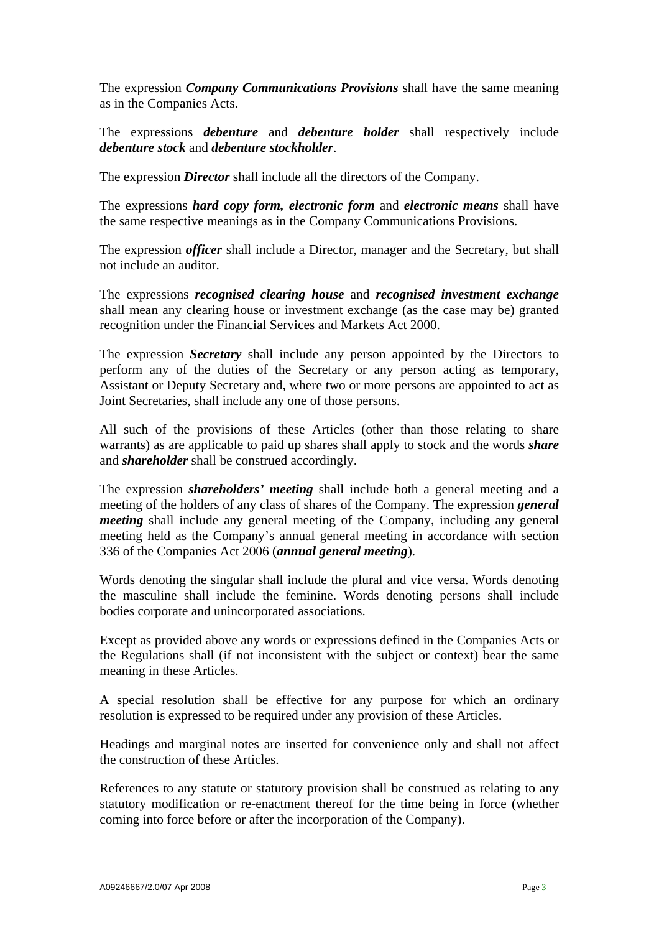The expression *Company Communications Provisions* shall have the same meaning as in the Companies Acts.

The expressions *debenture* and *debenture holder* shall respectively include *debenture stock* and *debenture stockholder*.

The expression *Director* shall include all the directors of the Company.

The expressions *hard copy form, electronic form* and *electronic means* shall have the same respective meanings as in the Company Communications Provisions.

The expression *officer* shall include a Director, manager and the Secretary, but shall not include an auditor.

The expressions *recognised clearing house* and *recognised investment exchange* shall mean any clearing house or investment exchange (as the case may be) granted recognition under the Financial Services and Markets Act 2000.

The expression *Secretary* shall include any person appointed by the Directors to perform any of the duties of the Secretary or any person acting as temporary, Assistant or Deputy Secretary and, where two or more persons are appointed to act as Joint Secretaries, shall include any one of those persons.

All such of the provisions of these Articles (other than those relating to share warrants) as are applicable to paid up shares shall apply to stock and the words *share* and *shareholder* shall be construed accordingly.

The expression *shareholders' meeting* shall include both a general meeting and a meeting of the holders of any class of shares of the Company. The expression *general meeting* shall include any general meeting of the Company, including any general meeting held as the Company's annual general meeting in accordance with section 336 of the Companies Act 2006 (*annual general meeting*).

Words denoting the singular shall include the plural and vice versa. Words denoting the masculine shall include the feminine. Words denoting persons shall include bodies corporate and unincorporated associations.

Except as provided above any words or expressions defined in the Companies Acts or the Regulations shall (if not inconsistent with the subject or context) bear the same meaning in these Articles.

A special resolution shall be effective for any purpose for which an ordinary resolution is expressed to be required under any provision of these Articles.

Headings and marginal notes are inserted for convenience only and shall not affect the construction of these Articles.

References to any statute or statutory provision shall be construed as relating to any statutory modification or re-enactment thereof for the time being in force (whether coming into force before or after the incorporation of the Company).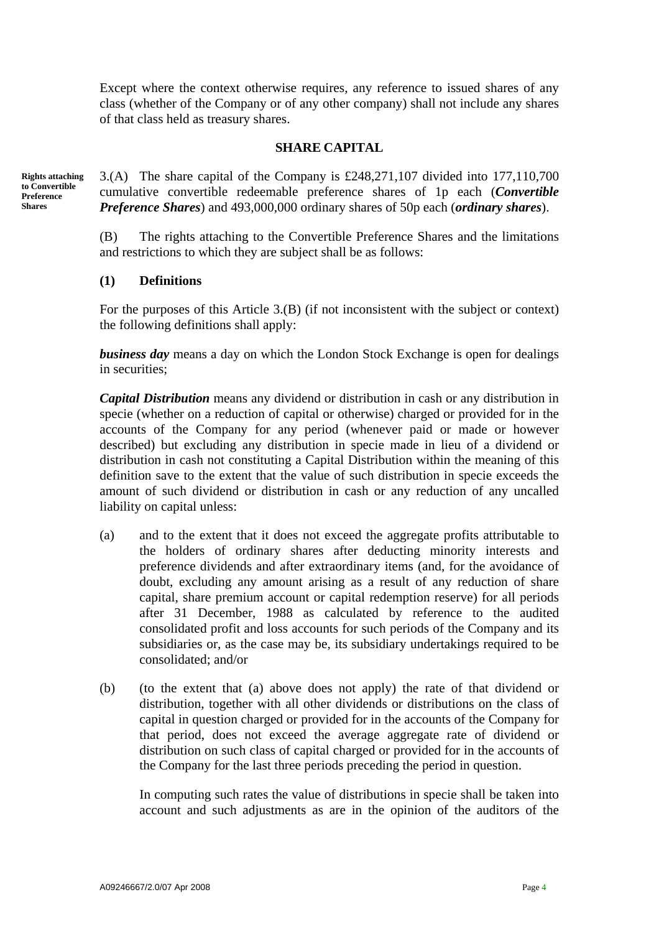Except where the context otherwise requires, any reference to issued shares of any class (whether of the Company or of any other company) shall not include any shares of that class held as treasury shares.

## **SHARE CAPITAL**

**Rights attaching to Convertible Preference Shares** 

3.(A) The share capital of the Company is £248,271,107 divided into 177,110,700 cumulative convertible redeemable preference shares of 1p each (*Convertible Preference Shares*) and 493,000,000 ordinary shares of 50p each (*ordinary shares*).

(B) The rights attaching to the Convertible Preference Shares and the limitations and restrictions to which they are subject shall be as follows:

## **(1) Definitions**

For the purposes of this Article 3.(B) (if not inconsistent with the subject or context) the following definitions shall apply:

*business day* means a day on which the London Stock Exchange is open for dealings in securities;

*Capital Distribution* means any dividend or distribution in cash or any distribution in specie (whether on a reduction of capital or otherwise) charged or provided for in the accounts of the Company for any period (whenever paid or made or however described) but excluding any distribution in specie made in lieu of a dividend or distribution in cash not constituting a Capital Distribution within the meaning of this definition save to the extent that the value of such distribution in specie exceeds the amount of such dividend or distribution in cash or any reduction of any uncalled liability on capital unless:

- (a) and to the extent that it does not exceed the aggregate profits attributable to the holders of ordinary shares after deducting minority interests and preference dividends and after extraordinary items (and, for the avoidance of doubt, excluding any amount arising as a result of any reduction of share capital, share premium account or capital redemption reserve) for all periods after 31 December, 1988 as calculated by reference to the audited consolidated profit and loss accounts for such periods of the Company and its subsidiaries or, as the case may be, its subsidiary undertakings required to be consolidated; and/or
- (b) (to the extent that (a) above does not apply) the rate of that dividend or distribution, together with all other dividends or distributions on the class of capital in question charged or provided for in the accounts of the Company for that period, does not exceed the average aggregate rate of dividend or distribution on such class of capital charged or provided for in the accounts of the Company for the last three periods preceding the period in question.

 In computing such rates the value of distributions in specie shall be taken into account and such adjustments as are in the opinion of the auditors of the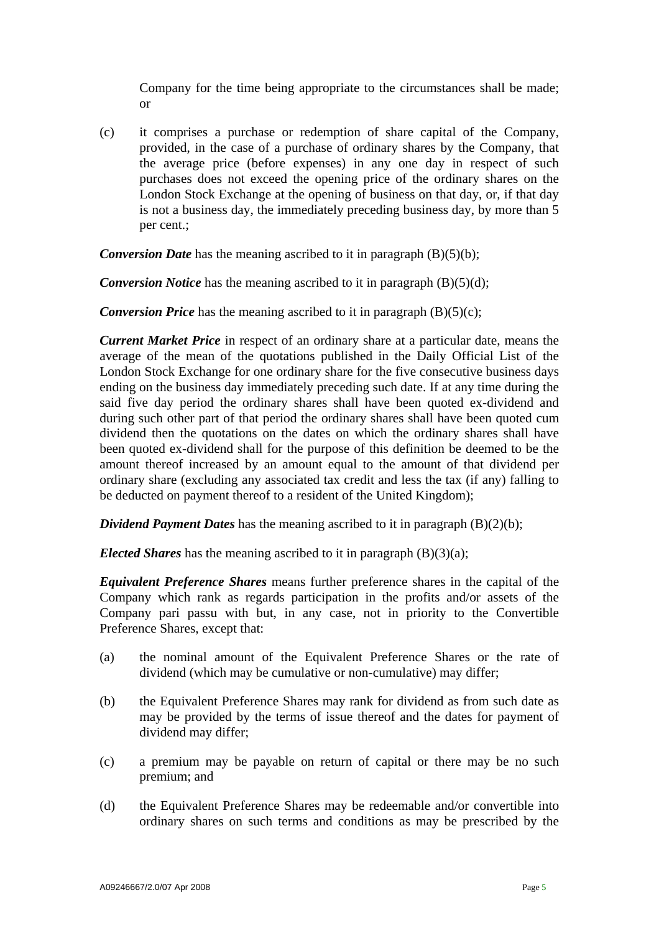Company for the time being appropriate to the circumstances shall be made; or

(c) it comprises a purchase or redemption of share capital of the Company, provided, in the case of a purchase of ordinary shares by the Company, that the average price (before expenses) in any one day in respect of such purchases does not exceed the opening price of the ordinary shares on the London Stock Exchange at the opening of business on that day, or, if that day is not a business day, the immediately preceding business day, by more than 5 per cent.;

*Conversion Date* has the meaning ascribed to it in paragraph (B)(5)(b);

*Conversion Notice* has the meaning ascribed to it in paragraph (B)(5)(d);

*Conversion Price* has the meaning ascribed to it in paragraph (B)(5)(c);

*Current Market Price* in respect of an ordinary share at a particular date, means the average of the mean of the quotations published in the Daily Official List of the London Stock Exchange for one ordinary share for the five consecutive business days ending on the business day immediately preceding such date. If at any time during the said five day period the ordinary shares shall have been quoted ex-dividend and during such other part of that period the ordinary shares shall have been quoted cum dividend then the quotations on the dates on which the ordinary shares shall have been quoted ex-dividend shall for the purpose of this definition be deemed to be the amount thereof increased by an amount equal to the amount of that dividend per ordinary share (excluding any associated tax credit and less the tax (if any) falling to be deducted on payment thereof to a resident of the United Kingdom);

*Dividend Payment Dates* has the meaning ascribed to it in paragraph (B)(2)(b);

*Elected Shares* has the meaning ascribed to it in paragraph (B)(3)(a);

*Equivalent Preference Shares* means further preference shares in the capital of the Company which rank as regards participation in the profits and/or assets of the Company pari passu with but, in any case, not in priority to the Convertible Preference Shares, except that:

- (a) the nominal amount of the Equivalent Preference Shares or the rate of dividend (which may be cumulative or non-cumulative) may differ;
- (b) the Equivalent Preference Shares may rank for dividend as from such date as may be provided by the terms of issue thereof and the dates for payment of dividend may differ;
- (c) a premium may be payable on return of capital or there may be no such premium; and
- (d) the Equivalent Preference Shares may be redeemable and/or convertible into ordinary shares on such terms and conditions as may be prescribed by the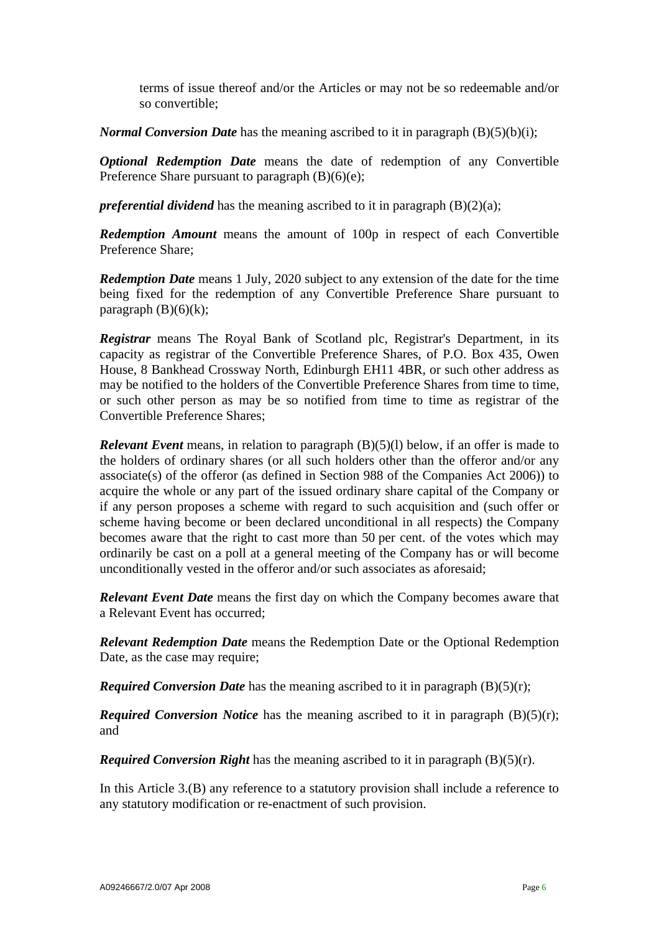terms of issue thereof and/or the Articles or may not be so redeemable and/or so convertible;

*Normal Conversion Date* has the meaning ascribed to it in paragraph (B)(5)(b)(i);

*Optional Redemption Date* means the date of redemption of any Convertible Preference Share pursuant to paragraph  $(B)(6)(e)$ ;

*preferential dividend* has the meaning ascribed to it in paragraph (B)(2)(a);

*Redemption Amount* means the amount of 100p in respect of each Convertible Preference Share;

*Redemption Date* means 1 July, 2020 subject to any extension of the date for the time being fixed for the redemption of any Convertible Preference Share pursuant to paragraph  $(B)(6)(k)$ ;

*Registrar* means The Royal Bank of Scotland plc, Registrar's Department, in its capacity as registrar of the Convertible Preference Shares, of P.O. Box 435, Owen House, 8 Bankhead Crossway North, Edinburgh EH11 4BR, or such other address as may be notified to the holders of the Convertible Preference Shares from time to time, or such other person as may be so notified from time to time as registrar of the Convertible Preference Shares;

*Relevant Event* means, in relation to paragraph (B)(5)(1) below, if an offer is made to the holders of ordinary shares (or all such holders other than the offeror and/or any associate(s) of the offeror (as defined in Section 988 of the Companies Act 2006)) to acquire the whole or any part of the issued ordinary share capital of the Company or if any person proposes a scheme with regard to such acquisition and (such offer or scheme having become or been declared unconditional in all respects) the Company becomes aware that the right to cast more than 50 per cent. of the votes which may ordinarily be cast on a poll at a general meeting of the Company has or will become unconditionally vested in the offeror and/or such associates as aforesaid;

*Relevant Event Date* means the first day on which the Company becomes aware that a Relevant Event has occurred;

*Relevant Redemption Date* means the Redemption Date or the Optional Redemption Date, as the case may require;

*Required Conversion Date* has the meaning ascribed to it in paragraph (B)(5)(r);

*Required Conversion Notice* has the meaning ascribed to it in paragraph (B)(5)(r); and

*Required Conversion Right* has the meaning ascribed to it in paragraph (B)(5)(r).

In this Article 3.(B) any reference to a statutory provision shall include a reference to any statutory modification or re-enactment of such provision.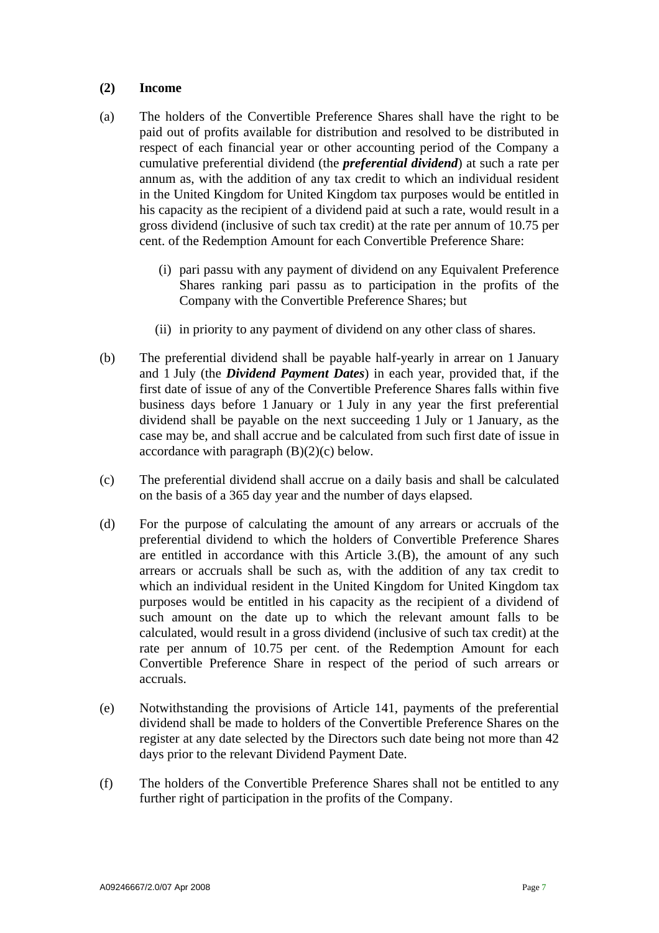# **(2) Income**

- (a) The holders of the Convertible Preference Shares shall have the right to be paid out of profits available for distribution and resolved to be distributed in respect of each financial year or other accounting period of the Company a cumulative preferential dividend (the *preferential dividend*) at such a rate per annum as, with the addition of any tax credit to which an individual resident in the United Kingdom for United Kingdom tax purposes would be entitled in his capacity as the recipient of a dividend paid at such a rate, would result in a gross dividend (inclusive of such tax credit) at the rate per annum of 10.75 per cent. of the Redemption Amount for each Convertible Preference Share:
	- (i) pari passu with any payment of dividend on any Equivalent Preference Shares ranking pari passu as to participation in the profits of the Company with the Convertible Preference Shares; but
	- (ii) in priority to any payment of dividend on any other class of shares.
- (b) The preferential dividend shall be payable half-yearly in arrear on 1 January and 1 July (the *Dividend Payment Dates*) in each year, provided that, if the first date of issue of any of the Convertible Preference Shares falls within five business days before 1 January or 1 July in any year the first preferential dividend shall be payable on the next succeeding 1 July or 1 January, as the case may be, and shall accrue and be calculated from such first date of issue in accordance with paragraph  $(B)(2)(c)$  below.
- (c) The preferential dividend shall accrue on a daily basis and shall be calculated on the basis of a 365 day year and the number of days elapsed.
- (d) For the purpose of calculating the amount of any arrears or accruals of the preferential dividend to which the holders of Convertible Preference Shares are entitled in accordance with this Article 3.(B), the amount of any such arrears or accruals shall be such as, with the addition of any tax credit to which an individual resident in the United Kingdom for United Kingdom tax purposes would be entitled in his capacity as the recipient of a dividend of such amount on the date up to which the relevant amount falls to be calculated, would result in a gross dividend (inclusive of such tax credit) at the rate per annum of 10.75 per cent. of the Redemption Amount for each Convertible Preference Share in respect of the period of such arrears or accruals.
- (e) Notwithstanding the provisions of Article 141, payments of the preferential dividend shall be made to holders of the Convertible Preference Shares on the register at any date selected by the Directors such date being not more than 42 days prior to the relevant Dividend Payment Date.
- (f) The holders of the Convertible Preference Shares shall not be entitled to any further right of participation in the profits of the Company.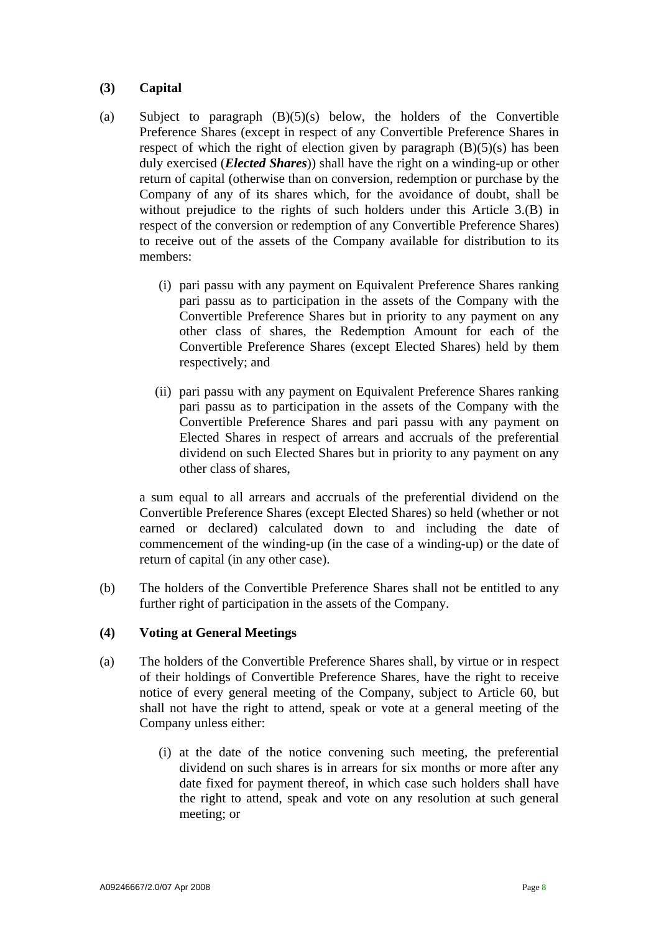# **(3) Capital**

- (a) Subject to paragraph (B)(5)(s) below, the holders of the Convertible Preference Shares (except in respect of any Convertible Preference Shares in respect of which the right of election given by paragraph  $(B)(5)(s)$  has been duly exercised (*Elected Shares*)) shall have the right on a winding-up or other return of capital (otherwise than on conversion, redemption or purchase by the Company of any of its shares which, for the avoidance of doubt, shall be without prejudice to the rights of such holders under this Article 3.(B) in respect of the conversion or redemption of any Convertible Preference Shares) to receive out of the assets of the Company available for distribution to its members:
	- (i) pari passu with any payment on Equivalent Preference Shares ranking pari passu as to participation in the assets of the Company with the Convertible Preference Shares but in priority to any payment on any other class of shares, the Redemption Amount for each of the Convertible Preference Shares (except Elected Shares) held by them respectively; and
	- (ii) pari passu with any payment on Equivalent Preference Shares ranking pari passu as to participation in the assets of the Company with the Convertible Preference Shares and pari passu with any payment on Elected Shares in respect of arrears and accruals of the preferential dividend on such Elected Shares but in priority to any payment on any other class of shares,

 a sum equal to all arrears and accruals of the preferential dividend on the Convertible Preference Shares (except Elected Shares) so held (whether or not earned or declared) calculated down to and including the date of commencement of the winding-up (in the case of a winding-up) or the date of return of capital (in any other case).

(b) The holders of the Convertible Preference Shares shall not be entitled to any further right of participation in the assets of the Company.

# **(4) Voting at General Meetings**

- (a) The holders of the Convertible Preference Shares shall, by virtue or in respect of their holdings of Convertible Preference Shares, have the right to receive notice of every general meeting of the Company, subject to Article 60, but shall not have the right to attend, speak or vote at a general meeting of the Company unless either:
	- (i) at the date of the notice convening such meeting, the preferential dividend on such shares is in arrears for six months or more after any date fixed for payment thereof, in which case such holders shall have the right to attend, speak and vote on any resolution at such general meeting; or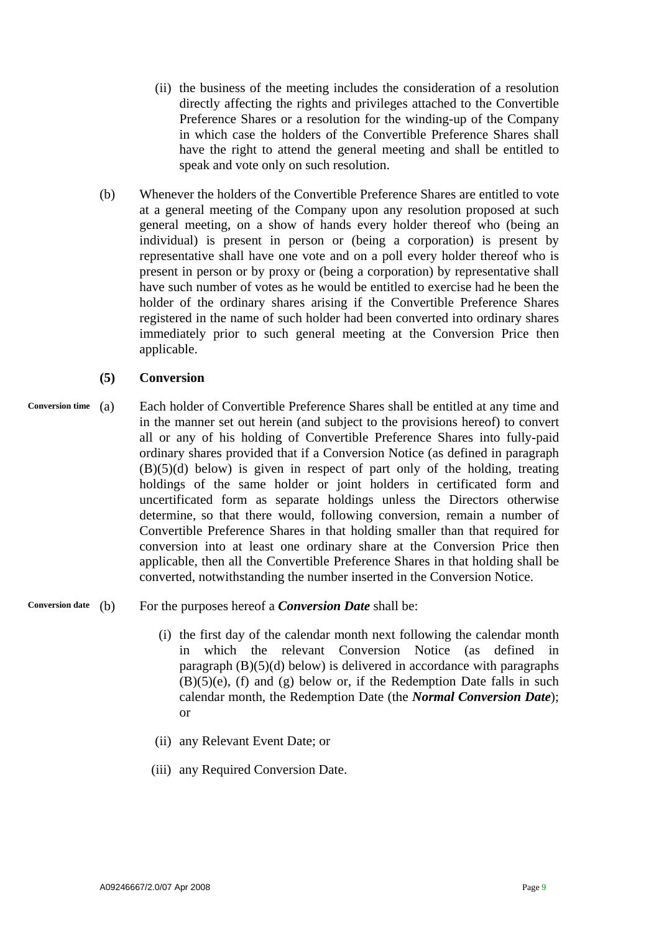- (ii) the business of the meeting includes the consideration of a resolution directly affecting the rights and privileges attached to the Convertible Preference Shares or a resolution for the winding-up of the Company in which case the holders of the Convertible Preference Shares shall have the right to attend the general meeting and shall be entitled to speak and vote only on such resolution.
- (b) Whenever the holders of the Convertible Preference Shares are entitled to vote at a general meeting of the Company upon any resolution proposed at such general meeting, on a show of hands every holder thereof who (being an individual) is present in person or (being a corporation) is present by representative shall have one vote and on a poll every holder thereof who is present in person or by proxy or (being a corporation) by representative shall have such number of votes as he would be entitled to exercise had he been the holder of the ordinary shares arising if the Convertible Preference Shares registered in the name of such holder had been converted into ordinary shares immediately prior to such general meeting at the Conversion Price then applicable.

# **(5) Conversion**

(a) Each holder of Convertible Preference Shares shall be entitled at any time and in the manner set out herein (and subject to the provisions hereof) to convert all or any of his holding of Convertible Preference Shares into fully-paid ordinary shares provided that if a Conversion Notice (as defined in paragraph (B)(5)(d) below) is given in respect of part only of the holding, treating holdings of the same holder or joint holders in certificated form and uncertificated form as separate holdings unless the Directors otherwise determine, so that there would, following conversion, remain a number of Convertible Preference Shares in that holding smaller than that required for conversion into at least one ordinary share at the Conversion Price then applicable, then all the Convertible Preference Shares in that holding shall be converted, notwithstanding the number inserted in the Conversion Notice. **Conversion time** 

# **Conversion date** (b) For the purposes hereof a *Conversion Date* shall be:

- (i) the first day of the calendar month next following the calendar month in which the relevant Conversion Notice (as defined in paragraph  $(B)(5)(d)$  below) is delivered in accordance with paragraphs  $(B)(5)(e)$ , (f) and (g) below or, if the Redemption Date falls in such calendar month, the Redemption Date (the *Normal Conversion Date*); or
- (ii) any Relevant Event Date; or
- (iii) any Required Conversion Date.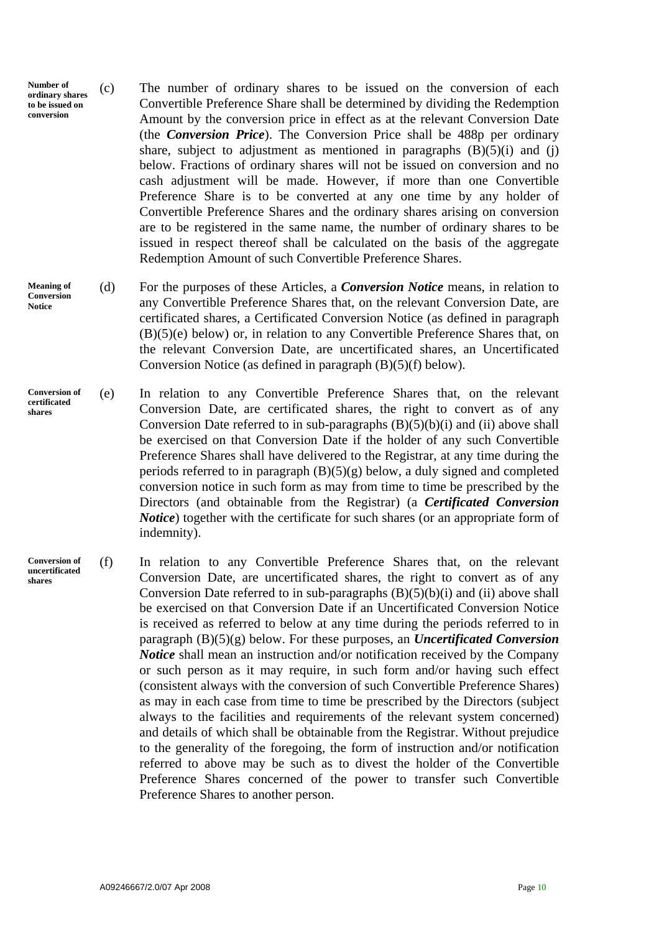- **Number of ordinary shares to be issued on conversion**  (c) The number of ordinary shares to be issued on the conversion of each Convertible Preference Share shall be determined by dividing the Redemption Amount by the conversion price in effect as at the relevant Conversion Date (the *Conversion Price*). The Conversion Price shall be 488p per ordinary share, subject to adjustment as mentioned in paragraphs  $(B)(5)(i)$  and  $(i)$ below. Fractions of ordinary shares will not be issued on conversion and no cash adjustment will be made. However, if more than one Convertible Preference Share is to be converted at any one time by any holder of Convertible Preference Shares and the ordinary shares arising on conversion are to be registered in the same name, the number of ordinary shares to be issued in respect thereof shall be calculated on the basis of the aggregate Redemption Amount of such Convertible Preference Shares.
- (d) For the purposes of these Articles, a *Conversion Notice* means, in relation to any Convertible Preference Shares that, on the relevant Conversion Date, are certificated shares, a Certificated Conversion Notice (as defined in paragraph (B)(5)(e) below) or, in relation to any Convertible Preference Shares that, on the relevant Conversion Date, are uncertificated shares, an Uncertificated Conversion Notice (as defined in paragraph (B)(5)(f) below). **Meaning of Conversion Notice**
- (e) In relation to any Convertible Preference Shares that, on the relevant Conversion Date, are certificated shares, the right to convert as of any Conversion Date referred to in sub-paragraphs  $(B)(5)(b)(i)$  and (ii) above shall be exercised on that Conversion Date if the holder of any such Convertible Preference Shares shall have delivered to the Registrar, at any time during the periods referred to in paragraph  $(B)(5)(g)$  below, a duly signed and completed conversion notice in such form as may from time to time be prescribed by the Directors (and obtainable from the Registrar) (a *Certificated Conversion Notice*) together with the certificate for such shares (or an appropriate form of indemnity). **Conversion of certificated shares**

referred to above may be such as to divest the holder of the Convertible Preference Shares concerned of the power to transfer such Convertible

(f) In relation to any Convertible Preference Shares that, on the relevant Conversion Date, are uncertificated shares, the right to convert as of any Conversion Date referred to in sub-paragraphs  $(B)(5)(b)(i)$  and (ii) above shall be exercised on that Conversion Date if an Uncertificated Conversion Notice is received as referred to below at any time during the periods referred to in paragraph (B)(5)(g) below. For these purposes, an *Uncertificated Conversion Notice* shall mean an instruction and/or notification received by the Company or such person as it may require, in such form and/or having such effect (consistent always with the conversion of such Convertible Preference Shares) as may in each case from time to time be prescribed by the Directors (subject always to the facilities and requirements of the relevant system concerned) and details of which shall be obtainable from the Registrar. Without prejudice to the generality of the foregoing, the form of instruction and/or notification **Conversion of uncertificated shares** 

Preference Shares to another person.

A09246667/2.0/07 Apr 2008 Page 10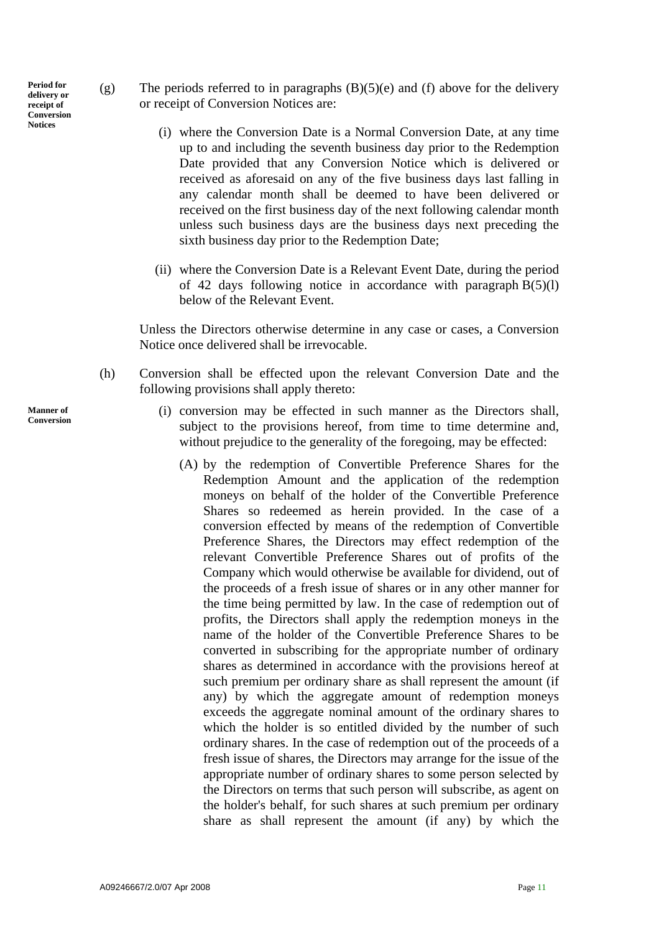**Period for delivery or receipt of Conversion Notices** 

- (g) The periods referred to in paragraphs  $(B)(5)(e)$  and  $(f)$  above for the delivery or receipt of Conversion Notices are:
	- (i) where the Conversion Date is a Normal Conversion Date, at any time up to and including the seventh business day prior to the Redemption Date provided that any Conversion Notice which is delivered or received as aforesaid on any of the five business days last falling in any calendar month shall be deemed to have been delivered or received on the first business day of the next following calendar month unless such business days are the business days next preceding the sixth business day prior to the Redemption Date;
	- (ii) where the Conversion Date is a Relevant Event Date, during the period of 42 days following notice in accordance with paragraph  $B(5)(l)$ below of the Relevant Event.

 Unless the Directors otherwise determine in any case or cases, a Conversion Notice once delivered shall be irrevocable.

- (h) Conversion shall be effected upon the relevant Conversion Date and the following provisions shall apply thereto:
	- (i) conversion may be effected in such manner as the Directors shall, subject to the provisions hereof, from time to time determine and, without prejudice to the generality of the foregoing, may be effected:
		- (A) by the redemption of Convertible Preference Shares for the Redemption Amount and the application of the redemption moneys on behalf of the holder of the Convertible Preference Shares so redeemed as herein provided. In the case of a conversion effected by means of the redemption of Convertible Preference Shares, the Directors may effect redemption of the relevant Convertible Preference Shares out of profits of the Company which would otherwise be available for dividend, out of the proceeds of a fresh issue of shares or in any other manner for the time being permitted by law. In the case of redemption out of profits, the Directors shall apply the redemption moneys in the name of the holder of the Convertible Preference Shares to be converted in subscribing for the appropriate number of ordinary shares as determined in accordance with the provisions hereof at such premium per ordinary share as shall represent the amount (if any) by which the aggregate amount of redemption moneys exceeds the aggregate nominal amount of the ordinary shares to which the holder is so entitled divided by the number of such ordinary shares. In the case of redemption out of the proceeds of a fresh issue of shares, the Directors may arrange for the issue of the appropriate number of ordinary shares to some person selected by the Directors on terms that such person will subscribe, as agent on the holder's behalf, for such shares at such premium per ordinary share as shall represent the amount (if any) by which the

**Manner of Conversion**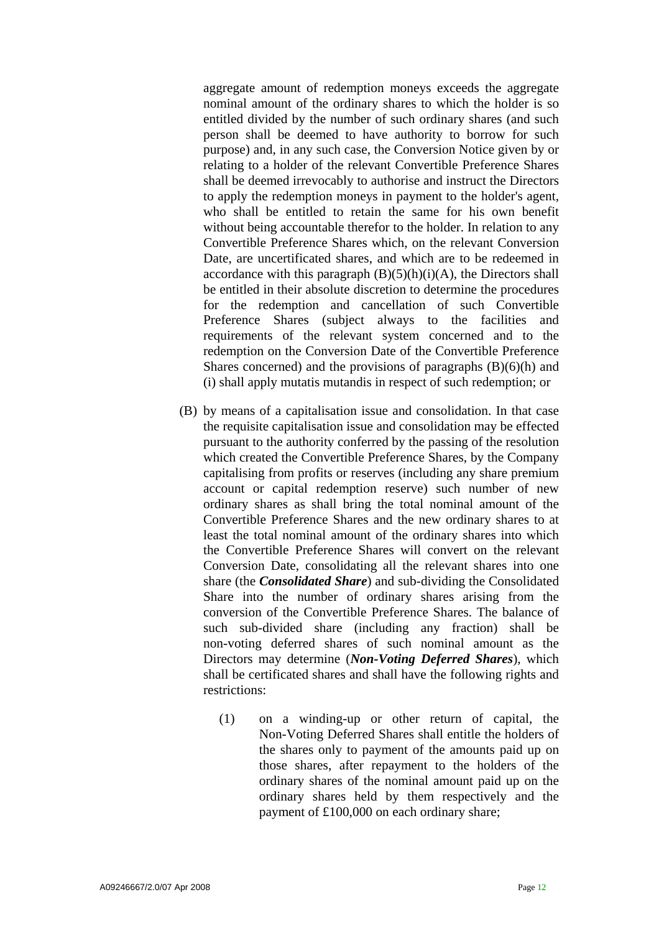aggregate amount of redemption moneys exceeds the aggregate nominal amount of the ordinary shares to which the holder is so entitled divided by the number of such ordinary shares (and such person shall be deemed to have authority to borrow for such purpose) and, in any such case, the Conversion Notice given by or relating to a holder of the relevant Convertible Preference Shares shall be deemed irrevocably to authorise and instruct the Directors to apply the redemption moneys in payment to the holder's agent, who shall be entitled to retain the same for his own benefit without being accountable therefor to the holder. In relation to any Convertible Preference Shares which, on the relevant Conversion Date, are uncertificated shares, and which are to be redeemed in accordance with this paragraph  $(B)(5)(h)(i)(A)$ , the Directors shall be entitled in their absolute discretion to determine the procedures for the redemption and cancellation of such Convertible Preference Shares (subject always to the facilities and requirements of the relevant system concerned and to the redemption on the Conversion Date of the Convertible Preference Shares concerned) and the provisions of paragraphs  $(B)(6)(h)$  and (i) shall apply mutatis mutandis in respect of such redemption; or

- (B) by means of a capitalisation issue and consolidation. In that case the requisite capitalisation issue and consolidation may be effected pursuant to the authority conferred by the passing of the resolution which created the Convertible Preference Shares, by the Company capitalising from profits or reserves (including any share premium account or capital redemption reserve) such number of new ordinary shares as shall bring the total nominal amount of the Convertible Preference Shares and the new ordinary shares to at least the total nominal amount of the ordinary shares into which the Convertible Preference Shares will convert on the relevant Conversion Date, consolidating all the relevant shares into one share (the *Consolidated Share*) and sub-dividing the Consolidated Share into the number of ordinary shares arising from the conversion of the Convertible Preference Shares. The balance of such sub-divided share (including any fraction) shall be non-voting deferred shares of such nominal amount as the Directors may determine (*Non-Voting Deferred Shares*), which shall be certificated shares and shall have the following rights and restrictions:
	- (1) on a winding-up or other return of capital, the Non-Voting Deferred Shares shall entitle the holders of the shares only to payment of the amounts paid up on those shares, after repayment to the holders of the ordinary shares of the nominal amount paid up on the ordinary shares held by them respectively and the payment of £100,000 on each ordinary share;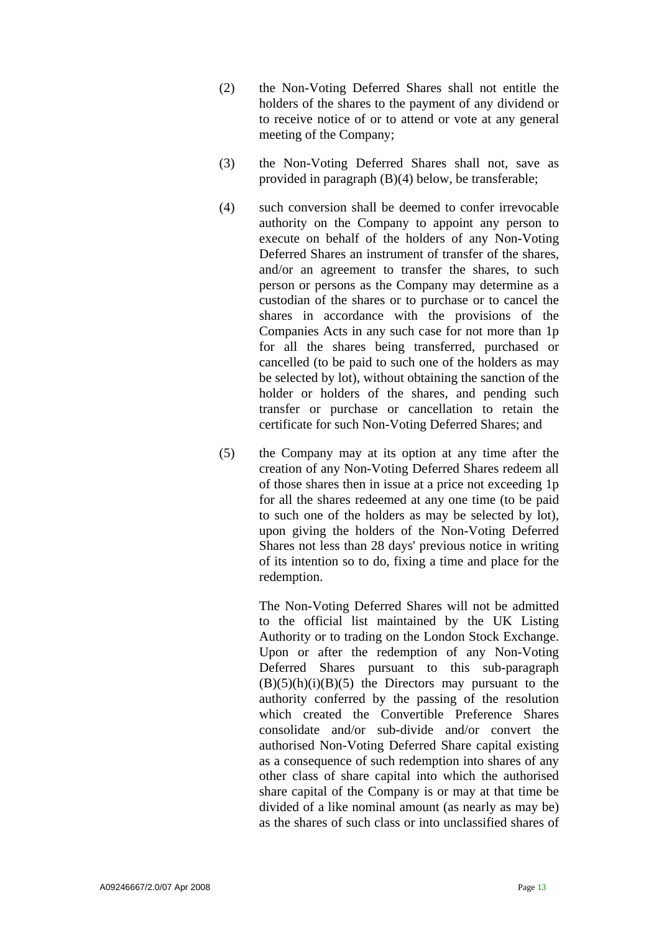- (2) the Non-Voting Deferred Shares shall not entitle the holders of the shares to the payment of any dividend or to receive notice of or to attend or vote at any general meeting of the Company;
- (3) the Non-Voting Deferred Shares shall not, save as provided in paragraph (B)(4) below, be transferable;
- (4) such conversion shall be deemed to confer irrevocable authority on the Company to appoint any person to execute on behalf of the holders of any Non-Voting Deferred Shares an instrument of transfer of the shares, and/or an agreement to transfer the shares, to such person or persons as the Company may determine as a custodian of the shares or to purchase or to cancel the shares in accordance with the provisions of the Companies Acts in any such case for not more than 1p for all the shares being transferred, purchased or cancelled (to be paid to such one of the holders as may be selected by lot), without obtaining the sanction of the holder or holders of the shares, and pending such transfer or purchase or cancellation to retain the certificate for such Non-Voting Deferred Shares; and
- (5) the Company may at its option at any time after the creation of any Non-Voting Deferred Shares redeem all of those shares then in issue at a price not exceeding 1p for all the shares redeemed at any one time (to be paid to such one of the holders as may be selected by lot), upon giving the holders of the Non-Voting Deferred Shares not less than 28 days' previous notice in writing of its intention so to do, fixing a time and place for the redemption.

The Non-Voting Deferred Shares will not be admitted to the official list maintained by the UK Listing Authority or to trading on the London Stock Exchange. Upon or after the redemption of any Non-Voting Deferred Shares pursuant to this sub-paragraph  $(B)(5)(h)(i)(B)(5)$  the Directors may pursuant to the authority conferred by the passing of the resolution which created the Convertible Preference Shares consolidate and/or sub-divide and/or convert the authorised Non-Voting Deferred Share capital existing as a consequence of such redemption into shares of any other class of share capital into which the authorised share capital of the Company is or may at that time be divided of a like nominal amount (as nearly as may be) as the shares of such class or into unclassified shares of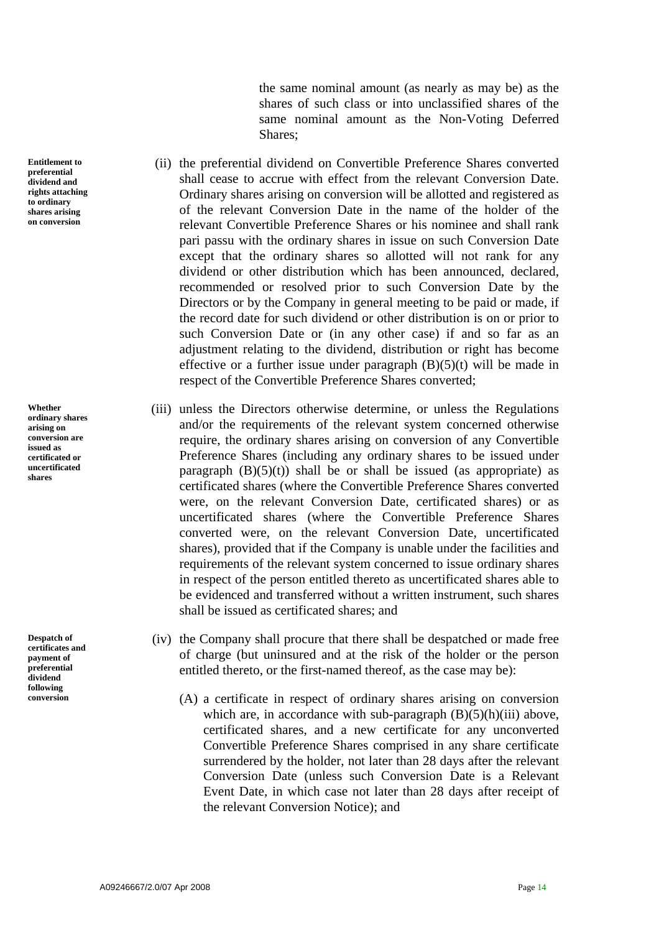the same nominal amount (as nearly as may be) as the shares of such class or into unclassified shares of the same nominal amount as the Non-Voting Deferred Shares;

- (ii) the preferential dividend on Convertible Preference Shares converted shall cease to accrue with effect from the relevant Conversion Date. Ordinary shares arising on conversion will be allotted and registered as of the relevant Conversion Date in the name of the holder of the relevant Convertible Preference Shares or his nominee and shall rank pari passu with the ordinary shares in issue on such Conversion Date except that the ordinary shares so allotted will not rank for any dividend or other distribution which has been announced, declared, recommended or resolved prior to such Conversion Date by the Directors or by the Company in general meeting to be paid or made, if the record date for such dividend or other distribution is on or prior to such Conversion Date or (in any other case) if and so far as an adjustment relating to the dividend, distribution or right has become effective or a further issue under paragraph  $(B)(5)(t)$  will be made in respect of the Convertible Preference Shares converted;
- (iii) unless the Directors otherwise determine, or unless the Regulations and/or the requirements of the relevant system concerned otherwise require, the ordinary shares arising on conversion of any Convertible Preference Shares (including any ordinary shares to be issued under paragraph  $(B)(5)(t)$  shall be or shall be issued (as appropriate) as certificated shares (where the Convertible Preference Shares converted were, on the relevant Conversion Date, certificated shares) or as uncertificated shares (where the Convertible Preference Shares converted were, on the relevant Conversion Date, uncertificated shares), provided that if the Company is unable under the facilities and requirements of the relevant system concerned to issue ordinary shares in respect of the person entitled thereto as uncertificated shares able to be evidenced and transferred without a written instrument, such shares shall be issued as certificated shares; and
- (iv) the Company shall procure that there shall be despatched or made free of charge (but uninsured and at the risk of the holder or the person entitled thereto, or the first-named thereof, as the case may be):
- **conversion** (A) a certificate in respect of ordinary shares arising on conversion which are, in accordance with sub-paragraph  $(B)(5)(h)(iii)$  above, certificated shares, and a new certificate for any unconverted Convertible Preference Shares comprised in any share certificate surrendered by the holder, not later than 28 days after the relevant Conversion Date (unless such Conversion Date is a Relevant Event Date, in which case not later than 28 days after receipt of the relevant Conversion Notice); and

**Entitlement to preferential dividend and rights attaching to ordinary shares arising on conversion** 

**Whether ordinary shares arising on conversion are issued as certificated or uncertificated shares** 

**Despatch of certificates and payment of preferential dividend following**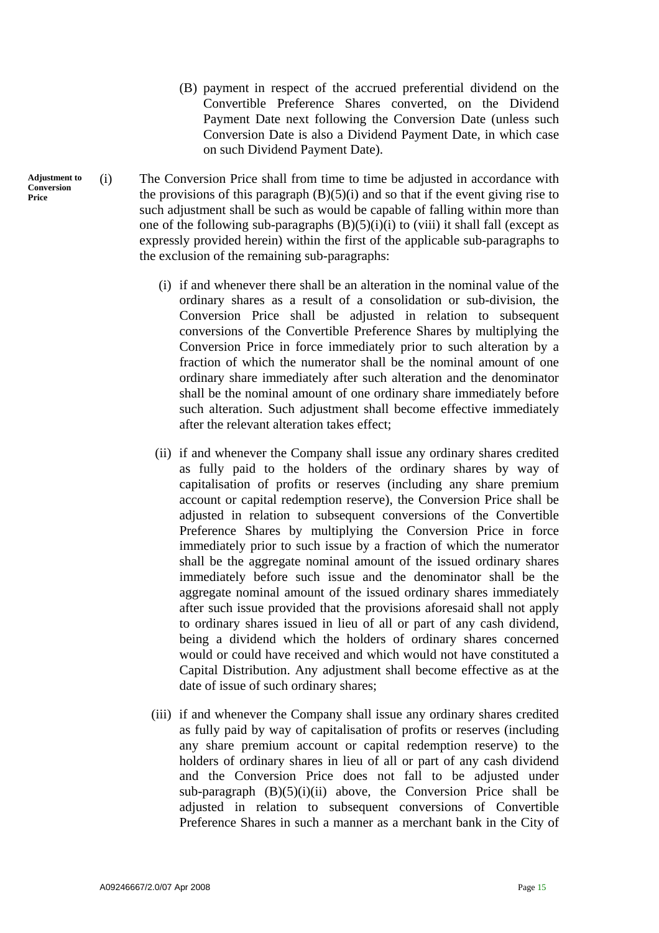- (B) payment in respect of the accrued preferential dividend on the Convertible Preference Shares converted, on the Dividend Payment Date next following the Conversion Date (unless such Conversion Date is also a Dividend Payment Date, in which case on such Dividend Payment Date).
- (i) The Conversion Price shall from time to time be adjusted in accordance with the provisions of this paragraph  $(B)(5)(i)$  and so that if the event giving rise to such adjustment shall be such as would be capable of falling within more than one of the following sub-paragraphs  $(B)(5)(i)(i)$  to (viii) it shall fall (except as expressly provided herein) within the first of the applicable sub-paragraphs to the exclusion of the remaining sub-paragraphs:
	- (i) if and whenever there shall be an alteration in the nominal value of the ordinary shares as a result of a consolidation or sub-division, the Conversion Price shall be adjusted in relation to subsequent conversions of the Convertible Preference Shares by multiplying the Conversion Price in force immediately prior to such alteration by a fraction of which the numerator shall be the nominal amount of one ordinary share immediately after such alteration and the denominator shall be the nominal amount of one ordinary share immediately before such alteration. Such adjustment shall become effective immediately after the relevant alteration takes effect;
	- (ii) if and whenever the Company shall issue any ordinary shares credited as fully paid to the holders of the ordinary shares by way of capitalisation of profits or reserves (including any share premium account or capital redemption reserve), the Conversion Price shall be adjusted in relation to subsequent conversions of the Convertible Preference Shares by multiplying the Conversion Price in force immediately prior to such issue by a fraction of which the numerator shall be the aggregate nominal amount of the issued ordinary shares immediately before such issue and the denominator shall be the aggregate nominal amount of the issued ordinary shares immediately after such issue provided that the provisions aforesaid shall not apply to ordinary shares issued in lieu of all or part of any cash dividend, being a dividend which the holders of ordinary shares concerned would or could have received and which would not have constituted a Capital Distribution. Any adjustment shall become effective as at the date of issue of such ordinary shares;
	- (iii) if and whenever the Company shall issue any ordinary shares credited as fully paid by way of capitalisation of profits or reserves (including any share premium account or capital redemption reserve) to the holders of ordinary shares in lieu of all or part of any cash dividend and the Conversion Price does not fall to be adjusted under sub-paragraph  $(B)(5)(i)(ii)$  above, the Conversion Price shall be adjusted in relation to subsequent conversions of Convertible Preference Shares in such a manner as a merchant bank in the City of

**Adjustment to Conversion Price**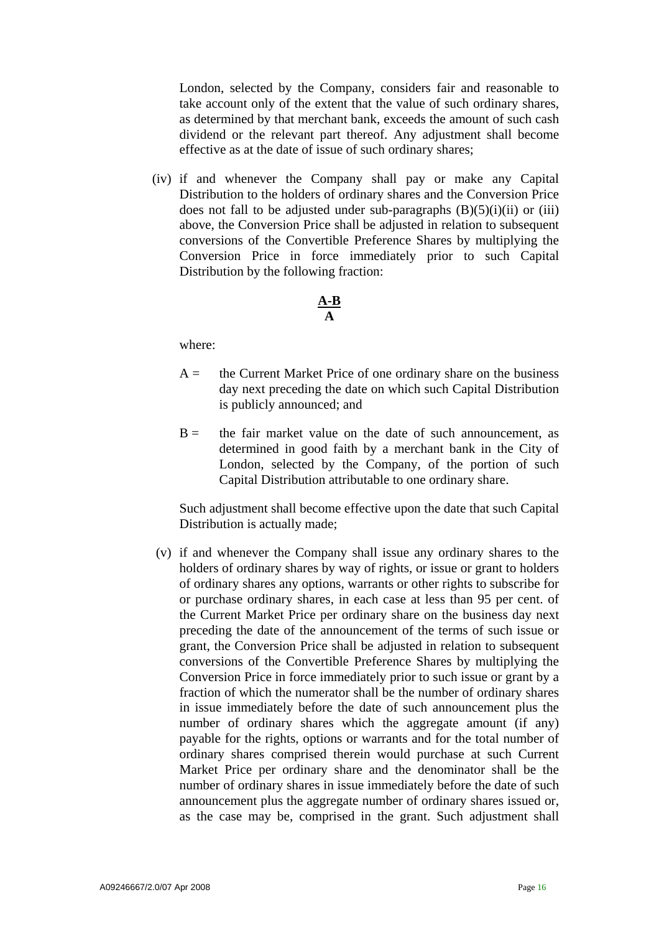London, selected by the Company, considers fair and reasonable to take account only of the extent that the value of such ordinary shares, as determined by that merchant bank, exceeds the amount of such cash dividend or the relevant part thereof. Any adjustment shall become effective as at the date of issue of such ordinary shares;

 (iv) if and whenever the Company shall pay or make any Capital Distribution to the holders of ordinary shares and the Conversion Price does not fall to be adjusted under sub-paragraphs  $(B)(5)(i)(ii)$  or  $(iii)$ above, the Conversion Price shall be adjusted in relation to subsequent conversions of the Convertible Preference Shares by multiplying the Conversion Price in force immediately prior to such Capital Distribution by the following fraction:

## **A-B A**

where:

- $A =$  the Current Market Price of one ordinary share on the business day next preceding the date on which such Capital Distribution is publicly announced; and
- $B =$  the fair market value on the date of such announcement, as determined in good faith by a merchant bank in the City of London, selected by the Company, of the portion of such Capital Distribution attributable to one ordinary share.

 Such adjustment shall become effective upon the date that such Capital Distribution is actually made;

 (v) if and whenever the Company shall issue any ordinary shares to the holders of ordinary shares by way of rights, or issue or grant to holders of ordinary shares any options, warrants or other rights to subscribe for or purchase ordinary shares, in each case at less than 95 per cent. of the Current Market Price per ordinary share on the business day next preceding the date of the announcement of the terms of such issue or grant, the Conversion Price shall be adjusted in relation to subsequent conversions of the Convertible Preference Shares by multiplying the Conversion Price in force immediately prior to such issue or grant by a fraction of which the numerator shall be the number of ordinary shares in issue immediately before the date of such announcement plus the number of ordinary shares which the aggregate amount (if any) payable for the rights, options or warrants and for the total number of ordinary shares comprised therein would purchase at such Current Market Price per ordinary share and the denominator shall be the number of ordinary shares in issue immediately before the date of such announcement plus the aggregate number of ordinary shares issued or, as the case may be, comprised in the grant. Such adjustment shall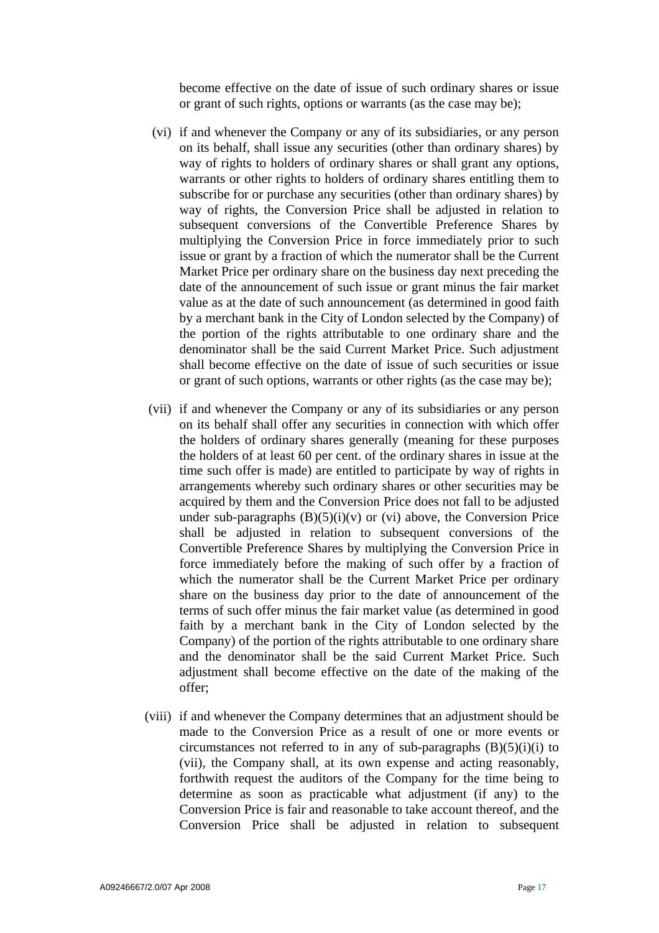become effective on the date of issue of such ordinary shares or issue or grant of such rights, options or warrants (as the case may be);

- (vi) if and whenever the Company or any of its subsidiaries, or any person on its behalf, shall issue any securities (other than ordinary shares) by way of rights to holders of ordinary shares or shall grant any options, warrants or other rights to holders of ordinary shares entitling them to subscribe for or purchase any securities (other than ordinary shares) by way of rights, the Conversion Price shall be adjusted in relation to subsequent conversions of the Convertible Preference Shares by multiplying the Conversion Price in force immediately prior to such issue or grant by a fraction of which the numerator shall be the Current Market Price per ordinary share on the business day next preceding the date of the announcement of such issue or grant minus the fair market value as at the date of such announcement (as determined in good faith by a merchant bank in the City of London selected by the Company) of the portion of the rights attributable to one ordinary share and the denominator shall be the said Current Market Price. Such adjustment shall become effective on the date of issue of such securities or issue or grant of such options, warrants or other rights (as the case may be);
- (vii) if and whenever the Company or any of its subsidiaries or any person on its behalf shall offer any securities in connection with which offer the holders of ordinary shares generally (meaning for these purposes the holders of at least 60 per cent. of the ordinary shares in issue at the time such offer is made) are entitled to participate by way of rights in arrangements whereby such ordinary shares or other securities may be acquired by them and the Conversion Price does not fall to be adjusted under sub-paragraphs  $(B)(5)(i)(v)$  or (vi) above, the Conversion Price shall be adjusted in relation to subsequent conversions of the Convertible Preference Shares by multiplying the Conversion Price in force immediately before the making of such offer by a fraction of which the numerator shall be the Current Market Price per ordinary share on the business day prior to the date of announcement of the terms of such offer minus the fair market value (as determined in good faith by a merchant bank in the City of London selected by the Company) of the portion of the rights attributable to one ordinary share and the denominator shall be the said Current Market Price. Such adjustment shall become effective on the date of the making of the offer;
- (viii) if and whenever the Company determines that an adjustment should be made to the Conversion Price as a result of one or more events or circumstances not referred to in any of sub-paragraphs  $(B)(5)(i)(i)$  to (vii), the Company shall, at its own expense and acting reasonably, forthwith request the auditors of the Company for the time being to determine as soon as practicable what adjustment (if any) to the Conversion Price is fair and reasonable to take account thereof, and the Conversion Price shall be adjusted in relation to subsequent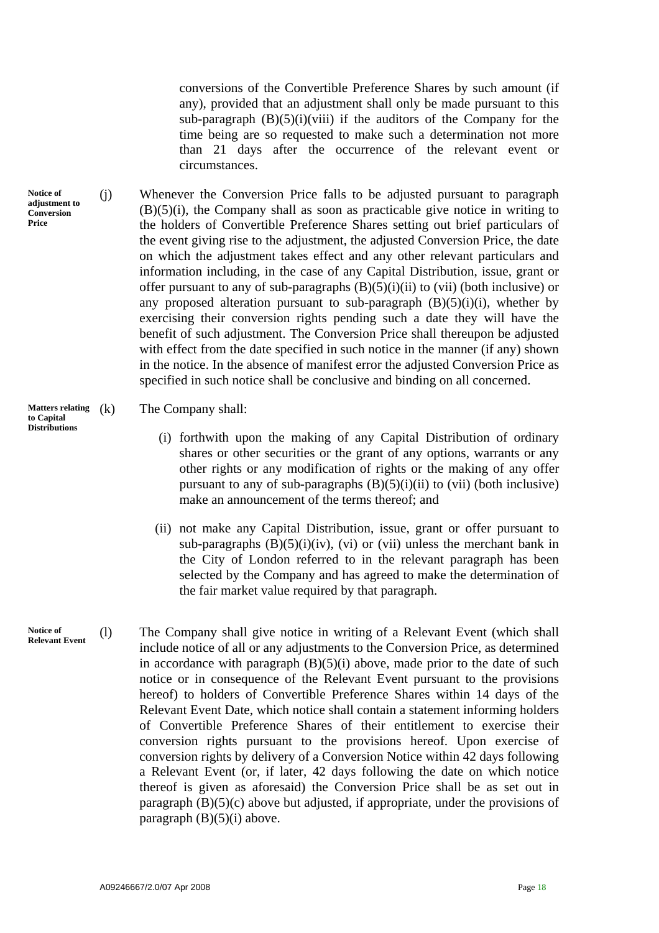conversions of the Convertible Preference Shares by such amount (if any), provided that an adjustment shall only be made pursuant to this sub-paragraph  $(B)(5)(i)(viii)$  if the auditors of the Company for the time being are so requested to make such a determination not more than 21 days after the occurrence of the relevant event or circumstances.

(j) Whenever the Conversion Price falls to be adjusted pursuant to paragraph  $(B)(5)(i)$ , the Company shall as soon as practicable give notice in writing to the holders of Convertible Preference Shares setting out brief particulars of the event giving rise to the adjustment, the adjusted Conversion Price, the date on which the adjustment takes effect and any other relevant particulars and information including, in the case of any Capital Distribution, issue, grant or offer pursuant to any of sub-paragraphs  $(B)(5)(i)(ii)$  to (vii) (both inclusive) or any proposed alteration pursuant to sub-paragraph  $(B)(5)(i)(i)$ , whether by exercising their conversion rights pending such a date they will have the benefit of such adjustment. The Conversion Price shall thereupon be adjusted with effect from the date specified in such notice in the manner (if any) shown in the notice. In the absence of manifest error the adjusted Conversion Price as specified in such notice shall be conclusive and binding on all concerned.

# **Matters relating** (k) The Company shall: **to Capital**

- (i) forthwith upon the making of any Capital Distribution of ordinary shares or other securities or the grant of any options, warrants or any other rights or any modification of rights or the making of any offer pursuant to any of sub-paragraphs  $(B)(5)(i)(ii)$  to (vii) (both inclusive) make an announcement of the terms thereof; and
- (ii) not make any Capital Distribution, issue, grant or offer pursuant to sub-paragraphs  $(B)(5)(i)(iv)$ , (vi) or (vii) unless the merchant bank in the City of London referred to in the relevant paragraph has been selected by the Company and has agreed to make the determination of the fair market value required by that paragraph.
- **Notice of Relevant Event** (l) The Company shall give notice in writing of a Relevant Event (which shall include notice of all or any adjustments to the Conversion Price, as determined in accordance with paragraph  $(B)(5)(i)$  above, made prior to the date of such notice or in consequence of the Relevant Event pursuant to the provisions hereof) to holders of Convertible Preference Shares within 14 days of the Relevant Event Date, which notice shall contain a statement informing holders of Convertible Preference Shares of their entitlement to exercise their conversion rights pursuant to the provisions hereof. Upon exercise of conversion rights by delivery of a Conversion Notice within 42 days following a Relevant Event (or, if later, 42 days following the date on which notice thereof is given as aforesaid) the Conversion Price shall be as set out in paragraph (B)(5)(c) above but adjusted, if appropriate, under the provisions of paragraph  $(B)(5)(i)$  above.

**Notice of adjustment to Conversion Price** 

**Distributions**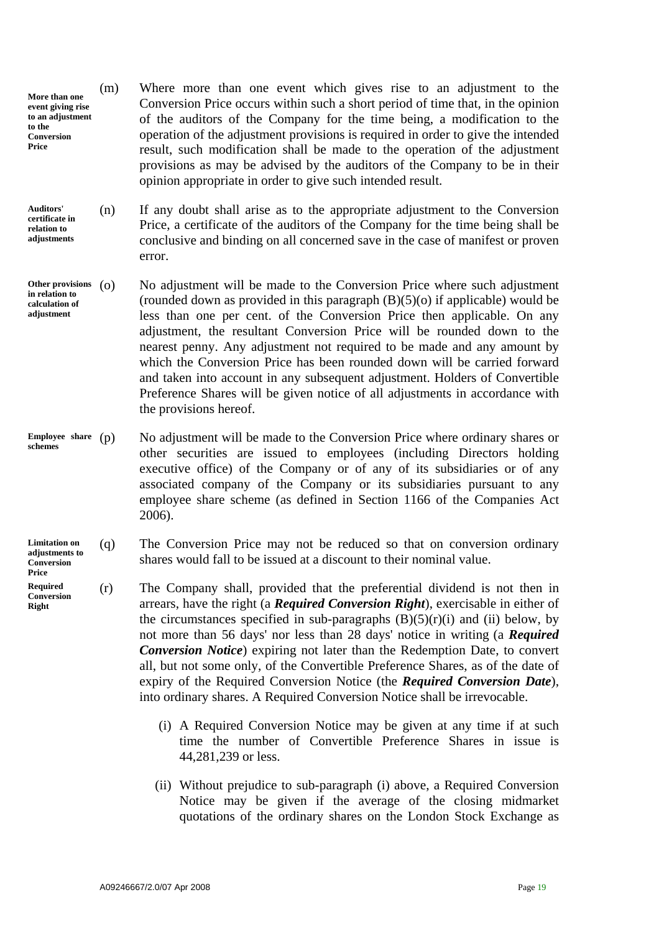- **More than one event giving rise to an adjustment to the Conversion Price**  (m) Where more than one event which gives rise to an adjustment to the Conversion Price occurs within such a short period of time that, in the opinion of the auditors of the Company for the time being, a modification to the operation of the adjustment provisions is required in order to give the intended result, such modification shall be made to the operation of the adjustment provisions as may be advised by the auditors of the Company to be in their opinion appropriate in order to give such intended result.
- (n) If any doubt shall arise as to the appropriate adjustment to the Conversion Price, a certificate of the auditors of the Company for the time being shall be conclusive and binding on all concerned save in the case of manifest or proven error. **Auditors' certificate in relation to adjustments**
- No adjustment will be made to the Conversion Price where such adjustment (rounded down as provided in this paragraph  $(B)(5)(o)$  if applicable) would be less than one per cent. of the Conversion Price then applicable. On any adjustment, the resultant Conversion Price will be rounded down to the nearest penny. Any adjustment not required to be made and any amount by which the Conversion Price has been rounded down will be carried forward and taken into account in any subsequent adjustment. Holders of Convertible Preference Shares will be given notice of all adjustments in accordance with the provisions hereof. Other provisions (O) **in relation to calculation of adjustment**
- No adjustment will be made to the Conversion Price where ordinary shares or other securities are issued to employees (including Directors holding executive office) of the Company or of any of its subsidiaries or of any associated company of the Company or its subsidiaries pursuant to any employee share scheme (as defined in Section 1166 of the Companies Act 2006). **Employee share schemes**
- (q) The Conversion Price may not be reduced so that on conversion ordinary shares would fall to be issued at a discount to their nominal value. **Limitation on adjustments to Conversion**
- (r) The Company shall, provided that the preferential dividend is not then in arrears, have the right (a *Required Conversion Right*), exercisable in either of the circumstances specified in sub-paragraphs  $(B)(5)(r)(i)$  and (ii) below, by not more than 56 days' nor less than 28 days' notice in writing (a *Required Conversion Notice*) expiring not later than the Redemption Date, to convert all, but not some only, of the Convertible Preference Shares, as of the date of expiry of the Required Conversion Notice (the *Required Conversion Date*), into ordinary shares. A Required Conversion Notice shall be irrevocable. **Required Conversion** 
	- (i) A Required Conversion Notice may be given at any time if at such time the number of Convertible Preference Shares in issue is 44,281,239 or less.
	- (ii) Without prejudice to sub-paragraph (i) above, a Required Conversion Notice may be given if the average of the closing midmarket quotations of the ordinary shares on the London Stock Exchange as

**Price** 

**Right**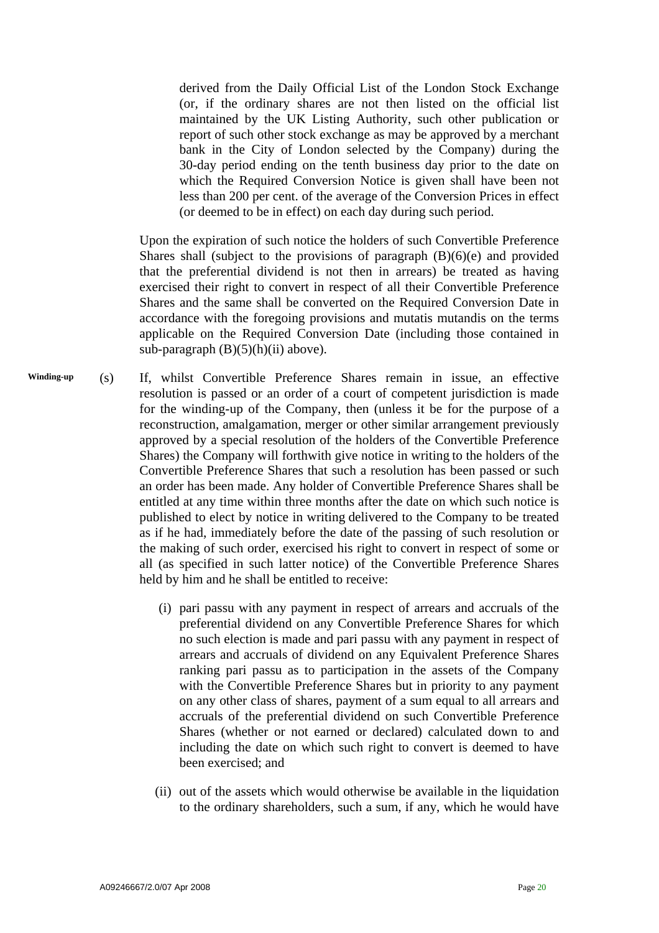derived from the Daily Official List of the London Stock Exchange (or, if the ordinary shares are not then listed on the official list maintained by the UK Listing Authority, such other publication or report of such other stock exchange as may be approved by a merchant bank in the City of London selected by the Company) during the 30-day period ending on the tenth business day prior to the date on which the Required Conversion Notice is given shall have been not less than 200 per cent. of the average of the Conversion Prices in effect (or deemed to be in effect) on each day during such period.

 Upon the expiration of such notice the holders of such Convertible Preference Shares shall (subject to the provisions of paragraph  $(B)(6)(e)$  and provided that the preferential dividend is not then in arrears) be treated as having exercised their right to convert in respect of all their Convertible Preference Shares and the same shall be converted on the Required Conversion Date in accordance with the foregoing provisions and mutatis mutandis on the terms applicable on the Required Conversion Date (including those contained in sub-paragraph  $(B)(5)(h)(ii)$  above).

- (s) If, whilst Convertible Preference Shares remain in issue, an effective resolution is passed or an order of a court of competent jurisdiction is made for the winding-up of the Company, then (unless it be for the purpose of a reconstruction, amalgamation, merger or other similar arrangement previously approved by a special resolution of the holders of the Convertible Preference Shares) the Company will forthwith give notice in writing to the holders of the Convertible Preference Shares that such a resolution has been passed or such an order has been made. Any holder of Convertible Preference Shares shall be entitled at any time within three months after the date on which such notice is published to elect by notice in writing delivered to the Company to be treated as if he had, immediately before the date of the passing of such resolution or the making of such order, exercised his right to convert in respect of some or all (as specified in such latter notice) of the Convertible Preference Shares held by him and he shall be entitled to receive: **Winding-up** 
	- (i) pari passu with any payment in respect of arrears and accruals of the preferential dividend on any Convertible Preference Shares for which no such election is made and pari passu with any payment in respect of arrears and accruals of dividend on any Equivalent Preference Shares ranking pari passu as to participation in the assets of the Company with the Convertible Preference Shares but in priority to any payment on any other class of shares, payment of a sum equal to all arrears and accruals of the preferential dividend on such Convertible Preference Shares (whether or not earned or declared) calculated down to and including the date on which such right to convert is deemed to have been exercised; and
	- (ii) out of the assets which would otherwise be available in the liquidation to the ordinary shareholders, such a sum, if any, which he would have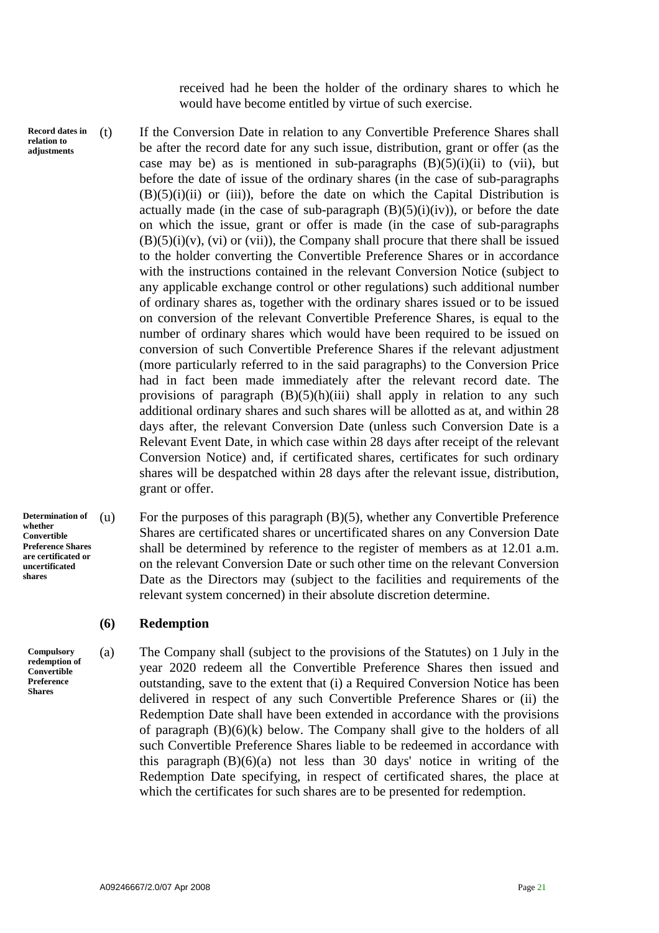received had he been the holder of the ordinary shares to which he would have become entitled by virtue of such exercise.

**Record dates in relation to adjustments** 

(t) If the Conversion Date in relation to any Convertible Preference Shares shall be after the record date for any such issue, distribution, grant or offer (as the case may be) as is mentioned in sub-paragraphs  $(B)(5)(i)(ii)$  to (vii), but before the date of issue of the ordinary shares (in the case of sub-paragraphs  $(B)(5)(i)(ii)$  or (iii)), before the date on which the Capital Distribution is actually made (in the case of sub-paragraph  $(B)(5)(i)(iv)$ ), or before the date on which the issue, grant or offer is made (in the case of sub-paragraphs  $(B)(5)(i)(v)$ ,  $(vi)$  or  $(vii)$ , the Company shall procure that there shall be issued to the holder converting the Convertible Preference Shares or in accordance with the instructions contained in the relevant Conversion Notice (subject to any applicable exchange control or other regulations) such additional number of ordinary shares as, together with the ordinary shares issued or to be issued on conversion of the relevant Convertible Preference Shares, is equal to the number of ordinary shares which would have been required to be issued on conversion of such Convertible Preference Shares if the relevant adjustment (more particularly referred to in the said paragraphs) to the Conversion Price had in fact been made immediately after the relevant record date. The provisions of paragraph  $(B)(5)(h)(iii)$  shall apply in relation to any such additional ordinary shares and such shares will be allotted as at, and within 28 days after, the relevant Conversion Date (unless such Conversion Date is a Relevant Event Date, in which case within 28 days after receipt of the relevant Conversion Notice) and, if certificated shares, certificates for such ordinary shares will be despatched within 28 days after the relevant issue, distribution, grant or offer.

**Determination of whether Convertible Preference Shares are certificated or uncertificated shares** 

**Compulsory redemption of Convertible Preference Shares** 

(u) For the purposes of this paragraph (B)(5), whether any Convertible Preference Shares are certificated shares or uncertificated shares on any Conversion Date shall be determined by reference to the register of members as at 12.01 a.m. on the relevant Conversion Date or such other time on the relevant Conversion Date as the Directors may (subject to the facilities and requirements of the relevant system concerned) in their absolute discretion determine.

# **(6) Redemption**

(a) The Company shall (subject to the provisions of the Statutes) on 1 July in the year 2020 redeem all the Convertible Preference Shares then issued and outstanding, save to the extent that (i) a Required Conversion Notice has been delivered in respect of any such Convertible Preference Shares or (ii) the Redemption Date shall have been extended in accordance with the provisions of paragraph  $(B)(6)(k)$  below. The Company shall give to the holders of all such Convertible Preference Shares liable to be redeemed in accordance with this paragraph  $(B)(6)(a)$  not less than 30 days' notice in writing of the Redemption Date specifying, in respect of certificated shares, the place at which the certificates for such shares are to be presented for redemption.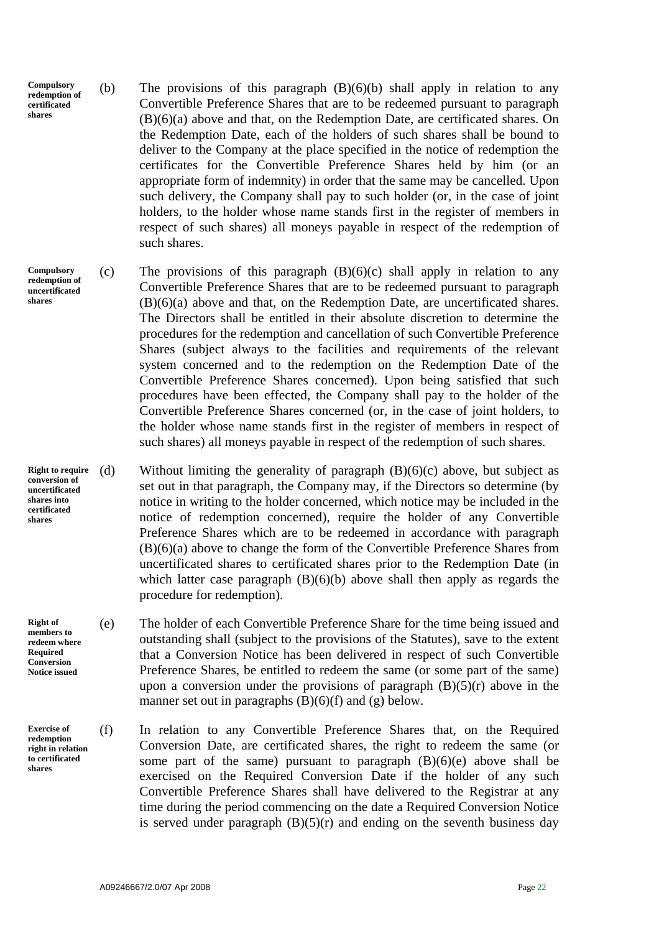- **Compulsory redemption of certificated shares**  (b) The provisions of this paragraph (B)(6)(b) shall apply in relation to any Convertible Preference Shares that are to be redeemed pursuant to paragraph (B)(6)(a) above and that, on the Redemption Date, are certificated shares. On the Redemption Date, each of the holders of such shares shall be bound to deliver to the Company at the place specified in the notice of redemption the certificates for the Convertible Preference Shares held by him (or an appropriate form of indemnity) in order that the same may be cancelled. Upon such delivery, the Company shall pay to such holder (or, in the case of joint holders, to the holder whose name stands first in the register of members in respect of such shares) all moneys payable in respect of the redemption of such shares.
- **Compulsory redemption of uncertificated shares**

- **Right to require conversion of uncertificated shares into certificated shares**
- **Right of members to redeem where Required Conversion Notice issued**

**Exercise of redemption right in relation to certificated shares** 

- (c) The provisions of this paragraph  $(B)(6)(c)$  shall apply in relation to any Convertible Preference Shares that are to be redeemed pursuant to paragraph (B)(6)(a) above and that, on the Redemption Date, are uncertificated shares. The Directors shall be entitled in their absolute discretion to determine the procedures for the redemption and cancellation of such Convertible Preference Shares (subject always to the facilities and requirements of the relevant system concerned and to the redemption on the Redemption Date of the Convertible Preference Shares concerned). Upon being satisfied that such procedures have been effected, the Company shall pay to the holder of the Convertible Preference Shares concerned (or, in the case of joint holders, to the holder whose name stands first in the register of members in respect of such shares) all moneys payable in respect of the redemption of such shares.
- (d) Without limiting the generality of paragraph  $(B)(6)(c)$  above, but subject as set out in that paragraph, the Company may, if the Directors so determine (by notice in writing to the holder concerned, which notice may be included in the notice of redemption concerned), require the holder of any Convertible Preference Shares which are to be redeemed in accordance with paragraph (B)(6)(a) above to change the form of the Convertible Preference Shares from uncertificated shares to certificated shares prior to the Redemption Date (in which latter case paragraph  $(B)(6)(b)$  above shall then apply as regards the procedure for redemption).
- (e) The holder of each Convertible Preference Share for the time being issued and outstanding shall (subject to the provisions of the Statutes), save to the extent that a Conversion Notice has been delivered in respect of such Convertible Preference Shares, be entitled to redeem the same (or some part of the same) upon a conversion under the provisions of paragraph  $(B)(5)(r)$  above in the manner set out in paragraphs  $(B)(6)(f)$  and  $(g)$  below.
- (f) In relation to any Convertible Preference Shares that, on the Required Conversion Date, are certificated shares, the right to redeem the same (or some part of the same) pursuant to paragraph  $(B)(6)(e)$  above shall be exercised on the Required Conversion Date if the holder of any such Convertible Preference Shares shall have delivered to the Registrar at any time during the period commencing on the date a Required Conversion Notice is served under paragraph  $(B)(5)(r)$  and ending on the seventh business day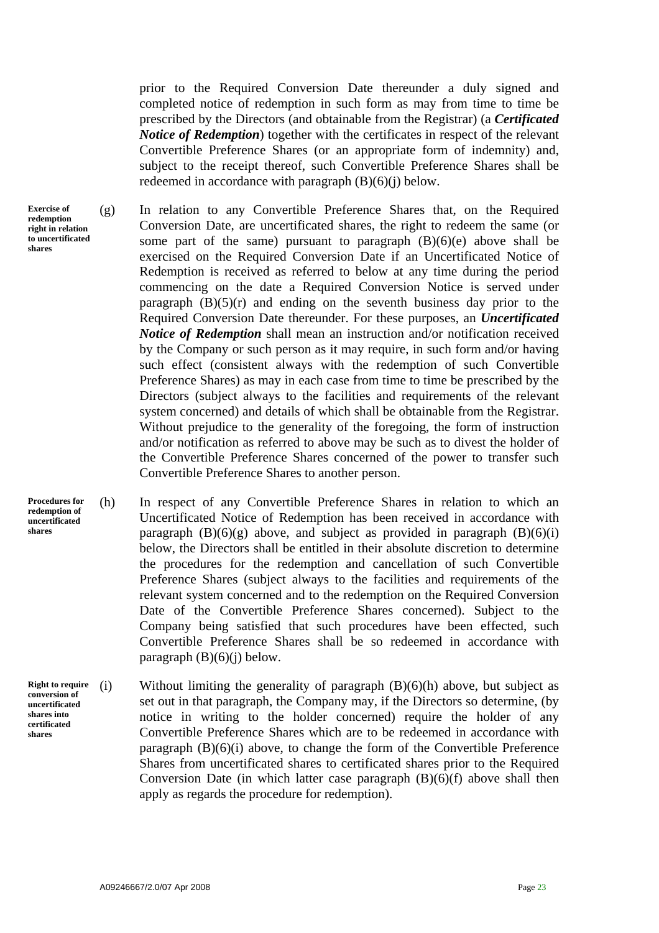prior to the Required Conversion Date thereunder a duly signed and completed notice of redemption in such form as may from time to time be prescribed by the Directors (and obtainable from the Registrar) (a *Certificated Notice of Redemption*) together with the certificates in respect of the relevant Convertible Preference Shares (or an appropriate form of indemnity) and, subject to the receipt thereof, such Convertible Preference Shares shall be redeemed in accordance with paragraph (B)(6)(j) below.

(g) In relation to any Convertible Preference Shares that, on the Required Conversion Date, are uncertificated shares, the right to redeem the same (or some part of the same) pursuant to paragraph  $(B)(6)(e)$  above shall be exercised on the Required Conversion Date if an Uncertificated Notice of Redemption is received as referred to below at any time during the period commencing on the date a Required Conversion Notice is served under paragraph  $(B)(5)(r)$  and ending on the seventh business day prior to the Required Conversion Date thereunder. For these purposes, an *Uncertificated Notice of Redemption* shall mean an instruction and/or notification received by the Company or such person as it may require, in such form and/or having such effect (consistent always with the redemption of such Convertible Preference Shares) as may in each case from time to time be prescribed by the Directors (subject always to the facilities and requirements of the relevant system concerned) and details of which shall be obtainable from the Registrar. Without prejudice to the generality of the foregoing, the form of instruction and/or notification as referred to above may be such as to divest the holder of the Convertible Preference Shares concerned of the power to transfer such Convertible Preference Shares to another person.

(h) In respect of any Convertible Preference Shares in relation to which an Uncertificated Notice of Redemption has been received in accordance with paragraph  $(B)(6)(g)$  above, and subject as provided in paragraph  $(B)(6)(i)$ below, the Directors shall be entitled in their absolute discretion to determine the procedures for the redemption and cancellation of such Convertible Preference Shares (subject always to the facilities and requirements of the relevant system concerned and to the redemption on the Required Conversion Date of the Convertible Preference Shares concerned). Subject to the Company being satisfied that such procedures have been effected, such Convertible Preference Shares shall be so redeemed in accordance with paragraph  $(B)(6)(i)$  below.

(i) Without limiting the generality of paragraph  $(B)(6)(h)$  above, but subject as set out in that paragraph, the Company may, if the Directors so determine, (by notice in writing to the holder concerned) require the holder of any Convertible Preference Shares which are to be redeemed in accordance with paragraph  $(B)(6)(i)$  above, to change the form of the Convertible Preference Shares from uncertificated shares to certificated shares prior to the Required Conversion Date (in which latter case paragraph  $(B)(6)(f)$  above shall then apply as regards the procedure for redemption). **Right to require** 

**Exercise of redemption right in relation to uncertificated shares** 

**Procedures for redemption of uncertificated shares** 

**conversion of uncertificated shares into certificated shares**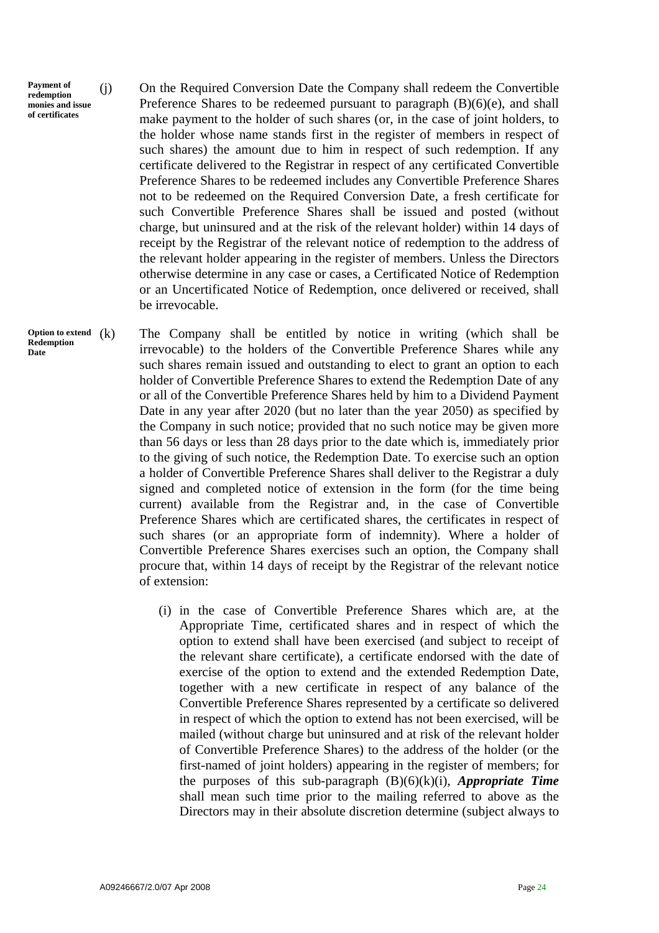**Payment of redemption monies and issue of certificates** 

(j) On the Required Conversion Date the Company shall redeem the Convertible Preference Shares to be redeemed pursuant to paragraph (B)(6)(e), and shall make payment to the holder of such shares (or, in the case of joint holders, to the holder whose name stands first in the register of members in respect of such shares) the amount due to him in respect of such redemption. If any certificate delivered to the Registrar in respect of any certificated Convertible Preference Shares to be redeemed includes any Convertible Preference Shares not to be redeemed on the Required Conversion Date, a fresh certificate for such Convertible Preference Shares shall be issued and posted (without charge, but uninsured and at the risk of the relevant holder) within 14 days of receipt by the Registrar of the relevant notice of redemption to the address of the relevant holder appearing in the register of members. Unless the Directors otherwise determine in any case or cases, a Certificated Notice of Redemption or an Uncertificated Notice of Redemption, once delivered or received, shall be irrevocable.

The Company shall be entitled by notice in writing (which shall be irrevocable) to the holders of the Convertible Preference Shares while any such shares remain issued and outstanding to elect to grant an option to each holder of Convertible Preference Shares to extend the Redemption Date of any or all of the Convertible Preference Shares held by him to a Dividend Payment Date in any year after 2020 (but no later than the year 2050) as specified by the Company in such notice; provided that no such notice may be given more than 56 days or less than 28 days prior to the date which is, immediately prior to the giving of such notice, the Redemption Date. To exercise such an option a holder of Convertible Preference Shares shall deliver to the Registrar a duly signed and completed notice of extension in the form (for the time being current) available from the Registrar and, in the case of Convertible Preference Shares which are certificated shares, the certificates in respect of such shares (or an appropriate form of indemnity). Where a holder of Convertible Preference Shares exercises such an option, the Company shall procure that, within 14 days of receipt by the Registrar of the relevant notice of extension:

 (i) in the case of Convertible Preference Shares which are, at the Appropriate Time, certificated shares and in respect of which the option to extend shall have been exercised (and subject to receipt of the relevant share certificate), a certificate endorsed with the date of exercise of the option to extend and the extended Redemption Date, together with a new certificate in respect of any balance of the Convertible Preference Shares represented by a certificate so delivered in respect of which the option to extend has not been exercised, will be mailed (without charge but uninsured and at risk of the relevant holder of Convertible Preference Shares) to the address of the holder (or the first-named of joint holders) appearing in the register of members; for the purposes of this sub-paragraph (B)(6)(k)(i), *Appropriate Time* shall mean such time prior to the mailing referred to above as the Directors may in their absolute discretion determine (subject always to

Option to extend  $(k)$ **Redemption Date**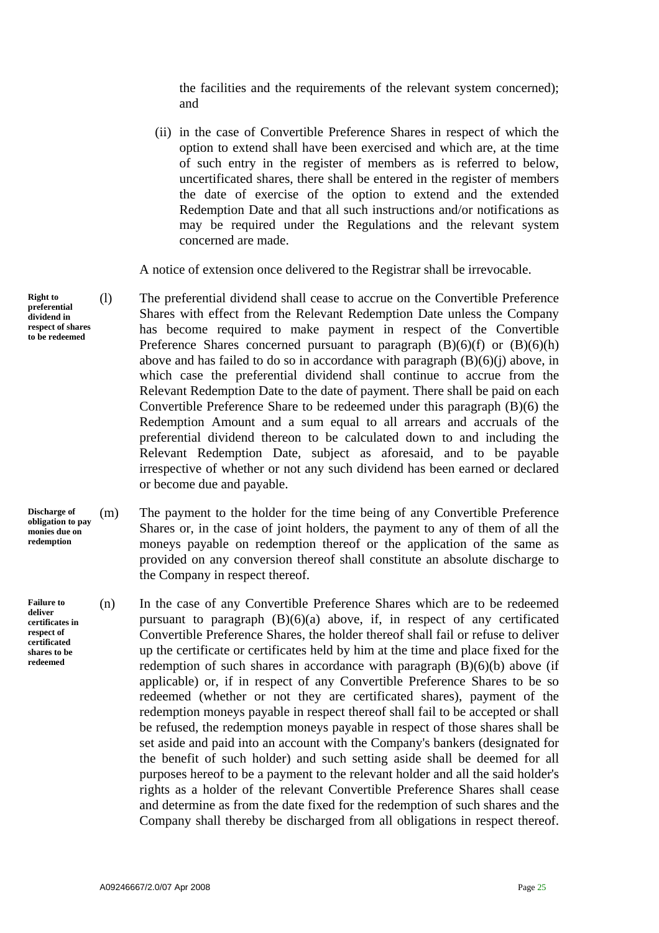the facilities and the requirements of the relevant system concerned); and

 (ii) in the case of Convertible Preference Shares in respect of which the option to extend shall have been exercised and which are, at the time of such entry in the register of members as is referred to below, uncertificated shares, there shall be entered in the register of members the date of exercise of the option to extend and the extended Redemption Date and that all such instructions and/or notifications as may be required under the Regulations and the relevant system concerned are made.

A notice of extension once delivered to the Registrar shall be irrevocable.

- (l) The preferential dividend shall cease to accrue on the Convertible Preference Shares with effect from the Relevant Redemption Date unless the Company has become required to make payment in respect of the Convertible Preference Shares concerned pursuant to paragraph  $(B)(6)(f)$  or  $(B)(6)(h)$ above and has failed to do so in accordance with paragraph  $(B)(6)(i)$  above, in which case the preferential dividend shall continue to accrue from the Relevant Redemption Date to the date of payment. There shall be paid on each Convertible Preference Share to be redeemed under this paragraph (B)(6) the Redemption Amount and a sum equal to all arrears and accruals of the preferential dividend thereon to be calculated down to and including the Relevant Redemption Date, subject as aforesaid, and to be payable irrespective of whether or not any such dividend has been earned or declared or become due and payable.
- (m) The payment to the holder for the time being of any Convertible Preference Shares or, in the case of joint holders, the payment to any of them of all the moneys payable on redemption thereof or the application of the same as provided on any conversion thereof shall constitute an absolute discharge to the Company in respect thereof.
	- (n) In the case of any Convertible Preference Shares which are to be redeemed pursuant to paragraph  $(B)(6)(a)$  above, if, in respect of any certificated Convertible Preference Shares, the holder thereof shall fail or refuse to deliver up the certificate or certificates held by him at the time and place fixed for the redemption of such shares in accordance with paragraph  $(B)(6)(b)$  above (if applicable) or, if in respect of any Convertible Preference Shares to be so redeemed (whether or not they are certificated shares), payment of the redemption moneys payable in respect thereof shall fail to be accepted or shall be refused, the redemption moneys payable in respect of those shares shall be set aside and paid into an account with the Company's bankers (designated for the benefit of such holder) and such setting aside shall be deemed for all purposes hereof to be a payment to the relevant holder and all the said holder's rights as a holder of the relevant Convertible Preference Shares shall cease and determine as from the date fixed for the redemption of such shares and the Company shall thereby be discharged from all obligations in respect thereof.

**Right to preferential dividend in respect of shares to be redeemed** 

**Discharge of obligation to pay monies due on redemption** 

**Failure to deliver certificates in respect of certificated shares to be redeemed**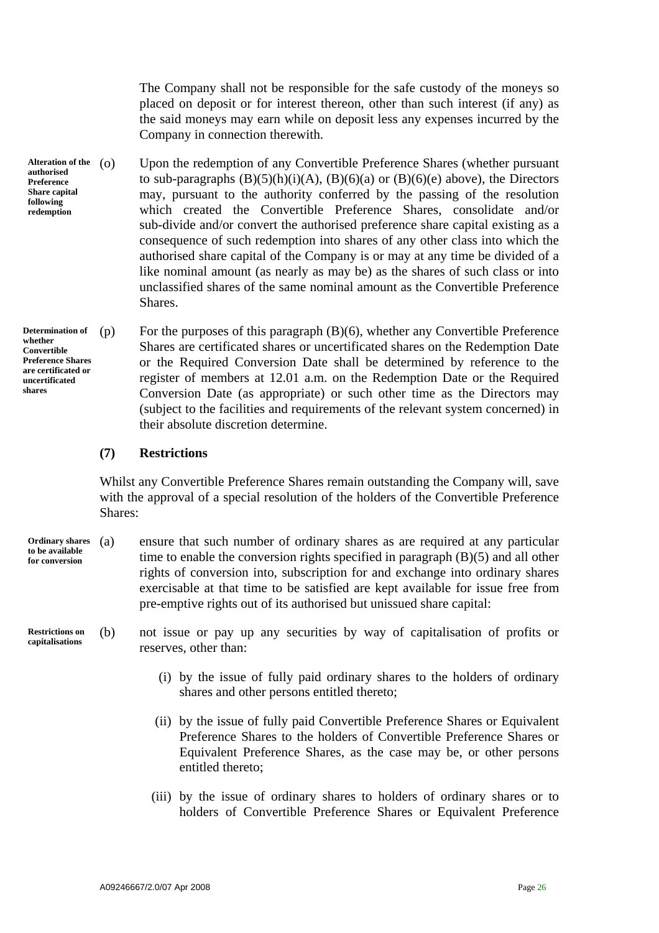The Company shall not be responsible for the safe custody of the moneys so placed on deposit or for interest thereon, other than such interest (if any) as the said moneys may earn while on deposit less any expenses incurred by the Company in connection therewith.

**Alteration of the authorised Preference Share capital following redemption** 

Upon the redemption of any Convertible Preference Shares (whether pursuant to sub-paragraphs  $(B)(5)(h)(i)(A)$ ,  $(B)(6)(a)$  or  $(B)(6)(e)$  above), the Directors may, pursuant to the authority conferred by the passing of the resolution which created the Convertible Preference Shares, consolidate and/or sub-divide and/or convert the authorised preference share capital existing as a consequence of such redemption into shares of any other class into which the authorised share capital of the Company is or may at any time be divided of a like nominal amount (as nearly as may be) as the shares of such class or into unclassified shares of the same nominal amount as the Convertible Preference **Shares** 

**Determination of whether Convertible Preference Shares are certificated or uncertificated shares** 

(p) For the purposes of this paragraph (B)(6), whether any Convertible Preference Shares are certificated shares or uncertificated shares on the Redemption Date or the Required Conversion Date shall be determined by reference to the register of members at 12.01 a.m. on the Redemption Date or the Required Conversion Date (as appropriate) or such other time as the Directors may (subject to the facilities and requirements of the relevant system concerned) in their absolute discretion determine.

# **(7) Restrictions**

Whilst any Convertible Preference Shares remain outstanding the Company will, save with the approval of a special resolution of the holders of the Convertible Preference Shares:

- (a) ensure that such number of ordinary shares as are required at any particular time to enable the conversion rights specified in paragraph (B)(5) and all other rights of conversion into, subscription for and exchange into ordinary shares exercisable at that time to be satisfied are kept available for issue free from pre-emptive rights out of its authorised but unissued share capital: **Ordinary shares to be available for conversion**
- (b) not issue or pay up any securities by way of capitalisation of profits or reserves, other than: **Restrictions on capitalisations** 
	- (i) by the issue of fully paid ordinary shares to the holders of ordinary shares and other persons entitled thereto;
	- (ii) by the issue of fully paid Convertible Preference Shares or Equivalent Preference Shares to the holders of Convertible Preference Shares or Equivalent Preference Shares, as the case may be, or other persons entitled thereto;
	- (iii) by the issue of ordinary shares to holders of ordinary shares or to holders of Convertible Preference Shares or Equivalent Preference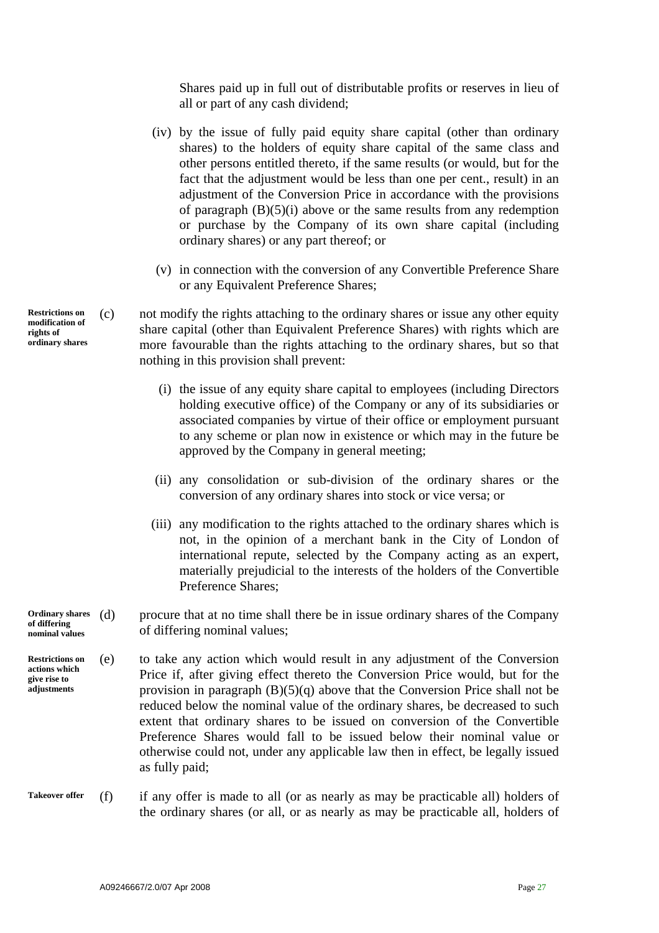Shares paid up in full out of distributable profits or reserves in lieu of all or part of any cash dividend;

- (iv) by the issue of fully paid equity share capital (other than ordinary shares) to the holders of equity share capital of the same class and other persons entitled thereto, if the same results (or would, but for the fact that the adjustment would be less than one per cent., result) in an adjustment of the Conversion Price in accordance with the provisions of paragraph  $(B)(5)(i)$  above or the same results from any redemption or purchase by the Company of its own share capital (including ordinary shares) or any part thereof; or
- (v) in connection with the conversion of any Convertible Preference Share or any Equivalent Preference Shares;

(c) not modify the rights attaching to the ordinary shares or issue any other equity share capital (other than Equivalent Preference Shares) with rights which are more favourable than the rights attaching to the ordinary shares, but so that nothing in this provision shall prevent:

- (i) the issue of any equity share capital to employees (including Directors holding executive office) of the Company or any of its subsidiaries or associated companies by virtue of their office or employment pursuant to any scheme or plan now in existence or which may in the future be approved by the Company in general meeting;
- (ii) any consolidation or sub-division of the ordinary shares or the conversion of any ordinary shares into stock or vice versa; or
- (iii) any modification to the rights attached to the ordinary shares which is not, in the opinion of a merchant bank in the City of London of international repute, selected by the Company acting as an expert, materially prejudicial to the interests of the holders of the Convertible Preference Shares;
- (d) procure that at no time shall there be in issue ordinary shares of the Company of differing nominal values; **Ordinary shares**
- (e) to take any action which would result in any adjustment of the Conversion Price if, after giving effect thereto the Conversion Price would, but for the provision in paragraph  $(B)(5)(q)$  above that the Conversion Price shall not be reduced below the nominal value of the ordinary shares, be decreased to such extent that ordinary shares to be issued on conversion of the Convertible Preference Shares would fall to be issued below their nominal value or otherwise could not, under any applicable law then in effect, be legally issued as fully paid; **Restrictions on**
- (f) if any offer is made to all (or as nearly as may be practicable all) holders of the ordinary shares (or all, or as nearly as may be practicable all, holders of **Takeover offer**

**Restrictions on modification of rights of ordinary shares** 

**of differing nominal values** 

**actions which give rise to adjustments** 

A09246667/2.0/07 Apr 2008 **Page 27**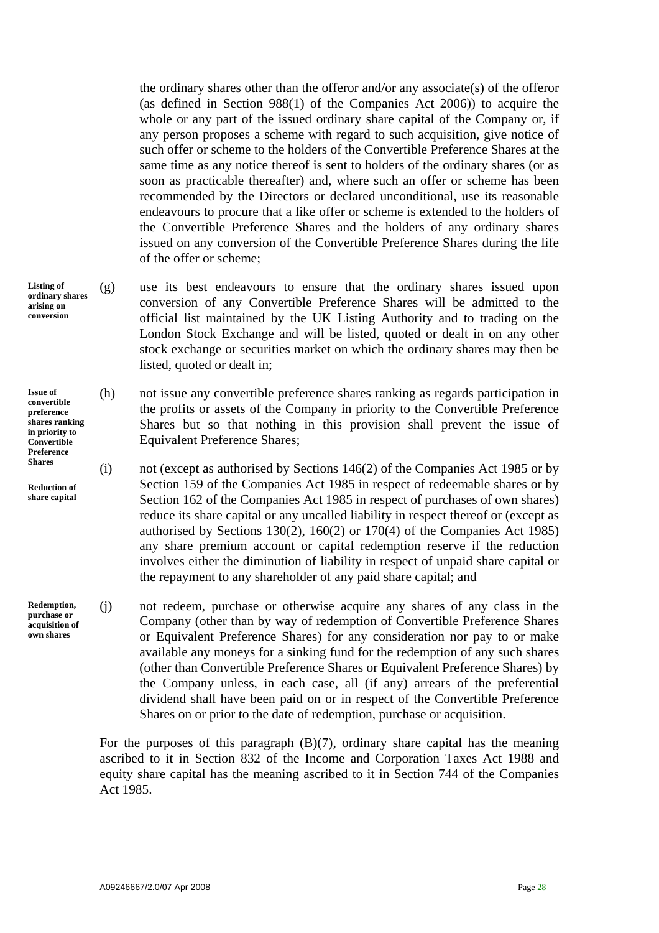the ordinary shares other than the offeror and/or any associate(s) of the offeror (as defined in Section 988(1) of the Companies Act 2006)) to acquire the whole or any part of the issued ordinary share capital of the Company or, if any person proposes a scheme with regard to such acquisition, give notice of such offer or scheme to the holders of the Convertible Preference Shares at the same time as any notice thereof is sent to holders of the ordinary shares (or as soon as practicable thereafter) and, where such an offer or scheme has been recommended by the Directors or declared unconditional, use its reasonable endeavours to procure that a like offer or scheme is extended to the holders of the Convertible Preference Shares and the holders of any ordinary shares issued on any conversion of the Convertible Preference Shares during the life of the offer or scheme;

- (g) use its best endeavours to ensure that the ordinary shares issued upon conversion of any Convertible Preference Shares will be admitted to the official list maintained by the UK Listing Authority and to trading on the London Stock Exchange and will be listed, quoted or dealt in on any other stock exchange or securities market on which the ordinary shares may then be listed, quoted or dealt in;
	- (h) not issue any convertible preference shares ranking as regards participation in the profits or assets of the Company in priority to the Convertible Preference Shares but so that nothing in this provision shall prevent the issue of Equivalent Preference Shares;
- **Shares** (i) not (except as authorised by Sections 146(2) of the Companies Act 1985 or by Section 159 of the Companies Act 1985 in respect of redeemable shares or by Section 162 of the Companies Act 1985 in respect of purchases of own shares) reduce its share capital or any uncalled liability in respect thereof or (except as authorised by Sections 130(2), 160(2) or 170(4) of the Companies Act 1985) any share premium account or capital redemption reserve if the reduction involves either the diminution of liability in respect of unpaid share capital or the repayment to any shareholder of any paid share capital; and
	- (j) not redeem, purchase or otherwise acquire any shares of any class in the Company (other than by way of redemption of Convertible Preference Shares or Equivalent Preference Shares) for any consideration nor pay to or make available any moneys for a sinking fund for the redemption of any such shares (other than Convertible Preference Shares or Equivalent Preference Shares) by the Company unless, in each case, all (if any) arrears of the preferential dividend shall have been paid on or in respect of the Convertible Preference Shares on or prior to the date of redemption, purchase or acquisition.

For the purposes of this paragraph  $(B)(7)$ , ordinary share capital has the meaning ascribed to it in Section 832 of the Income and Corporation Taxes Act 1988 and equity share capital has the meaning ascribed to it in Section 744 of the Companies Act 1985.

**Listing of ordinary shares arising on conversion** 

**Issue of convertible preference shares ranking in priority to Convertible Preference** 

**Reduction of share capital** 

**Redemption, purchase or acquisition of own shares**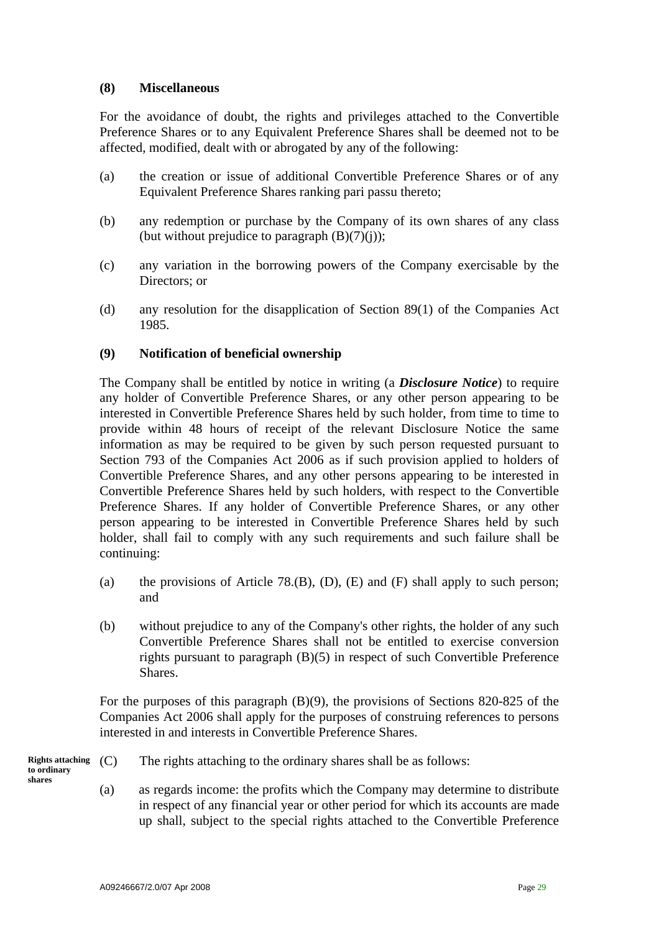# **(8) Miscellaneous**

For the avoidance of doubt, the rights and privileges attached to the Convertible Preference Shares or to any Equivalent Preference Shares shall be deemed not to be affected, modified, dealt with or abrogated by any of the following:

- (a) the creation or issue of additional Convertible Preference Shares or of any Equivalent Preference Shares ranking pari passu thereto;
- (b) any redemption or purchase by the Company of its own shares of any class (but without prejudice to paragraph  $(B)(7)(i)$ );
- (c) any variation in the borrowing powers of the Company exercisable by the Directors; or
- (d) any resolution for the disapplication of Section 89(1) of the Companies Act 1985.

## **(9) Notification of beneficial ownership**

The Company shall be entitled by notice in writing (a *Disclosure Notice*) to require any holder of Convertible Preference Shares, or any other person appearing to be interested in Convertible Preference Shares held by such holder, from time to time to provide within 48 hours of receipt of the relevant Disclosure Notice the same information as may be required to be given by such person requested pursuant to Section 793 of the Companies Act 2006 as if such provision applied to holders of Convertible Preference Shares, and any other persons appearing to be interested in Convertible Preference Shares held by such holders, with respect to the Convertible Preference Shares. If any holder of Convertible Preference Shares, or any other person appearing to be interested in Convertible Preference Shares held by such holder, shall fail to comply with any such requirements and such failure shall be continuing:

- (a) the provisions of Article 78.(B), (D), (E) and (F) shall apply to such person; and
- (b) without prejudice to any of the Company's other rights, the holder of any such Convertible Preference Shares shall not be entitled to exercise conversion rights pursuant to paragraph (B)(5) in respect of such Convertible Preference Shares.

For the purposes of this paragraph (B)(9), the provisions of Sections 820-825 of the Companies Act 2006 shall apply for the purposes of construing references to persons interested in and interests in Convertible Preference Shares.

**Rights attaching** (C) The rights attaching to the ordinary shares shall be as follows: **to ordinary** 

**shares** 

- 
- (a) as regards income: the profits which the Company may determine to distribute in respect of any financial year or other period for which its accounts are made up shall, subject to the special rights attached to the Convertible Preference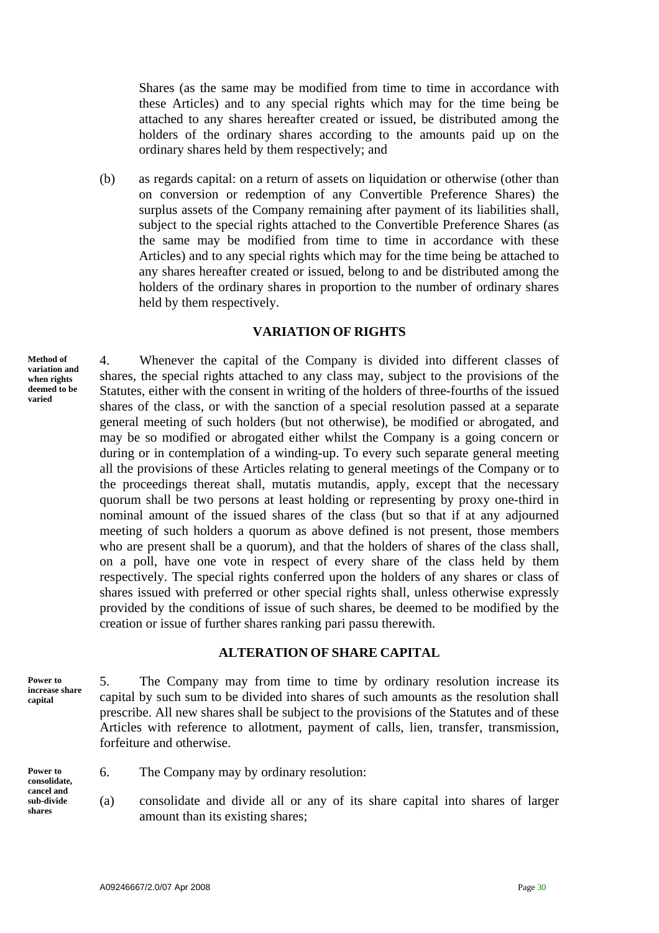Shares (as the same may be modified from time to time in accordance with these Articles) and to any special rights which may for the time being be attached to any shares hereafter created or issued, be distributed among the holders of the ordinary shares according to the amounts paid up on the ordinary shares held by them respectively; and

(b) as regards capital: on a return of assets on liquidation or otherwise (other than on conversion or redemption of any Convertible Preference Shares) the surplus assets of the Company remaining after payment of its liabilities shall, subject to the special rights attached to the Convertible Preference Shares (as the same may be modified from time to time in accordance with these Articles) and to any special rights which may for the time being be attached to any shares hereafter created or issued, belong to and be distributed among the holders of the ordinary shares in proportion to the number of ordinary shares held by them respectively.

## **VARIATION OF RIGHTS**

**Method of variation and when rights deemed to be varied** 

4. Whenever the capital of the Company is divided into different classes of shares, the special rights attached to any class may, subject to the provisions of the Statutes, either with the consent in writing of the holders of three-fourths of the issued shares of the class, or with the sanction of a special resolution passed at a separate general meeting of such holders (but not otherwise), be modified or abrogated, and may be so modified or abrogated either whilst the Company is a going concern or during or in contemplation of a winding-up. To every such separate general meeting all the provisions of these Articles relating to general meetings of the Company or to the proceedings thereat shall, mutatis mutandis, apply, except that the necessary quorum shall be two persons at least holding or representing by proxy one-third in nominal amount of the issued shares of the class (but so that if at any adjourned meeting of such holders a quorum as above defined is not present, those members who are present shall be a quorum), and that the holders of shares of the class shall, on a poll, have one vote in respect of every share of the class held by them respectively. The special rights conferred upon the holders of any shares or class of shares issued with preferred or other special rights shall, unless otherwise expressly provided by the conditions of issue of such shares, be deemed to be modified by the creation or issue of further shares ranking pari passu therewith.

# **ALTERATION OF SHARE CAPITAL**

**Power to increase share capital** 

5. The Company may from time to time by ordinary resolution increase its capital by such sum to be divided into shares of such amounts as the resolution shall prescribe. All new shares shall be subject to the provisions of the Statutes and of these Articles with reference to allotment, payment of calls, lien, transfer, transmission, forfeiture and otherwise.

**cancel and sub-divide shares** 

- **Power to 6.** The Company may by ordinary resolution:
	- (a) consolidate and divide all or any of its share capital into shares of larger amount than its existing shares;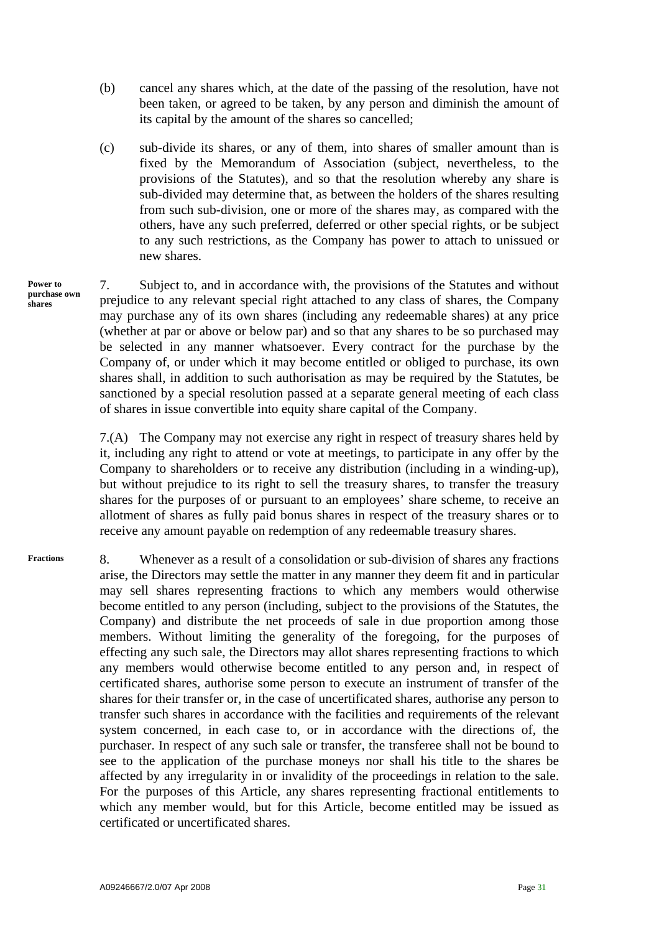- (b) cancel any shares which, at the date of the passing of the resolution, have not been taken, or agreed to be taken, by any person and diminish the amount of its capital by the amount of the shares so cancelled;
- (c) sub-divide its shares, or any of them, into shares of smaller amount than is fixed by the Memorandum of Association (subject, nevertheless, to the provisions of the Statutes), and so that the resolution whereby any share is sub-divided may determine that, as between the holders of the shares resulting from such sub-division, one or more of the shares may, as compared with the others, have any such preferred, deferred or other special rights, or be subject to any such restrictions, as the Company has power to attach to unissued or new shares.
- 7. Subject to, and in accordance with, the provisions of the Statutes and without prejudice to any relevant special right attached to any class of shares, the Company may purchase any of its own shares (including any redeemable shares) at any price (whether at par or above or below par) and so that any shares to be so purchased may be selected in any manner whatsoever. Every contract for the purchase by the Company of, or under which it may become entitled or obliged to purchase, its own shares shall, in addition to such authorisation as may be required by the Statutes, be sanctioned by a special resolution passed at a separate general meeting of each class of shares in issue convertible into equity share capital of the Company. **Power to purchase own shares**

7.(A) The Company may not exercise any right in respect of treasury shares held by it, including any right to attend or vote at meetings, to participate in any offer by the Company to shareholders or to receive any distribution (including in a winding-up), but without prejudice to its right to sell the treasury shares, to transfer the treasury shares for the purposes of or pursuant to an employees' share scheme, to receive an allotment of shares as fully paid bonus shares in respect of the treasury shares or to receive any amount payable on redemption of any redeemable treasury shares.

8. Whenever as a result of a consolidation or sub-division of shares any fractions arise, the Directors may settle the matter in any manner they deem fit and in particular may sell shares representing fractions to which any members would otherwise become entitled to any person (including, subject to the provisions of the Statutes, the Company) and distribute the net proceeds of sale in due proportion among those members. Without limiting the generality of the foregoing, for the purposes of effecting any such sale, the Directors may allot shares representing fractions to which any members would otherwise become entitled to any person and, in respect of certificated shares, authorise some person to execute an instrument of transfer of the shares for their transfer or, in the case of uncertificated shares, authorise any person to transfer such shares in accordance with the facilities and requirements of the relevant system concerned, in each case to, or in accordance with the directions of, the purchaser. In respect of any such sale or transfer, the transferee shall not be bound to see to the application of the purchase moneys nor shall his title to the shares be affected by any irregularity in or invalidity of the proceedings in relation to the sale. For the purposes of this Article, any shares representing fractional entitlements to which any member would, but for this Article, become entitled may be issued as certificated or uncertificated shares. **Fractions**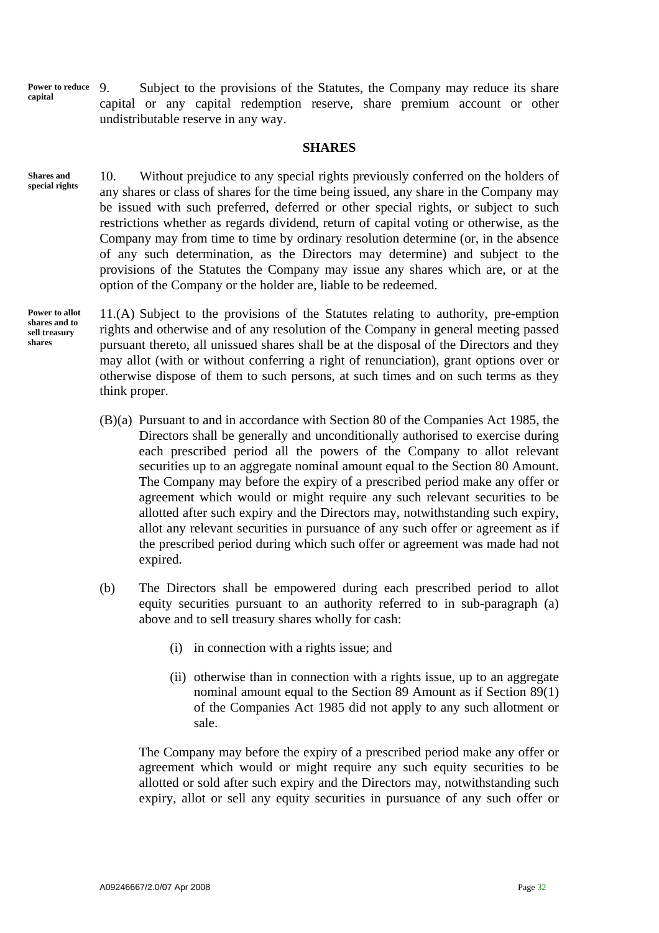**Power to reduce capital** 

9. Subject to the provisions of the Statutes, the Company may reduce its share capital or any capital redemption reserve, share premium account or other undistributable reserve in any way.

## **SHARES**

10. Without prejudice to any special rights previously conferred on the holders of any shares or class of shares for the time being issued, any share in the Company may be issued with such preferred, deferred or other special rights, or subject to such restrictions whether as regards dividend, return of capital voting or otherwise, as the Company may from time to time by ordinary resolution determine (or, in the absence of any such determination, as the Directors may determine) and subject to the provisions of the Statutes the Company may issue any shares which are, or at the option of the Company or the holder are, liable to be redeemed. **Shares and special rights** 

**Power to allot shares and to sell treasury shares** 

11.(A) Subject to the provisions of the Statutes relating to authority, pre-emption rights and otherwise and of any resolution of the Company in general meeting passed pursuant thereto, all unissued shares shall be at the disposal of the Directors and they may allot (with or without conferring a right of renunciation), grant options over or otherwise dispose of them to such persons, at such times and on such terms as they think proper.

- (B)(a) Pursuant to and in accordance with Section 80 of the Companies Act 1985, the Directors shall be generally and unconditionally authorised to exercise during each prescribed period all the powers of the Company to allot relevant securities up to an aggregate nominal amount equal to the Section 80 Amount. The Company may before the expiry of a prescribed period make any offer or agreement which would or might require any such relevant securities to be allotted after such expiry and the Directors may, notwithstanding such expiry, allot any relevant securities in pursuance of any such offer or agreement as if the prescribed period during which such offer or agreement was made had not expired.
- (b) The Directors shall be empowered during each prescribed period to allot equity securities pursuant to an authority referred to in sub-paragraph (a) above and to sell treasury shares wholly for cash:
	- (i) in connection with a rights issue; and
	- (ii) otherwise than in connection with a rights issue, up to an aggregate nominal amount equal to the Section 89 Amount as if Section 89(1) of the Companies Act 1985 did not apply to any such allotment or sale.

The Company may before the expiry of a prescribed period make any offer or agreement which would or might require any such equity securities to be allotted or sold after such expiry and the Directors may, notwithstanding such expiry, allot or sell any equity securities in pursuance of any such offer or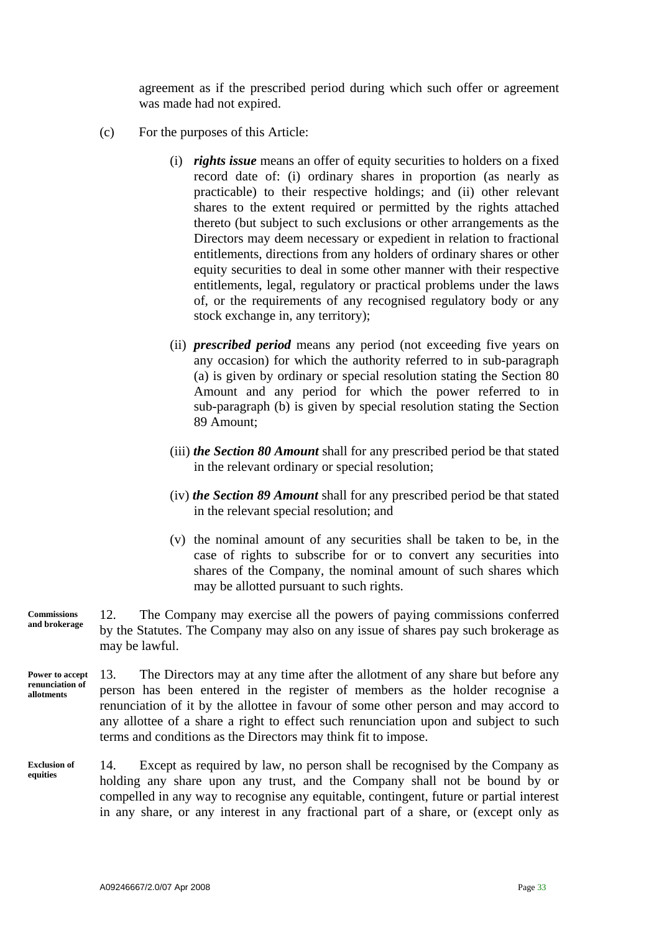agreement as if the prescribed period during which such offer or agreement was made had not expired.

- (c) For the purposes of this Article:
	- (i) *rights issue* means an offer of equity securities to holders on a fixed record date of: (i) ordinary shares in proportion (as nearly as practicable) to their respective holdings; and (ii) other relevant shares to the extent required or permitted by the rights attached thereto (but subject to such exclusions or other arrangements as the Directors may deem necessary or expedient in relation to fractional entitlements, directions from any holders of ordinary shares or other equity securities to deal in some other manner with their respective entitlements, legal, regulatory or practical problems under the laws of, or the requirements of any recognised regulatory body or any stock exchange in, any territory);
	- (ii) *prescribed period* means any period (not exceeding five years on any occasion) for which the authority referred to in sub-paragraph (a) is given by ordinary or special resolution stating the Section 80 Amount and any period for which the power referred to in sub-paragraph (b) is given by special resolution stating the Section 89 Amount;
	- (iii) *the Section 80 Amount* shall for any prescribed period be that stated in the relevant ordinary or special resolution;
	- (iv) *the Section 89 Amount* shall for any prescribed period be that stated in the relevant special resolution; and
	- (v) the nominal amount of any securities shall be taken to be, in the case of rights to subscribe for or to convert any securities into shares of the Company, the nominal amount of such shares which may be allotted pursuant to such rights.

12. The Company may exercise all the powers of paying commissions conferred by the Statutes. The Company may also on any issue of shares pay such brokerage as may be lawful. **Commissions and brokerage** 

13. The Directors may at any time after the allotment of any share but before any person has been entered in the register of members as the holder recognise a renunciation of it by the allottee in favour of some other person and may accord to any allottee of a share a right to effect such renunciation upon and subject to such terms and conditions as the Directors may think fit to impose. **Power to accept renunciation of allotments** 

14. Except as required by law, no person shall be recognised by the Company as holding any share upon any trust, and the Company shall not be bound by or compelled in any way to recognise any equitable, contingent, future or partial interest in any share, or any interest in any fractional part of a share, or (except only as **Exclusion of equities**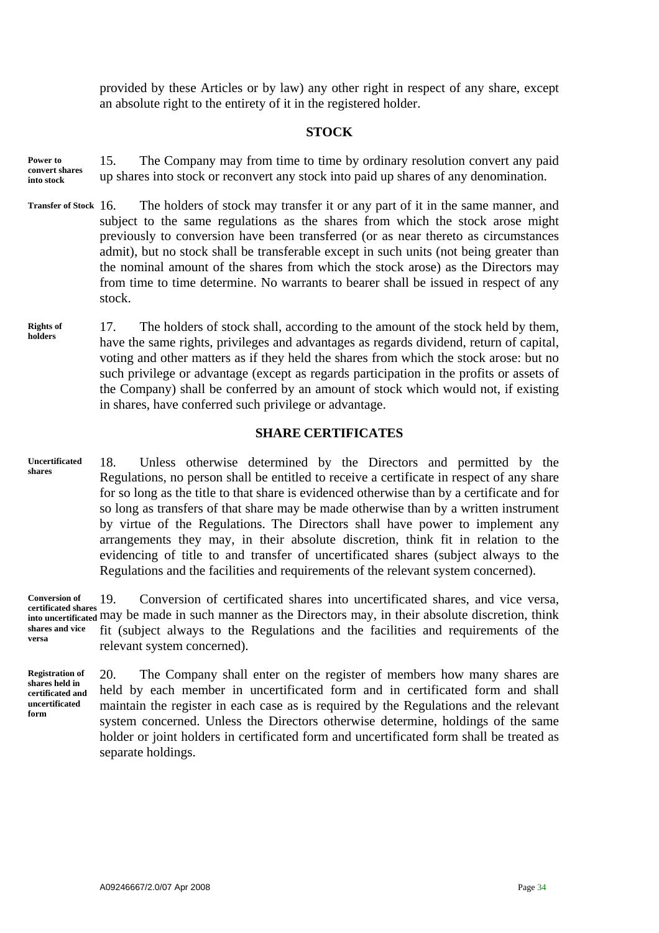provided by these Articles or by law) any other right in respect of any share, except an absolute right to the entirety of it in the registered holder.

## **STOCK**

- 15. The Company may from time to time by ordinary resolution convert any paid up shares into stock or reconvert any stock into paid up shares of any denomination. **Power to convert shares into stock**
- The holders of stock may transfer it or any part of it in the same manner, and subject to the same regulations as the shares from which the stock arose might previously to conversion have been transferred (or as near thereto as circumstances admit), but no stock shall be transferable except in such units (not being greater than the nominal amount of the shares from which the stock arose) as the Directors may from time to time determine. No warrants to bearer shall be issued in respect of any stock. **Transfer of Stock**
- 17. The holders of stock shall, according to the amount of the stock held by them, have the same rights, privileges and advantages as regards dividend, return of capital, voting and other matters as if they held the shares from which the stock arose: but no such privilege or advantage (except as regards participation in the profits or assets of the Company) shall be conferred by an amount of stock which would not, if existing in shares, have conferred such privilege or advantage. **Rights of holders**

# **SHARE CERTIFICATES**

18. Unless otherwise determined by the Directors and permitted by the Regulations, no person shall be entitled to receive a certificate in respect of any share for so long as the title to that share is evidenced otherwise than by a certificate and for so long as transfers of that share may be made otherwise than by a written instrument by virtue of the Regulations. The Directors shall have power to implement any arrangements they may, in their absolute discretion, think fit in relation to the evidencing of title to and transfer of uncertificated shares (subject always to the Regulations and the facilities and requirements of the relevant system concerned). **Uncertificated shares** 

19. Conversion of certificated shares into uncertificated shares, and vice versa, certificated shares<br>into uncertificated may be made in such manner as the Directors may, in their absolute discretion, think fit (subject always to the Regulations and the facilities and requirements of the relevant system concerned). **Conversion of into uncertificated shares and vice versa** 

**Registration of shares held in certificated and uncertificated form** 

20. The Company shall enter on the register of members how many shares are held by each member in uncertificated form and in certificated form and shall maintain the register in each case as is required by the Regulations and the relevant system concerned. Unless the Directors otherwise determine, holdings of the same holder or joint holders in certificated form and uncertificated form shall be treated as separate holdings.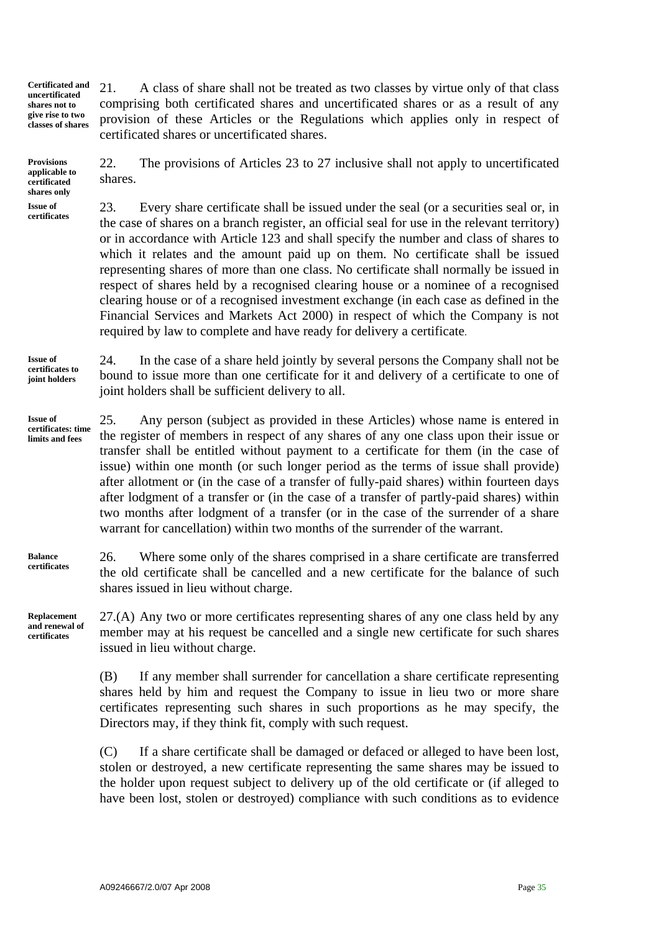**Certificated and uncertificated shares not to give rise to two classes of shares**  21. A class of share shall not be treated as two classes by virtue only of that class comprising both certificated shares and uncertificated shares or as a result of any provision of these Articles or the Regulations which applies only in respect of certificated shares or uncertificated shares.

**Provisions applicable to certificated shares only Issue of certificates** 

22. The provisions of Articles 23 to 27 inclusive shall not apply to uncertificated shares.

23. Every share certificate shall be issued under the seal (or a securities seal or, in the case of shares on a branch register, an official seal for use in the relevant territory) or in accordance with Article 123 and shall specify the number and class of shares to which it relates and the amount paid up on them. No certificate shall be issued representing shares of more than one class. No certificate shall normally be issued in respect of shares held by a recognised clearing house or a nominee of a recognised clearing house or of a recognised investment exchange (in each case as defined in the Financial Services and Markets Act 2000) in respect of which the Company is not required by law to complete and have ready for delivery a certificate.

24. In the case of a share held jointly by several persons the Company shall not be bound to issue more than one certificate for it and delivery of a certificate to one of joint holders shall be sufficient delivery to all. **Issue of certificates to joint holders** 

25. Any person (subject as provided in these Articles) whose name is entered in the register of members in respect of any shares of any one class upon their issue or transfer shall be entitled without payment to a certificate for them (in the case of issue) within one month (or such longer period as the terms of issue shall provide) after allotment or (in the case of a transfer of fully-paid shares) within fourteen days after lodgment of a transfer or (in the case of a transfer of partly-paid shares) within two months after lodgment of a transfer (or in the case of the surrender of a share warrant for cancellation) within two months of the surrender of the warrant. **Issue of certificates: time limits and fees** 

26. Where some only of the shares comprised in a share certificate are transferred the old certificate shall be cancelled and a new certificate for the balance of such shares issued in lieu without charge. **certificates** 

**Replacement and renewal of certificates** 

**Balance** 

27.(A) Any two or more certificates representing shares of any one class held by any member may at his request be cancelled and a single new certificate for such shares issued in lieu without charge.

(B) If any member shall surrender for cancellation a share certificate representing shares held by him and request the Company to issue in lieu two or more share certificates representing such shares in such proportions as he may specify, the Directors may, if they think fit, comply with such request.

(C) If a share certificate shall be damaged or defaced or alleged to have been lost, stolen or destroyed, a new certificate representing the same shares may be issued to the holder upon request subject to delivery up of the old certificate or (if alleged to have been lost, stolen or destroyed) compliance with such conditions as to evidence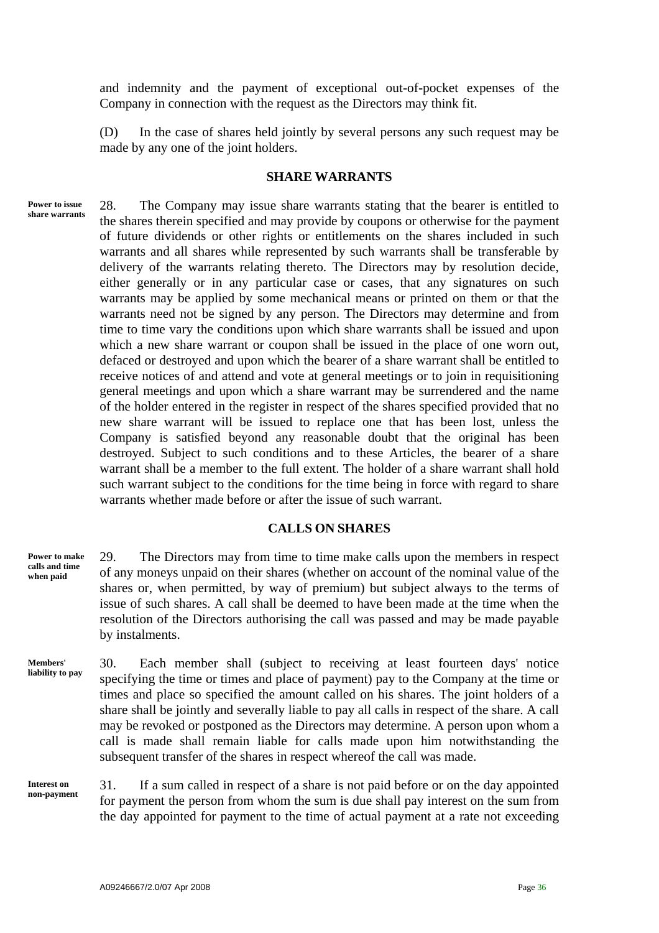and indemnity and the payment of exceptional out-of-pocket expenses of the Company in connection with the request as the Directors may think fit.

(D) In the case of shares held jointly by several persons any such request may be made by any one of the joint holders.

# **SHARE WARRANTS**

**Power to issue share warrants**  28. The Company may issue share warrants stating that the bearer is entitled to the shares therein specified and may provide by coupons or otherwise for the payment of future dividends or other rights or entitlements on the shares included in such warrants and all shares while represented by such warrants shall be transferable by delivery of the warrants relating thereto. The Directors may by resolution decide, either generally or in any particular case or cases, that any signatures on such warrants may be applied by some mechanical means or printed on them or that the warrants need not be signed by any person. The Directors may determine and from time to time vary the conditions upon which share warrants shall be issued and upon which a new share warrant or coupon shall be issued in the place of one worn out, defaced or destroyed and upon which the bearer of a share warrant shall be entitled to receive notices of and attend and vote at general meetings or to join in requisitioning general meetings and upon which a share warrant may be surrendered and the name of the holder entered in the register in respect of the shares specified provided that no new share warrant will be issued to replace one that has been lost, unless the Company is satisfied beyond any reasonable doubt that the original has been destroyed. Subject to such conditions and to these Articles, the bearer of a share warrant shall be a member to the full extent. The holder of a share warrant shall hold such warrant subject to the conditions for the time being in force with regard to share warrants whether made before or after the issue of such warrant.

#### **CALLS ON SHARES**

29. The Directors may from time to time make calls upon the members in respect of any moneys unpaid on their shares (whether on account of the nominal value of the shares or, when permitted, by way of premium) but subject always to the terms of issue of such shares. A call shall be deemed to have been made at the time when the resolution of the Directors authorising the call was passed and may be made payable by instalments.

30. Each member shall (subject to receiving at least fourteen days' notice specifying the time or times and place of payment) pay to the Company at the time or times and place so specified the amount called on his shares. The joint holders of a share shall be jointly and severally liable to pay all calls in respect of the share. A call may be revoked or postponed as the Directors may determine. A person upon whom a call is made shall remain liable for calls made upon him notwithstanding the subsequent transfer of the shares in respect whereof the call was made. **Members' liability to pay** 

**Interest on non-payment** 

**Power to make calls and time when paid** 

> 31. If a sum called in respect of a share is not paid before or on the day appointed for payment the person from whom the sum is due shall pay interest on the sum from the day appointed for payment to the time of actual payment at a rate not exceeding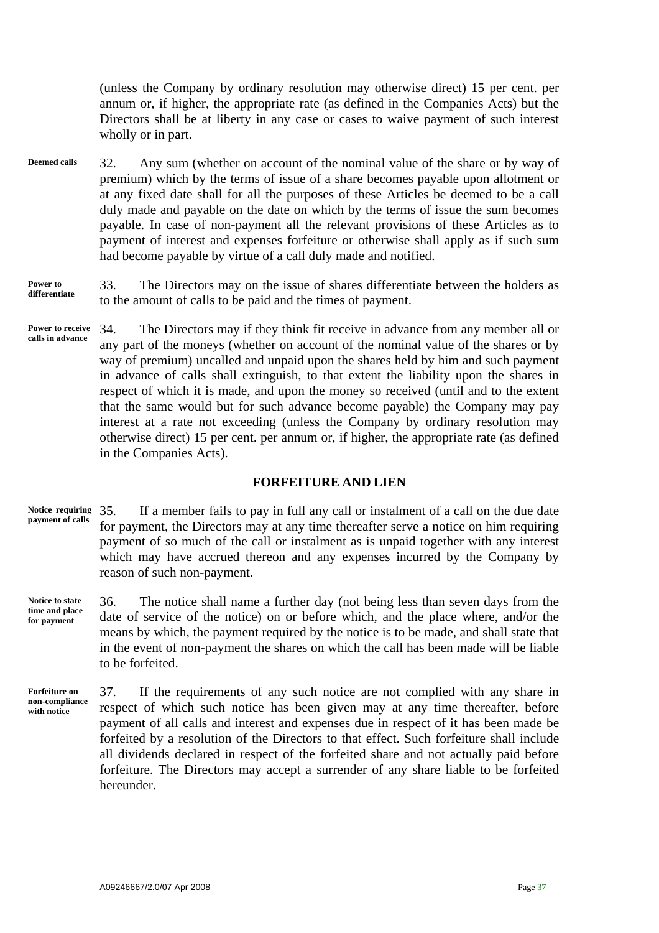(unless the Company by ordinary resolution may otherwise direct) 15 per cent. per annum or, if higher, the appropriate rate (as defined in the Companies Acts) but the Directors shall be at liberty in any case or cases to waive payment of such interest wholly or in part.

32. Any sum (whether on account of the nominal value of the share or by way of premium) which by the terms of issue of a share becomes payable upon allotment or at any fixed date shall for all the purposes of these Articles be deemed to be a call duly made and payable on the date on which by the terms of issue the sum becomes payable. In case of non-payment all the relevant provisions of these Articles as to payment of interest and expenses forfeiture or otherwise shall apply as if such sum had become payable by virtue of a call duly made and notified. **Deemed calls** 

#### **Power to differentiate**

33. The Directors may on the issue of shares differentiate between the holders as to the amount of calls to be paid and the times of payment.

34. The Directors may if they think fit receive in advance from any member all or any part of the moneys (whether on account of the nominal value of the shares or by way of premium) uncalled and unpaid upon the shares held by him and such payment in advance of calls shall extinguish, to that extent the liability upon the shares in respect of which it is made, and upon the money so received (until and to the extent that the same would but for such advance become payable) the Company may pay interest at a rate not exceeding (unless the Company by ordinary resolution may otherwise direct) 15 per cent. per annum or, if higher, the appropriate rate (as defined in the Companies Acts). **Power to receive calls in advance** 

# **FORFEITURE AND LIEN**

- 35. If a member fails to pay in full any call or instalment of a call on the due date for payment, the Directors may at any time thereafter serve a notice on him requiring payment of so much of the call or instalment as is unpaid together with any interest which may have accrued thereon and any expenses incurred by the Company by reason of such non-payment. **Notice requiring payment of calls**
- 36. The notice shall name a further day (not being less than seven days from the date of service of the notice) on or before which, and the place where, and/or the means by which, the payment required by the notice is to be made, and shall state that in the event of non-payment the shares on which the call has been made will be liable to be forfeited. **Notice to state time and place for payment**

**Forfeiture on non-compliance with notice** 

37. If the requirements of any such notice are not complied with any share in respect of which such notice has been given may at any time thereafter, before payment of all calls and interest and expenses due in respect of it has been made be forfeited by a resolution of the Directors to that effect. Such forfeiture shall include all dividends declared in respect of the forfeited share and not actually paid before forfeiture. The Directors may accept a surrender of any share liable to be forfeited hereunder.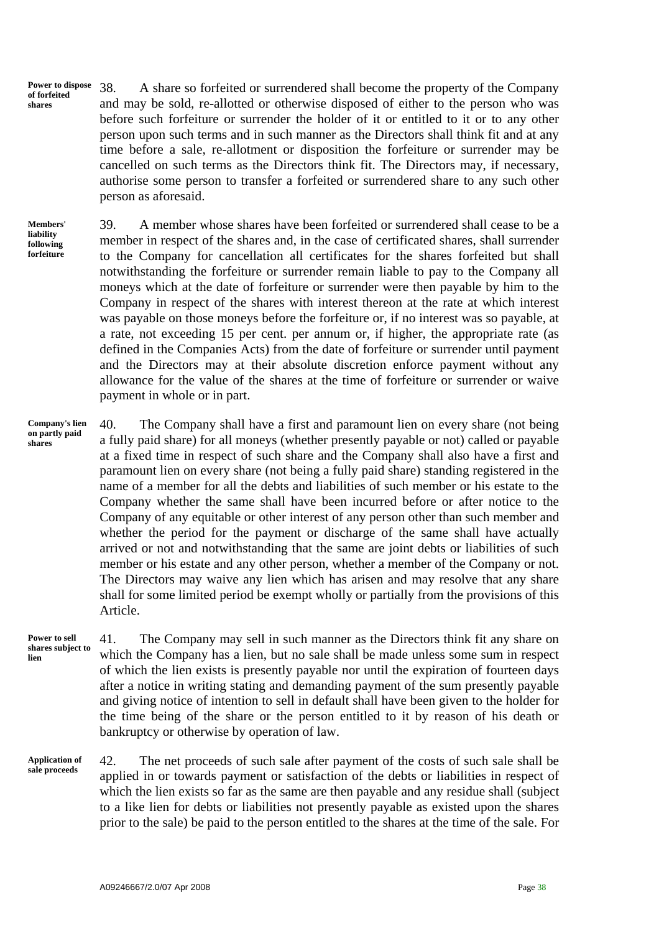**Power to dispose of forfeited shares**  38. A share so forfeited or surrendered shall become the property of the Company and may be sold, re-allotted or otherwise disposed of either to the person who was before such forfeiture or surrender the holder of it or entitled to it or to any other person upon such terms and in such manner as the Directors shall think fit and at any time before a sale, re-allotment or disposition the forfeiture or surrender may be cancelled on such terms as the Directors think fit. The Directors may, if necessary, authorise some person to transfer a forfeited or surrendered share to any such other person as aforesaid.

**Members' liability following forfeiture** 

39. A member whose shares have been forfeited or surrendered shall cease to be a member in respect of the shares and, in the case of certificated shares, shall surrender to the Company for cancellation all certificates for the shares forfeited but shall notwithstanding the forfeiture or surrender remain liable to pay to the Company all moneys which at the date of forfeiture or surrender were then payable by him to the Company in respect of the shares with interest thereon at the rate at which interest was payable on those moneys before the forfeiture or, if no interest was so payable, at a rate, not exceeding 15 per cent. per annum or, if higher, the appropriate rate (as defined in the Companies Acts) from the date of forfeiture or surrender until payment and the Directors may at their absolute discretion enforce payment without any allowance for the value of the shares at the time of forfeiture or surrender or waive payment in whole or in part.

**Company's lien on partly paid shares** 

40. The Company shall have a first and paramount lien on every share (not being a fully paid share) for all moneys (whether presently payable or not) called or payable at a fixed time in respect of such share and the Company shall also have a first and paramount lien on every share (not being a fully paid share) standing registered in the name of a member for all the debts and liabilities of such member or his estate to the Company whether the same shall have been incurred before or after notice to the Company of any equitable or other interest of any person other than such member and whether the period for the payment or discharge of the same shall have actually arrived or not and notwithstanding that the same are joint debts or liabilities of such member or his estate and any other person, whether a member of the Company or not. The Directors may waive any lien which has arisen and may resolve that any share shall for some limited period be exempt wholly or partially from the provisions of this Article.

41. The Company may sell in such manner as the Directors think fit any share on which the Company has a lien, but no sale shall be made unless some sum in respect of which the lien exists is presently payable nor until the expiration of fourteen days after a notice in writing stating and demanding payment of the sum presently payable and giving notice of intention to sell in default shall have been given to the holder for the time being of the share or the person entitled to it by reason of his death or bankruptcy or otherwise by operation of law. **Power to sell shares subject to lien** 

42. The net proceeds of such sale after payment of the costs of such sale shall be applied in or towards payment or satisfaction of the debts or liabilities in respect of which the lien exists so far as the same are then payable and any residue shall (subject to a like lien for debts or liabilities not presently payable as existed upon the shares prior to the sale) be paid to the person entitled to the shares at the time of the sale. For **Application of sale proceeds**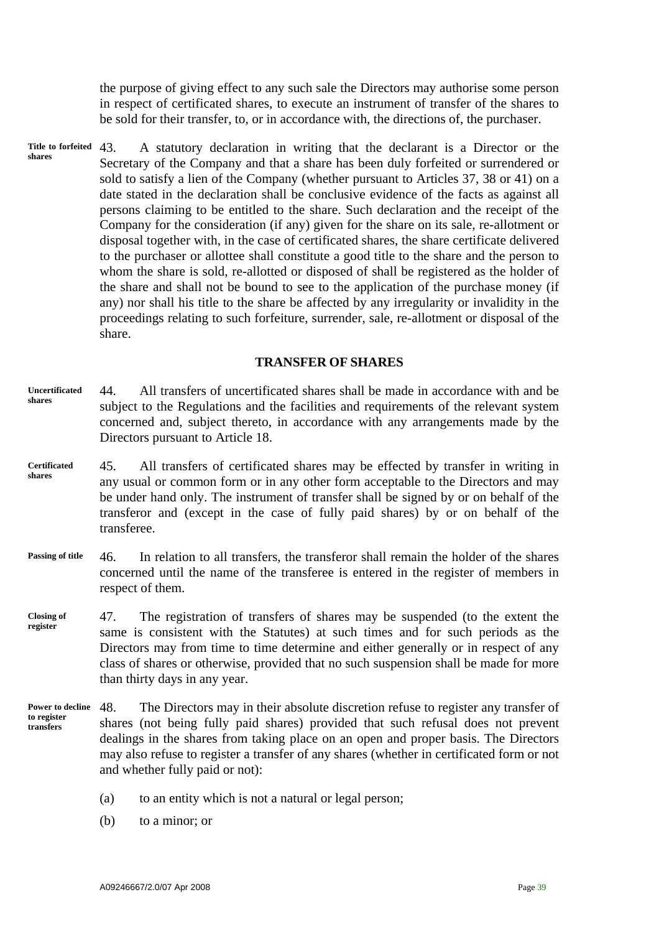the purpose of giving effect to any such sale the Directors may authorise some person in respect of certificated shares, to execute an instrument of transfer of the shares to be sold for their transfer, to, or in accordance with, the directions of, the purchaser.

43. A statutory declaration in writing that the declarant is a Director or the Secretary of the Company and that a share has been duly forfeited or surrendered or sold to satisfy a lien of the Company (whether pursuant to Articles 37, 38 or 41) on a date stated in the declaration shall be conclusive evidence of the facts as against all persons claiming to be entitled to the share. Such declaration and the receipt of the Company for the consideration (if any) given for the share on its sale, re-allotment or disposal together with, in the case of certificated shares, the share certificate delivered to the purchaser or allottee shall constitute a good title to the share and the person to whom the share is sold, re-allotted or disposed of shall be registered as the holder of the share and shall not be bound to see to the application of the purchase money (if any) nor shall his title to the share be affected by any irregularity or invalidity in the proceedings relating to such forfeiture, surrender, sale, re-allotment or disposal of the share. **Title to forfeited shares** 

#### **TRANSFER OF SHARES**

- 44. All transfers of uncertificated shares shall be made in accordance with and be subject to the Regulations and the facilities and requirements of the relevant system concerned and, subject thereto, in accordance with any arrangements made by the Directors pursuant to Article 18. **Uncertificated shares**
- 45. All transfers of certificated shares may be effected by transfer in writing in any usual or common form or in any other form acceptable to the Directors and may be under hand only. The instrument of transfer shall be signed by or on behalf of the transferor and (except in the case of fully paid shares) by or on behalf of the transferee. **Certificated shares**
- 46. In relation to all transfers, the transferor shall remain the holder of the shares concerned until the name of the transferee is entered in the register of members in respect of them. **Passing of title**
- 47. The registration of transfers of shares may be suspended (to the extent the same is consistent with the Statutes) at such times and for such periods as the Directors may from time to time determine and either generally or in respect of any class of shares or otherwise, provided that no such suspension shall be made for more than thirty days in any year. **Closing of register**
- 48. The Directors may in their absolute discretion refuse to register any transfer of shares (not being fully paid shares) provided that such refusal does not prevent dealings in the shares from taking place on an open and proper basis. The Directors may also refuse to register a transfer of any shares (whether in certificated form or not and whether fully paid or not): **Power to decline to register transfers** 
	- (a) to an entity which is not a natural or legal person;
	- (b) to a minor; or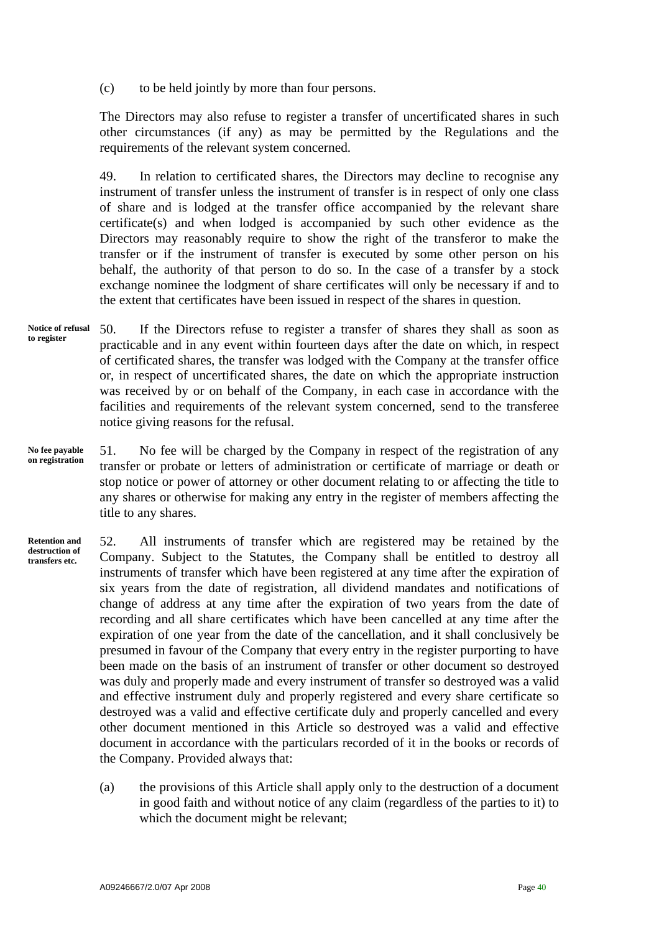(c) to be held jointly by more than four persons.

The Directors may also refuse to register a transfer of uncertificated shares in such other circumstances (if any) as may be permitted by the Regulations and the requirements of the relevant system concerned.

49. In relation to certificated shares, the Directors may decline to recognise any instrument of transfer unless the instrument of transfer is in respect of only one class of share and is lodged at the transfer office accompanied by the relevant share certificate(s) and when lodged is accompanied by such other evidence as the Directors may reasonably require to show the right of the transferor to make the transfer or if the instrument of transfer is executed by some other person on his behalf, the authority of that person to do so. In the case of a transfer by a stock exchange nominee the lodgment of share certificates will only be necessary if and to the extent that certificates have been issued in respect of the shares in question.

- 50. If the Directors refuse to register a transfer of shares they shall as soon as practicable and in any event within fourteen days after the date on which, in respect of certificated shares, the transfer was lodged with the Company at the transfer office or, in respect of uncertificated shares, the date on which the appropriate instruction was received by or on behalf of the Company, in each case in accordance with the facilities and requirements of the relevant system concerned, send to the transferee notice giving reasons for the refusal. **Notice of refusal to register**
- 51. No fee will be charged by the Company in respect of the registration of any transfer or probate or letters of administration or certificate of marriage or death or stop notice or power of attorney or other document relating to or affecting the title to any shares or otherwise for making any entry in the register of members affecting the title to any shares. **No fee payable on registration**

52. All instruments of transfer which are registered may be retained by the Company. Subject to the Statutes, the Company shall be entitled to destroy all instruments of transfer which have been registered at any time after the expiration of six years from the date of registration, all dividend mandates and notifications of change of address at any time after the expiration of two years from the date of recording and all share certificates which have been cancelled at any time after the expiration of one year from the date of the cancellation, and it shall conclusively be presumed in favour of the Company that every entry in the register purporting to have been made on the basis of an instrument of transfer or other document so destroyed was duly and properly made and every instrument of transfer so destroyed was a valid and effective instrument duly and properly registered and every share certificate so destroyed was a valid and effective certificate duly and properly cancelled and every other document mentioned in this Article so destroyed was a valid and effective document in accordance with the particulars recorded of it in the books or records of the Company. Provided always that: **Retention and destruction of transfers etc.** 

> (a) the provisions of this Article shall apply only to the destruction of a document in good faith and without notice of any claim (regardless of the parties to it) to which the document might be relevant;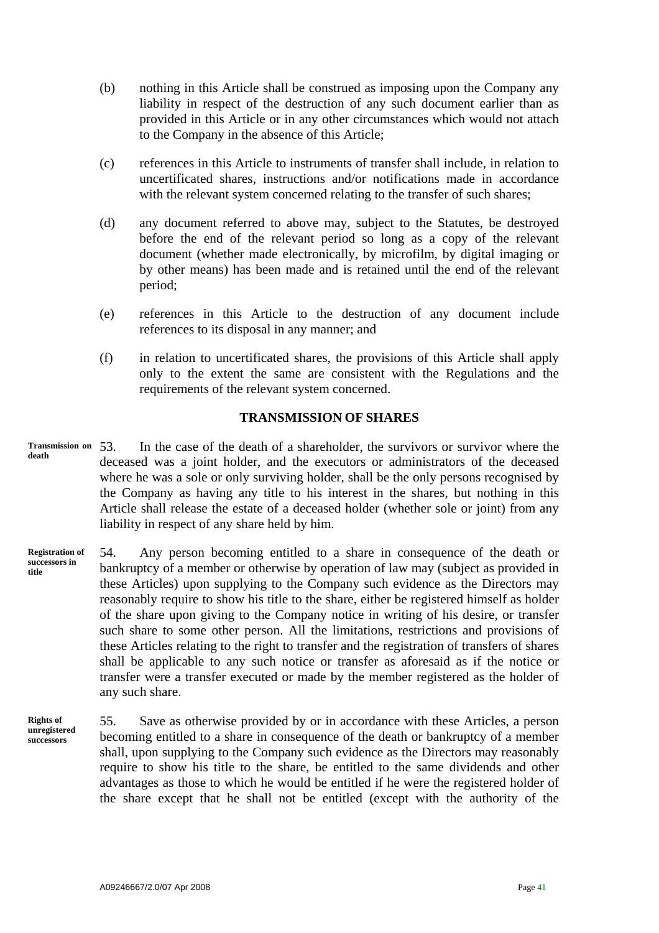- (b) nothing in this Article shall be construed as imposing upon the Company any liability in respect of the destruction of any such document earlier than as provided in this Article or in any other circumstances which would not attach to the Company in the absence of this Article;
- (c) references in this Article to instruments of transfer shall include, in relation to uncertificated shares, instructions and/or notifications made in accordance with the relevant system concerned relating to the transfer of such shares;
- (d) any document referred to above may, subject to the Statutes, be destroyed before the end of the relevant period so long as a copy of the relevant document (whether made electronically, by microfilm, by digital imaging or by other means) has been made and is retained until the end of the relevant period;
- (e) references in this Article to the destruction of any document include references to its disposal in any manner; and
- (f) in relation to uncertificated shares, the provisions of this Article shall apply only to the extent the same are consistent with the Regulations and the requirements of the relevant system concerned.

# **TRANSMISSION OF SHARES**

- In the case of the death of a shareholder, the survivors or survivor where the deceased was a joint holder, and the executors or administrators of the deceased where he was a sole or only surviving holder, shall be the only persons recognised by the Company as having any title to his interest in the shares, but nothing in this Article shall release the estate of a deceased holder (whether sole or joint) from any liability in respect of any share held by him. **Transmission on death**
- 54. Any person becoming entitled to a share in consequence of the death or bankruptcy of a member or otherwise by operation of law may (subject as provided in these Articles) upon supplying to the Company such evidence as the Directors may reasonably require to show his title to the share, either be registered himself as holder of the share upon giving to the Company notice in writing of his desire, or transfer such share to some other person. All the limitations, restrictions and provisions of these Articles relating to the right to transfer and the registration of transfers of shares shall be applicable to any such notice or transfer as aforesaid as if the notice or transfer were a transfer executed or made by the member registered as the holder of any such share. **Registration of successors in title**
- 55. Save as otherwise provided by or in accordance with these Articles, a person becoming entitled to a share in consequence of the death or bankruptcy of a member shall, upon supplying to the Company such evidence as the Directors may reasonably require to show his title to the share, be entitled to the same dividends and other advantages as those to which he would be entitled if he were the registered holder of the share except that he shall not be entitled (except with the authority of the **Rights of unregistered successors**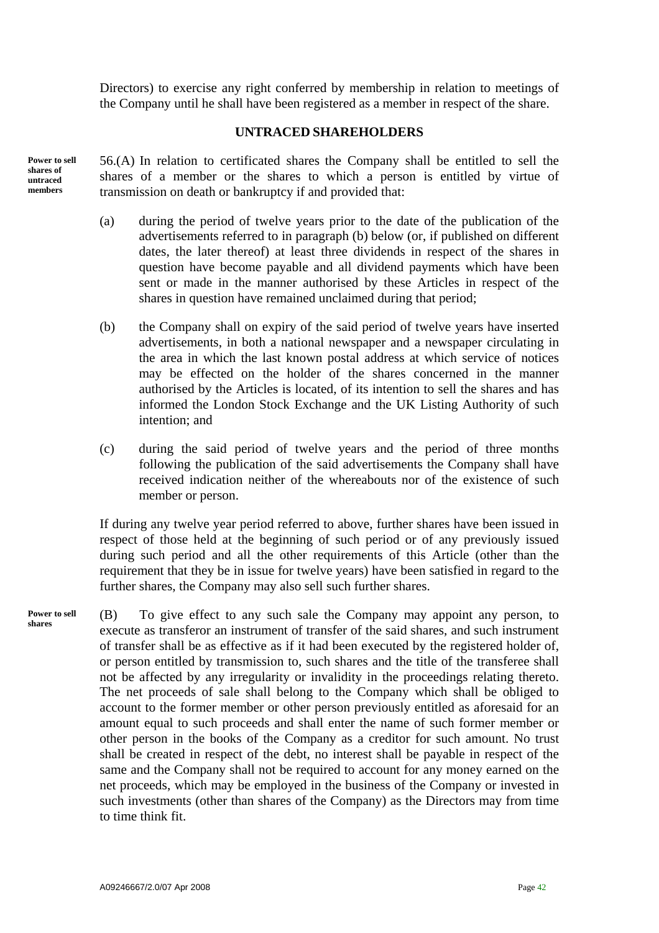Directors) to exercise any right conferred by membership in relation to meetings of the Company until he shall have been registered as a member in respect of the share.

# **UNTRACED SHAREHOLDERS**

**Power to sell shares of untraced members** 

56.(A) In relation to certificated shares the Company shall be entitled to sell the shares of a member or the shares to which a person is entitled by virtue of transmission on death or bankruptcy if and provided that:

- (a) during the period of twelve years prior to the date of the publication of the advertisements referred to in paragraph (b) below (or, if published on different dates, the later thereof) at least three dividends in respect of the shares in question have become payable and all dividend payments which have been sent or made in the manner authorised by these Articles in respect of the shares in question have remained unclaimed during that period;
- (b) the Company shall on expiry of the said period of twelve years have inserted advertisements, in both a national newspaper and a newspaper circulating in the area in which the last known postal address at which service of notices may be effected on the holder of the shares concerned in the manner authorised by the Articles is located, of its intention to sell the shares and has informed the London Stock Exchange and the UK Listing Authority of such intention; and
- (c) during the said period of twelve years and the period of three months following the publication of the said advertisements the Company shall have received indication neither of the whereabouts nor of the existence of such member or person.

If during any twelve year period referred to above, further shares have been issued in respect of those held at the beginning of such period or of any previously issued during such period and all the other requirements of this Article (other than the requirement that they be in issue for twelve years) have been satisfied in regard to the further shares, the Company may also sell such further shares.

(B) To give effect to any such sale the Company may appoint any person, to execute as transferor an instrument of transfer of the said shares, and such instrument of transfer shall be as effective as if it had been executed by the registered holder of, or person entitled by transmission to, such shares and the title of the transferee shall not be affected by any irregularity or invalidity in the proceedings relating thereto. The net proceeds of sale shall belong to the Company which shall be obliged to account to the former member or other person previously entitled as aforesaid for an amount equal to such proceeds and shall enter the name of such former member or other person in the books of the Company as a creditor for such amount. No trust shall be created in respect of the debt, no interest shall be payable in respect of the same and the Company shall not be required to account for any money earned on the net proceeds, which may be employed in the business of the Company or invested in such investments (other than shares of the Company) as the Directors may from time to time think fit. **Power to sell shares**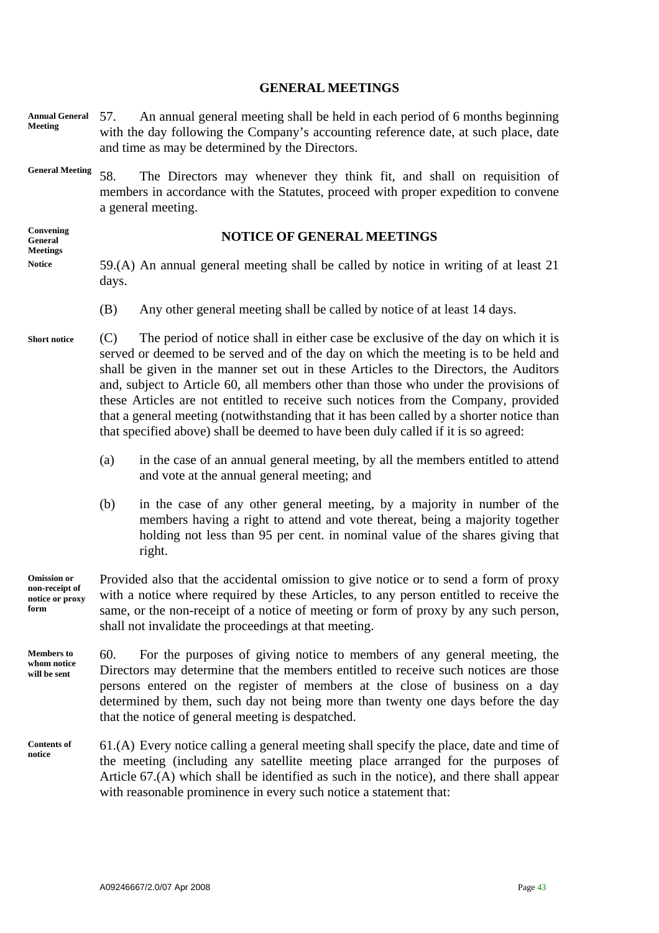### **GENERAL MEETINGS**

- 57. An annual general meeting shall be held in each period of 6 months beginning with the day following the Company's accounting reference date, at such place, date and time as may be determined by the Directors. **Annual General Meeting**
- **General Meeting** 58. The Directors may whenever they think fit, and shall on requisition of members in accordance with the Statutes, proceed with proper expedition to convene a general meeting.

**Convening General Meetings Notice** 

#### **NOTICE OF GENERAL MEETINGS**

- 59.(A) An annual general meeting shall be called by notice in writing of at least 21 days.
	- (B) Any other general meeting shall be called by notice of at least 14 days.

**Short notice**  (C) The period of notice shall in either case be exclusive of the day on which it is served or deemed to be served and of the day on which the meeting is to be held and shall be given in the manner set out in these Articles to the Directors, the Auditors and, subject to Article 60, all members other than those who under the provisions of these Articles are not entitled to receive such notices from the Company, provided that a general meeting (notwithstanding that it has been called by a shorter notice than that specified above) shall be deemed to have been duly called if it is so agreed:

- (a) in the case of an annual general meeting, by all the members entitled to attend and vote at the annual general meeting; and
- (b) in the case of any other general meeting, by a majority in number of the members having a right to attend and vote thereat, being a majority together holding not less than 95 per cent. in nominal value of the shares giving that right.

Provided also that the accidental omission to give notice or to send a form of proxy with a notice where required by these Articles, to any person entitled to receive the same, or the non-receipt of a notice of meeting or form of proxy by any such person, shall not invalidate the proceedings at that meeting. **Omission or non-receipt of notice or proxy form** 

60. For the purposes of giving notice to members of any general meeting, the Directors may determine that the members entitled to receive such notices are those persons entered on the register of members at the close of business on a day determined by them, such day not being more than twenty one days before the day that the notice of general meeting is despatched. **Members to whom notice will be sent** 

61.(A) Every notice calling a general meeting shall specify the place, date and time of the meeting (including any satellite meeting place arranged for the purposes of Article 67.(A) which shall be identified as such in the notice), and there shall appear with reasonable prominence in every such notice a statement that: **Contents of notice**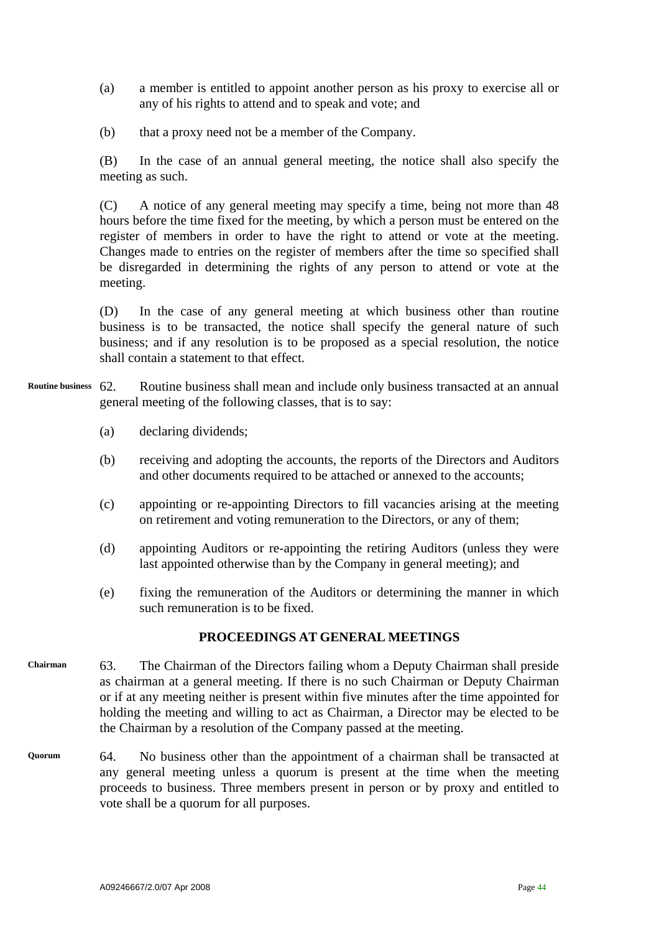- (a) a member is entitled to appoint another person as his proxy to exercise all or any of his rights to attend and to speak and vote; and
- (b) that a proxy need not be a member of the Company.

(B) In the case of an annual general meeting, the notice shall also specify the meeting as such.

(C) A notice of any general meeting may specify a time, being not more than 48 hours before the time fixed for the meeting, by which a person must be entered on the register of members in order to have the right to attend or vote at the meeting. Changes made to entries on the register of members after the time so specified shall be disregarded in determining the rights of any person to attend or vote at the meeting.

(D) In the case of any general meeting at which business other than routine business is to be transacted, the notice shall specify the general nature of such business; and if any resolution is to be proposed as a special resolution, the notice shall contain a statement to that effect.

- 62. Routine business shall mean and include only business transacted at an annual general meeting of the following classes, that is to say: **Routine business** 
	- (a) declaring dividends;
	- (b) receiving and adopting the accounts, the reports of the Directors and Auditors and other documents required to be attached or annexed to the accounts;
	- (c) appointing or re-appointing Directors to fill vacancies arising at the meeting on retirement and voting remuneration to the Directors, or any of them;
	- (d) appointing Auditors or re-appointing the retiring Auditors (unless they were last appointed otherwise than by the Company in general meeting); and
	- (e) fixing the remuneration of the Auditors or determining the manner in which such remuneration is to be fixed.

# **PROCEEDINGS AT GENERAL MEETINGS**

- 63. The Chairman of the Directors failing whom a Deputy Chairman shall preside as chairman at a general meeting. If there is no such Chairman or Deputy Chairman or if at any meeting neither is present within five minutes after the time appointed for holding the meeting and willing to act as Chairman, a Director may be elected to be the Chairman by a resolution of the Company passed at the meeting. **Chairman**
- 64. No business other than the appointment of a chairman shall be transacted at any general meeting unless a quorum is present at the time when the meeting proceeds to business. Three members present in person or by proxy and entitled to vote shall be a quorum for all purposes. **Quorum**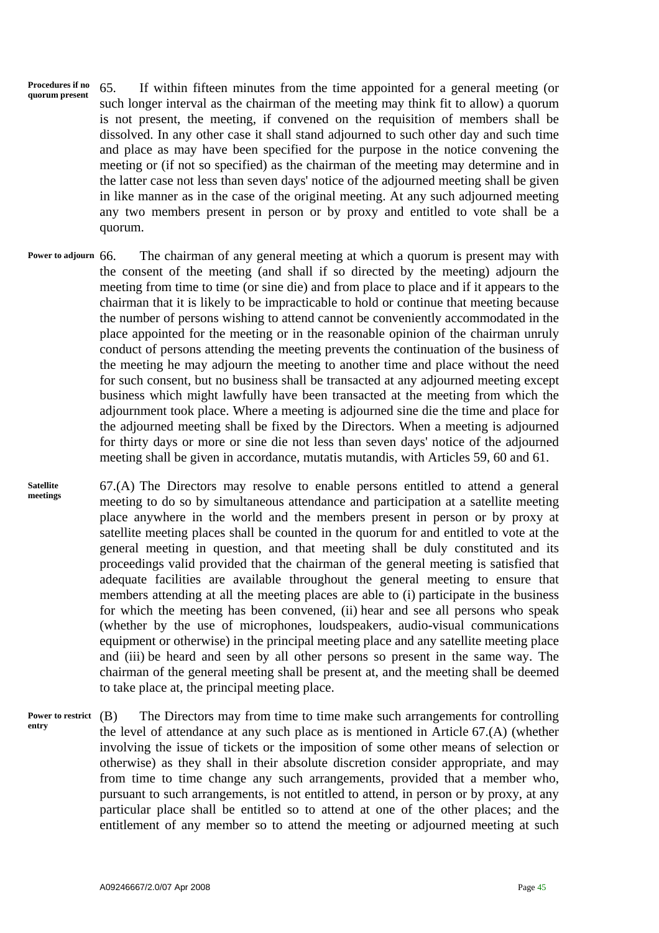**Procedures if no Procedures if no** 65. If within fifteen minutes from the time appointed for a general meeting (or a general meeting or such longer interval as the chairman of the meeting may think fit to allow) a quorum is not present, the meeting, if convened on the requisition of members shall be dissolved. In any other case it shall stand adjourned to such other day and such time and place as may have been specified for the purpose in the notice convening the meeting or (if not so specified) as the chairman of the meeting may determine and in the latter case not less than seven days' notice of the adjourned meeting shall be given in like manner as in the case of the original meeting. At any such adjourned meeting any two members present in person or by proxy and entitled to vote shall be a quorum.

The chairman of any general meeting at which a quorum is present may with the consent of the meeting (and shall if so directed by the meeting) adjourn the meeting from time to time (or sine die) and from place to place and if it appears to the chairman that it is likely to be impracticable to hold or continue that meeting because the number of persons wishing to attend cannot be conveniently accommodated in the place appointed for the meeting or in the reasonable opinion of the chairman unruly conduct of persons attending the meeting prevents the continuation of the business of the meeting he may adjourn the meeting to another time and place without the need for such consent, but no business shall be transacted at any adjourned meeting except business which might lawfully have been transacted at the meeting from which the adjournment took place. Where a meeting is adjourned sine die the time and place for the adjourned meeting shall be fixed by the Directors. When a meeting is adjourned for thirty days or more or sine die not less than seven days' notice of the adjourned meeting shall be given in accordance, mutatis mutandis, with Articles 59, 60 and 61. **Power to adjourn** 

67.(A) The Directors may resolve to enable persons entitled to attend a general meeting to do so by simultaneous attendance and participation at a satellite meeting place anywhere in the world and the members present in person or by proxy at satellite meeting places shall be counted in the quorum for and entitled to vote at the general meeting in question, and that meeting shall be duly constituted and its proceedings valid provided that the chairman of the general meeting is satisfied that adequate facilities are available throughout the general meeting to ensure that members attending at all the meeting places are able to (i) participate in the business for which the meeting has been convened, (ii) hear and see all persons who speak (whether by the use of microphones, loudspeakers, audio-visual communications equipment or otherwise) in the principal meeting place and any satellite meeting place and (iii) be heard and seen by all other persons so present in the same way. The chairman of the general meeting shall be present at, and the meeting shall be deemed to take place at, the principal meeting place. **Satellite meetings** 

The Directors may from time to time make such arrangements for controlling the level of attendance at any such place as is mentioned in Article 67.(A) (whether involving the issue of tickets or the imposition of some other means of selection or otherwise) as they shall in their absolute discretion consider appropriate, and may from time to time change any such arrangements, provided that a member who, pursuant to such arrangements, is not entitled to attend, in person or by proxy, at any particular place shall be entitled so to attend at one of the other places; and the entitlement of any member so to attend the meeting or adjourned meeting at such Power to restrict (B) **entry**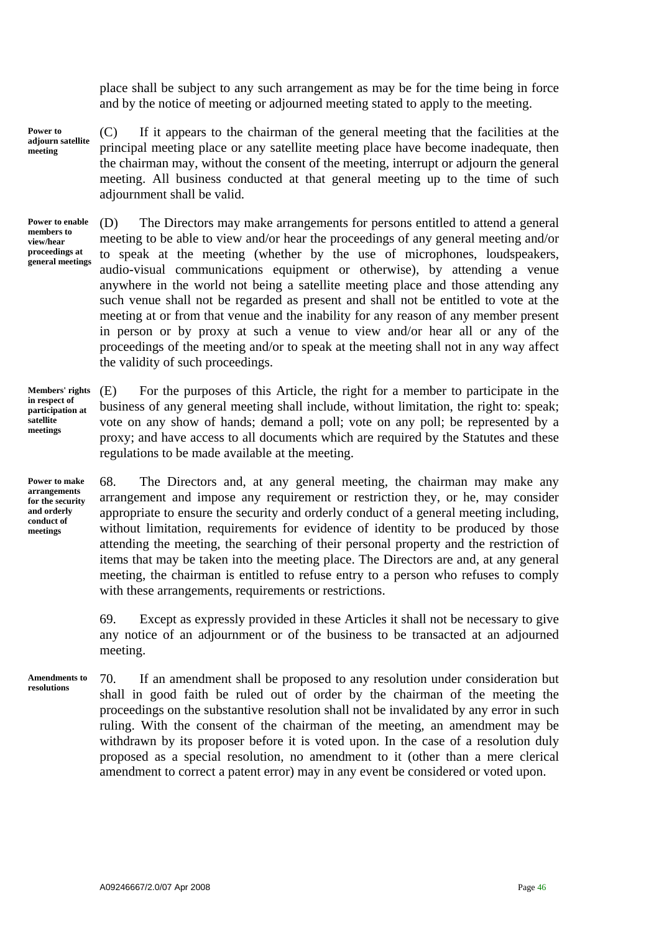place shall be subject to any such arrangement as may be for the time being in force and by the notice of meeting or adjourned meeting stated to apply to the meeting.

**Power to adjourn satellite meeting** 

(C) If it appears to the chairman of the general meeting that the facilities at the principal meeting place or any satellite meeting place have become inadequate, then the chairman may, without the consent of the meeting, interrupt or adjourn the general meeting. All business conducted at that general meeting up to the time of such adjournment shall be valid.

**Power to enable members to view/hear proceedings at general meetings** 

(D) The Directors may make arrangements for persons entitled to attend a general meeting to be able to view and/or hear the proceedings of any general meeting and/or to speak at the meeting (whether by the use of microphones, loudspeakers, audio-visual communications equipment or otherwise), by attending a venue anywhere in the world not being a satellite meeting place and those attending any such venue shall not be regarded as present and shall not be entitled to vote at the meeting at or from that venue and the inability for any reason of any member present in person or by proxy at such a venue to view and/or hear all or any of the proceedings of the meeting and/or to speak at the meeting shall not in any way affect the validity of such proceedings.

**Members' rights in respect of participation at satellite meetings** 

**Power to make arrangements for the security and orderly conduct of meetings** 

(E) For the purposes of this Article, the right for a member to participate in the business of any general meeting shall include, without limitation, the right to: speak; vote on any show of hands; demand a poll; vote on any poll; be represented by a proxy; and have access to all documents which are required by the Statutes and these regulations to be made available at the meeting.

68. The Directors and, at any general meeting, the chairman may make any arrangement and impose any requirement or restriction they, or he, may consider appropriate to ensure the security and orderly conduct of a general meeting including, without limitation, requirements for evidence of identity to be produced by those attending the meeting, the searching of their personal property and the restriction of items that may be taken into the meeting place. The Directors are and, at any general meeting, the chairman is entitled to refuse entry to a person who refuses to comply with these arrangements, requirements or restrictions.

69. Except as expressly provided in these Articles it shall not be necessary to give any notice of an adjournment or of the business to be transacted at an adjourned meeting.

70. If an amendment shall be proposed to any resolution under consideration but shall in good faith be ruled out of order by the chairman of the meeting the proceedings on the substantive resolution shall not be invalidated by any error in such ruling. With the consent of the chairman of the meeting, an amendment may be withdrawn by its proposer before it is voted upon. In the case of a resolution duly proposed as a special resolution, no amendment to it (other than a mere clerical amendment to correct a patent error) may in any event be considered or voted upon. **Amendments to resolutions**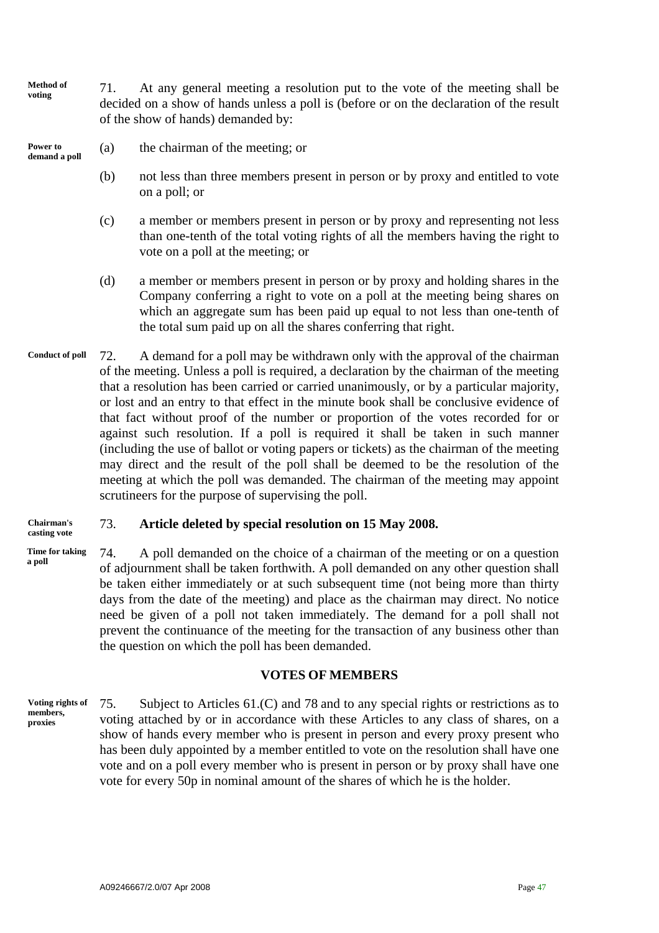**Method of Method of** 71. At any general meeting a resolution put to the vote of the meeting shall be voting decided on a show of hands unless a poll is (before or on the declaration of the result of the show of hands) demanded by:

**Power to** (a) the chairman of the meeting; or demand a poll

- (b) not less than three members present in person or by proxy and entitled to vote on a poll; or
- (c) a member or members present in person or by proxy and representing not less than one-tenth of the total voting rights of all the members having the right to vote on a poll at the meeting; or
- (d) a member or members present in person or by proxy and holding shares in the Company conferring a right to vote on a poll at the meeting being shares on which an aggregate sum has been paid up equal to not less than one-tenth of the total sum paid up on all the shares conferring that right.
- 72. A demand for a poll may be withdrawn only with the approval of the chairman of the meeting. Unless a poll is required, a declaration by the chairman of the meeting that a resolution has been carried or carried unanimously, or by a particular majority, or lost and an entry to that effect in the minute book shall be conclusive evidence of that fact without proof of the number or proportion of the votes recorded for or against such resolution. If a poll is required it shall be taken in such manner (including the use of ballot or voting papers or tickets) as the chairman of the meeting may direct and the result of the poll shall be deemed to be the resolution of the meeting at which the poll was demanded. The chairman of the meeting may appoint scrutineers for the purpose of supervising the poll. **Conduct of poll**

# **Chairman's** 73. **Article deleted by special resolution on 15 May 2008. casting vote**

74. A poll demanded on the choice of a chairman of the meeting or on a question of adjournment shall be taken forthwith. A poll demanded on any other question shall be taken either immediately or at such subsequent time (not being more than thirty days from the date of the meeting) and place as the chairman may direct. No notice need be given of a poll not taken immediately. The demand for a poll shall not prevent the continuance of the meeting for the transaction of any business other than the question on which the poll has been demanded. **Time for taking a poll** 

# **VOTES OF MEMBERS**

75. Subject to Articles 61.(C) and 78 and to any special rights or restrictions as to voting attached by or in accordance with these Articles to any class of shares, on a show of hands every member who is present in person and every proxy present who has been duly appointed by a member entitled to vote on the resolution shall have one vote and on a poll every member who is present in person or by proxy shall have one vote for every 50p in nominal amount of the shares of which he is the holder. **Voting rights of members, proxies**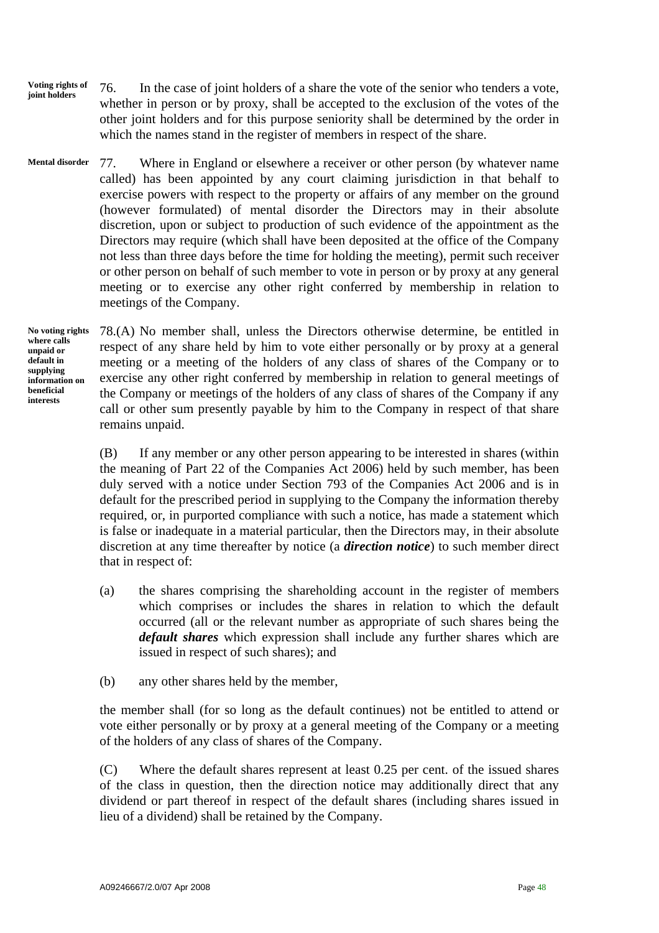- **Voting rights of joint holders** 76. In the case of joint holders of a share the vote of the senior who tenders a vote, whether in person or by proxy, shall be accepted to the exclusion of the votes of the other joint holders and for this purpose seniority shall be determined by the order in which the names stand in the register of members in respect of the share.
- 77. Where in England or elsewhere a receiver or other person (by whatever name called) has been appointed by any court claiming jurisdiction in that behalf to exercise powers with respect to the property or affairs of any member on the ground (however formulated) of mental disorder the Directors may in their absolute discretion, upon or subject to production of such evidence of the appointment as the Directors may require (which shall have been deposited at the office of the Company not less than three days before the time for holding the meeting), permit such receiver or other person on behalf of such member to vote in person or by proxy at any general meeting or to exercise any other right conferred by membership in relation to meetings of the Company. **Mental disorder**

**No voting rights where calls unpaid or default in supplying information on beneficial interests** 

78.(A) No member shall, unless the Directors otherwise determine, be entitled in respect of any share held by him to vote either personally or by proxy at a general meeting or a meeting of the holders of any class of shares of the Company or to exercise any other right conferred by membership in relation to general meetings of the Company or meetings of the holders of any class of shares of the Company if any call or other sum presently payable by him to the Company in respect of that share remains unpaid.

(B) If any member or any other person appearing to be interested in shares (within the meaning of Part 22 of the Companies Act 2006) held by such member, has been duly served with a notice under Section 793 of the Companies Act 2006 and is in default for the prescribed period in supplying to the Company the information thereby required, or, in purported compliance with such a notice, has made a statement which is false or inadequate in a material particular, then the Directors may, in their absolute discretion at any time thereafter by notice (a *direction notice*) to such member direct that in respect of:

- (a) the shares comprising the shareholding account in the register of members which comprises or includes the shares in relation to which the default occurred (all or the relevant number as appropriate of such shares being the *default shares* which expression shall include any further shares which are issued in respect of such shares); and
- (b) any other shares held by the member,

the member shall (for so long as the default continues) not be entitled to attend or vote either personally or by proxy at a general meeting of the Company or a meeting of the holders of any class of shares of the Company.

(C) Where the default shares represent at least 0.25 per cent. of the issued shares of the class in question, then the direction notice may additionally direct that any dividend or part thereof in respect of the default shares (including shares issued in lieu of a dividend) shall be retained by the Company.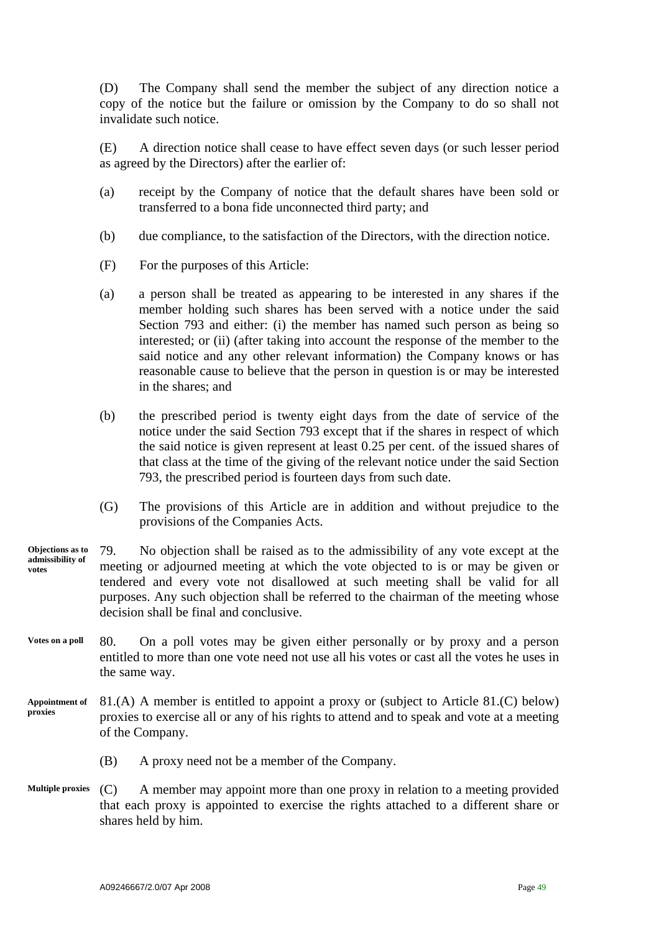(D) The Company shall send the member the subject of any direction notice a copy of the notice but the failure or omission by the Company to do so shall not invalidate such notice.

(E) A direction notice shall cease to have effect seven days (or such lesser period as agreed by the Directors) after the earlier of:

- (a) receipt by the Company of notice that the default shares have been sold or transferred to a bona fide unconnected third party; and
- (b) due compliance, to the satisfaction of the Directors, with the direction notice.
- (F) For the purposes of this Article:
- (a) a person shall be treated as appearing to be interested in any shares if the member holding such shares has been served with a notice under the said Section 793 and either: (i) the member has named such person as being so interested; or (ii) (after taking into account the response of the member to the said notice and any other relevant information) the Company knows or has reasonable cause to believe that the person in question is or may be interested in the shares; and
- (b) the prescribed period is twenty eight days from the date of service of the notice under the said Section 793 except that if the shares in respect of which the said notice is given represent at least 0.25 per cent. of the issued shares of that class at the time of the giving of the relevant notice under the said Section 793, the prescribed period is fourteen days from such date.
- (G) The provisions of this Article are in addition and without prejudice to the provisions of the Companies Acts.
- 79. No objection shall be raised as to the admissibility of any vote except at the meeting or adjourned meeting at which the vote objected to is or may be given or tendered and every vote not disallowed at such meeting shall be valid for all purposes. Any such objection shall be referred to the chairman of the meeting whose decision shall be final and conclusive. **Objections as to admissibility of votes**
- 80. On a poll votes may be given either personally or by proxy and a person entitled to more than one vote need not use all his votes or cast all the votes he uses in the same way. **Votes on a poll**
- 81.(A) A member is entitled to appoint a proxy or (subject to Article 81.(C) below) proxies to exercise all or any of his rights to attend and to speak and vote at a meeting of the Company. **Appointment of proxies** 
	- (B) A proxy need not be a member of the Company.
- (C) A member may appoint more than one proxy in relation to a meeting provided that each proxy is appointed to exercise the rights attached to a different share or shares held by him. **Multiple proxies**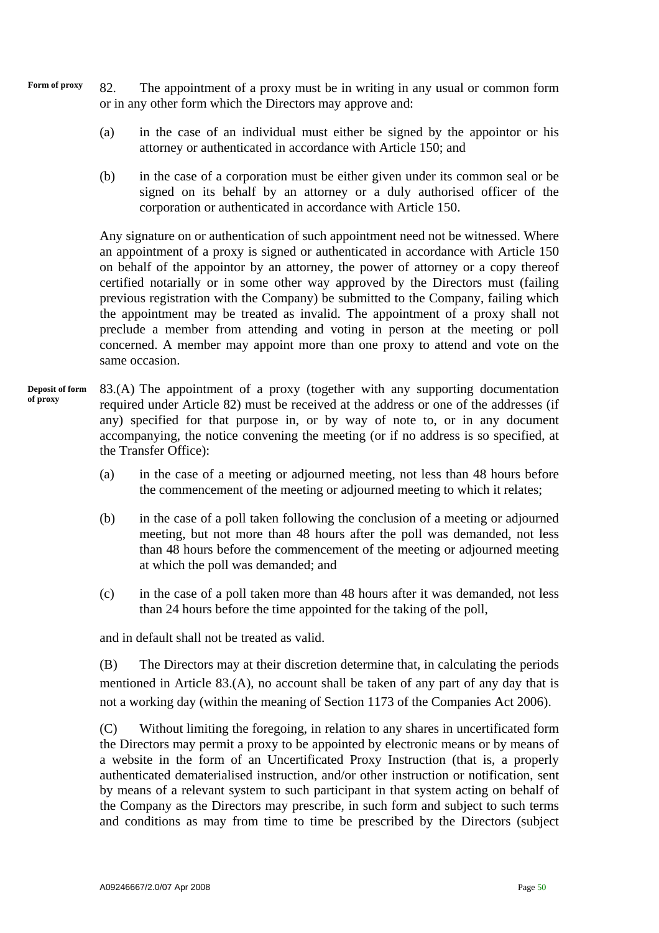- **Form of proxy** 82. The appointment of a proxy must be in writing in any usual or common form or in any other form which the Directors may approve and:
	- (a) in the case of an individual must either be signed by the appointor or his attorney or authenticated in accordance with Article 150; and
	- (b) in the case of a corporation must be either given under its common seal or be signed on its behalf by an attorney or a duly authorised officer of the corporation or authenticated in accordance with Article 150.

Any signature on or authentication of such appointment need not be witnessed. Where an appointment of a proxy is signed or authenticated in accordance with Article 150 on behalf of the appointor by an attorney, the power of attorney or a copy thereof certified notarially or in some other way approved by the Directors must (failing previous registration with the Company) be submitted to the Company, failing which the appointment may be treated as invalid. The appointment of a proxy shall not preclude a member from attending and voting in person at the meeting or poll concerned. A member may appoint more than one proxy to attend and vote on the same occasion.

- 83.(A) The appointment of a proxy (together with any supporting documentation required under Article 82) must be received at the address or one of the addresses (if any) specified for that purpose in, or by way of note to, or in any document accompanying, the notice convening the meeting (or if no address is so specified, at the Transfer Office): **Deposit of form of proxy** 
	- (a) in the case of a meeting or adjourned meeting, not less than 48 hours before the commencement of the meeting or adjourned meeting to which it relates;
	- (b) in the case of a poll taken following the conclusion of a meeting or adjourned meeting, but not more than 48 hours after the poll was demanded, not less than 48 hours before the commencement of the meeting or adjourned meeting at which the poll was demanded; and
	- (c) in the case of a poll taken more than 48 hours after it was demanded, not less than 24 hours before the time appointed for the taking of the poll,

and in default shall not be treated as valid.

(B) The Directors may at their discretion determine that, in calculating the periods mentioned in Article 83.(A), no account shall be taken of any part of any day that is not a working day (within the meaning of Section 1173 of the Companies Act 2006).

(C) Without limiting the foregoing, in relation to any shares in uncertificated form the Directors may permit a proxy to be appointed by electronic means or by means of a website in the form of an Uncertificated Proxy Instruction (that is, a properly authenticated dematerialised instruction, and/or other instruction or notification, sent by means of a relevant system to such participant in that system acting on behalf of the Company as the Directors may prescribe, in such form and subject to such terms and conditions as may from time to time be prescribed by the Directors (subject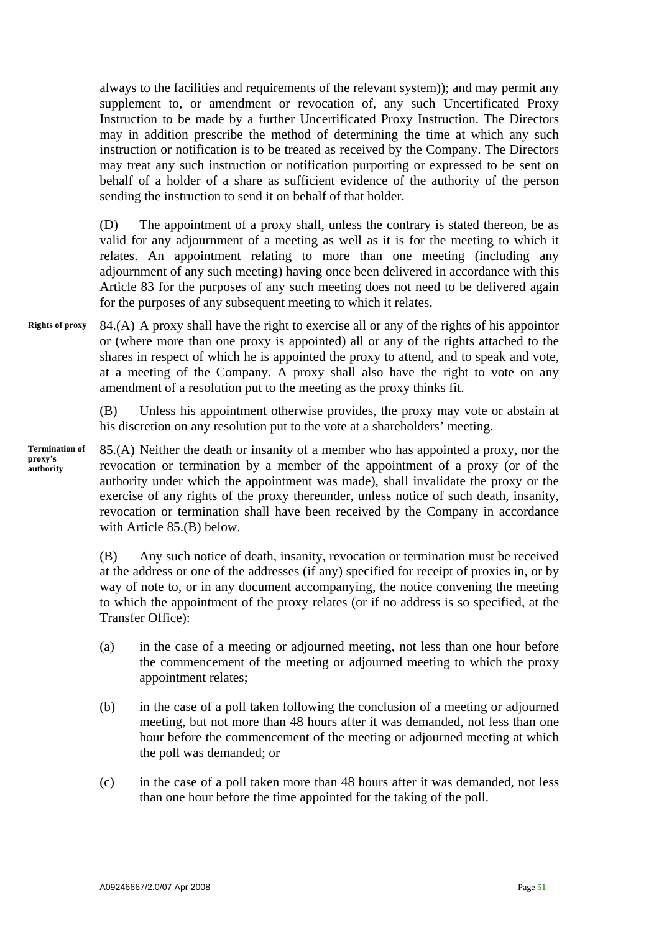always to the facilities and requirements of the relevant system)); and may permit any supplement to, or amendment or revocation of, any such Uncertificated Proxy Instruction to be made by a further Uncertificated Proxy Instruction. The Directors may in addition prescribe the method of determining the time at which any such instruction or notification is to be treated as received by the Company. The Directors may treat any such instruction or notification purporting or expressed to be sent on behalf of a holder of a share as sufficient evidence of the authority of the person sending the instruction to send it on behalf of that holder.

(D) The appointment of a proxy shall, unless the contrary is stated thereon, be as valid for any adjournment of a meeting as well as it is for the meeting to which it relates. An appointment relating to more than one meeting (including any adjournment of any such meeting) having once been delivered in accordance with this Article 83 for the purposes of any such meeting does not need to be delivered again for the purposes of any subsequent meeting to which it relates.

84.(A) A proxy shall have the right to exercise all or any of the rights of his appointor or (where more than one proxy is appointed) all or any of the rights attached to the shares in respect of which he is appointed the proxy to attend, and to speak and vote, at a meeting of the Company. A proxy shall also have the right to vote on any amendment of a resolution put to the meeting as the proxy thinks fit. **Rights of proxy** 

> (B) Unless his appointment otherwise provides, the proxy may vote or abstain at his discretion on any resolution put to the vote at a shareholders' meeting.

85.(A) Neither the death or insanity of a member who has appointed a proxy, nor the revocation or termination by a member of the appointment of a proxy (or of the authority under which the appointment was made), shall invalidate the proxy or the exercise of any rights of the proxy thereunder, unless notice of such death, insanity, revocation or termination shall have been received by the Company in accordance with Article 85.(B) below. **Termination of proxy's authority** 

> (B) Any such notice of death, insanity, revocation or termination must be received at the address or one of the addresses (if any) specified for receipt of proxies in, or by way of note to, or in any document accompanying, the notice convening the meeting to which the appointment of the proxy relates (or if no address is so specified, at the Transfer Office):

- (a) in the case of a meeting or adjourned meeting, not less than one hour before the commencement of the meeting or adjourned meeting to which the proxy appointment relates;
- (b) in the case of a poll taken following the conclusion of a meeting or adjourned meeting, but not more than 48 hours after it was demanded, not less than one hour before the commencement of the meeting or adjourned meeting at which the poll was demanded; or
- (c) in the case of a poll taken more than 48 hours after it was demanded, not less than one hour before the time appointed for the taking of the poll.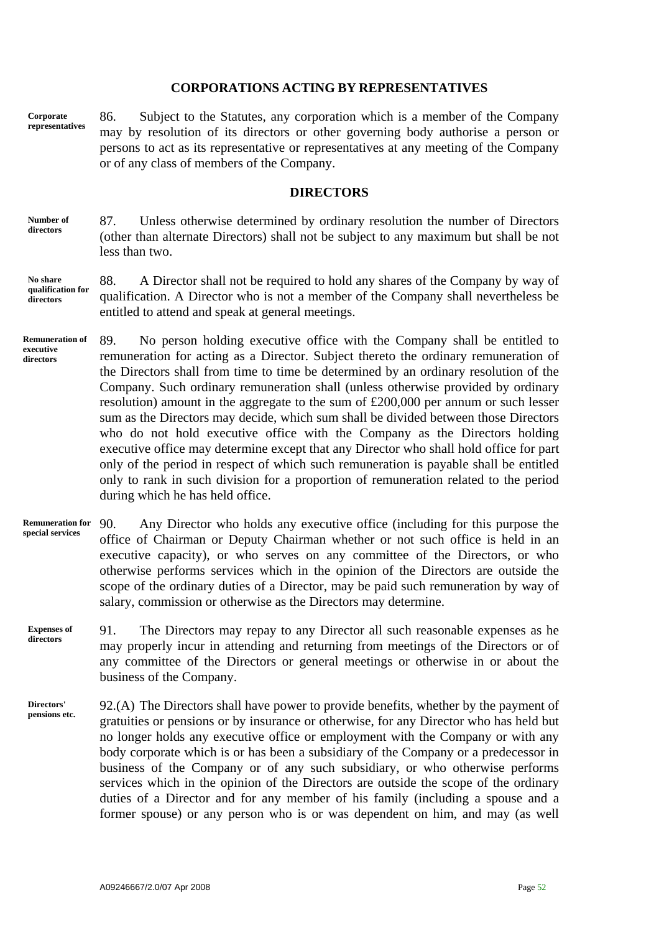#### **CORPORATIONS ACTING BY REPRESENTATIVES**

**Corporate representatives**  86. Subject to the Statutes, any corporation which is a member of the Company may by resolution of its directors or other governing body authorise a person or persons to act as its representative or representatives at any meeting of the Company or of any class of members of the Company.

#### **DIRECTORS**

87. Unless otherwise determined by ordinary resolution the number of Directors (other than alternate Directors) shall not be subject to any maximum but shall be not less than two. **Number of directors** 

#### 88. A Director shall not be required to hold any shares of the Company by way of qualification. A Director who is not a member of the Company shall nevertheless be entitled to attend and speak at general meetings. **No share qualification for directors**

- 89. No person holding executive office with the Company shall be entitled to remuneration for acting as a Director. Subject thereto the ordinary remuneration of the Directors shall from time to time be determined by an ordinary resolution of the Company. Such ordinary remuneration shall (unless otherwise provided by ordinary resolution) amount in the aggregate to the sum of £200,000 per annum or such lesser sum as the Directors may decide, which sum shall be divided between those Directors who do not hold executive office with the Company as the Directors holding executive office may determine except that any Director who shall hold office for part only of the period in respect of which such remuneration is payable shall be entitled only to rank in such division for a proportion of remuneration related to the period during which he has held office. **Remuneration of executive directors**
- 90. Any Director who holds any executive office (including for this purpose the office of Chairman or Deputy Chairman whether or not such office is held in an executive capacity), or who serves on any committee of the Directors, or who otherwise performs services which in the opinion of the Directors are outside the scope of the ordinary duties of a Director, may be paid such remuneration by way of salary, commission or otherwise as the Directors may determine. **Remuneration for special services**
- 91. The Directors may repay to any Director all such reasonable expenses as he may properly incur in attending and returning from meetings of the Directors or of any committee of the Directors or general meetings or otherwise in or about the business of the Company. **Expenses of directors**
- 92.(A) The Directors shall have power to provide benefits, whether by the payment of gratuities or pensions or by insurance or otherwise, for any Director who has held but no longer holds any executive office or employment with the Company or with any body corporate which is or has been a subsidiary of the Company or a predecessor in business of the Company or of any such subsidiary, or who otherwise performs services which in the opinion of the Directors are outside the scope of the ordinary duties of a Director and for any member of his family (including a spouse and a former spouse) or any person who is or was dependent on him, and may (as well **Directors' pensions etc.**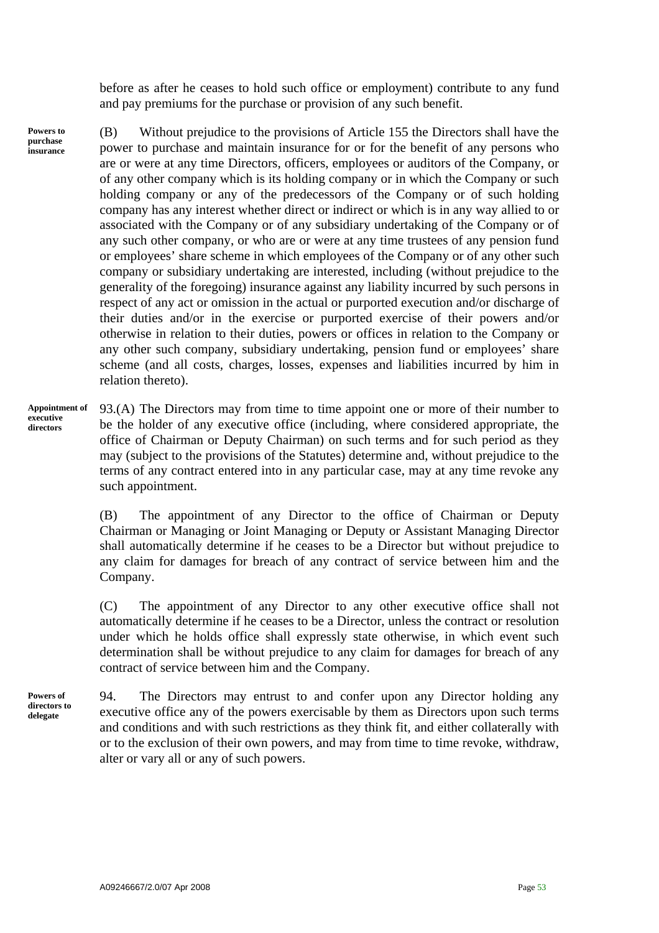before as after he ceases to hold such office or employment) contribute to any fund and pay premiums for the purchase or provision of any such benefit.

**Powers to purchase insurance**  (B) Without prejudice to the provisions of Article 155 the Directors shall have the power to purchase and maintain insurance for or for the benefit of any persons who are or were at any time Directors, officers, employees or auditors of the Company, or of any other company which is its holding company or in which the Company or such holding company or any of the predecessors of the Company or of such holding company has any interest whether direct or indirect or which is in any way allied to or associated with the Company or of any subsidiary undertaking of the Company or of any such other company, or who are or were at any time trustees of any pension fund or employees' share scheme in which employees of the Company or of any other such company or subsidiary undertaking are interested, including (without prejudice to the generality of the foregoing) insurance against any liability incurred by such persons in respect of any act or omission in the actual or purported execution and/or discharge of their duties and/or in the exercise or purported exercise of their powers and/or otherwise in relation to their duties, powers or offices in relation to the Company or any other such company, subsidiary undertaking, pension fund or employees' share scheme (and all costs, charges, losses, expenses and liabilities incurred by him in relation thereto).

93.(A) The Directors may from time to time appoint one or more of their number to be the holder of any executive office (including, where considered appropriate, the office of Chairman or Deputy Chairman) on such terms and for such period as they may (subject to the provisions of the Statutes) determine and, without prejudice to the terms of any contract entered into in any particular case, may at any time revoke any such appointment. **Appointment of executive directors** 

> (B) The appointment of any Director to the office of Chairman or Deputy Chairman or Managing or Joint Managing or Deputy or Assistant Managing Director shall automatically determine if he ceases to be a Director but without prejudice to any claim for damages for breach of any contract of service between him and the Company.

> (C) The appointment of any Director to any other executive office shall not automatically determine if he ceases to be a Director, unless the contract or resolution under which he holds office shall expressly state otherwise, in which event such determination shall be without prejudice to any claim for damages for breach of any contract of service between him and the Company.

**Powers of directors to delegate** 

94. The Directors may entrust to and confer upon any Director holding any executive office any of the powers exercisable by them as Directors upon such terms and conditions and with such restrictions as they think fit, and either collaterally with or to the exclusion of their own powers, and may from time to time revoke, withdraw, alter or vary all or any of such powers.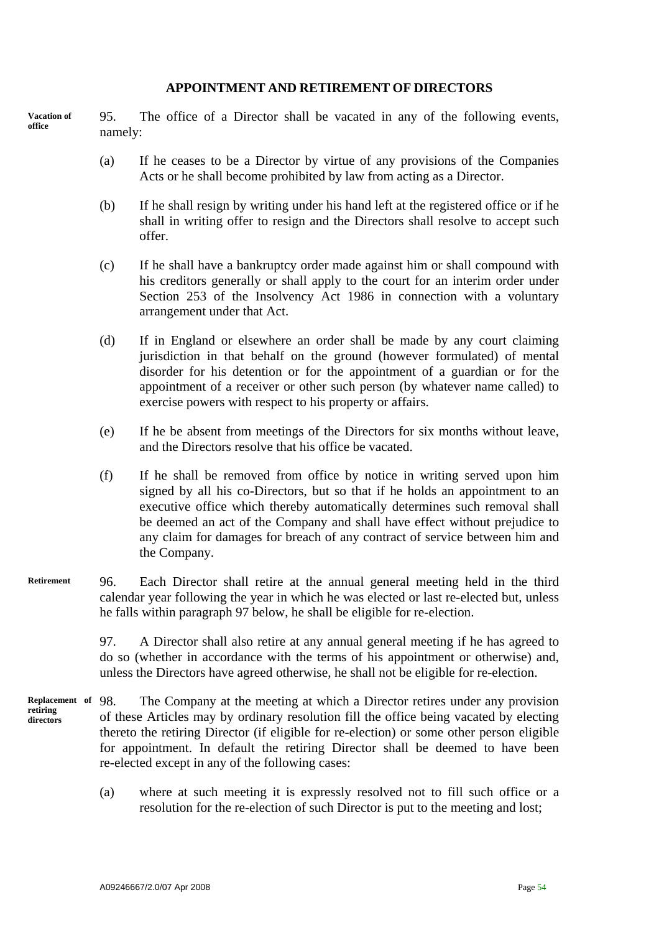#### **APPOINTMENT AND RETIREMENT OF DIRECTORS**

95. The office of a Director shall be vacated in any of the following events, namely: **Vacation of office** 

- (a) If he ceases to be a Director by virtue of any provisions of the Companies Acts or he shall become prohibited by law from acting as a Director.
- (b) If he shall resign by writing under his hand left at the registered office or if he shall in writing offer to resign and the Directors shall resolve to accept such offer.
- (c) If he shall have a bankruptcy order made against him or shall compound with his creditors generally or shall apply to the court for an interim order under Section 253 of the Insolvency Act 1986 in connection with a voluntary arrangement under that Act.
- (d) If in England or elsewhere an order shall be made by any court claiming jurisdiction in that behalf on the ground (however formulated) of mental disorder for his detention or for the appointment of a guardian or for the appointment of a receiver or other such person (by whatever name called) to exercise powers with respect to his property or affairs.
- (e) If he be absent from meetings of the Directors for six months without leave, and the Directors resolve that his office be vacated.
- (f) If he shall be removed from office by notice in writing served upon him signed by all his co-Directors, but so that if he holds an appointment to an executive office which thereby automatically determines such removal shall be deemed an act of the Company and shall have effect without prejudice to any claim for damages for breach of any contract of service between him and the Company.
- 96. Each Director shall retire at the annual general meeting held in the third calendar year following the year in which he was elected or last re-elected but, unless he falls within paragraph 97 below, he shall be eligible for re-election. **Retirement**

97. A Director shall also retire at any annual general meeting if he has agreed to do so (whether in accordance with the terms of his appointment or otherwise) and, unless the Directors have agreed otherwise, he shall not be eligible for re-election.

- The Company at the meeting at which a Director retires under any provision of these Articles may by ordinary resolution fill the office being vacated by electing thereto the retiring Director (if eligible for re-election) or some other person eligible for appointment. In default the retiring Director shall be deemed to have been re-elected except in any of the following cases: **Replacement of retiring directors** 
	- (a) where at such meeting it is expressly resolved not to fill such office or a resolution for the re-election of such Director is put to the meeting and lost;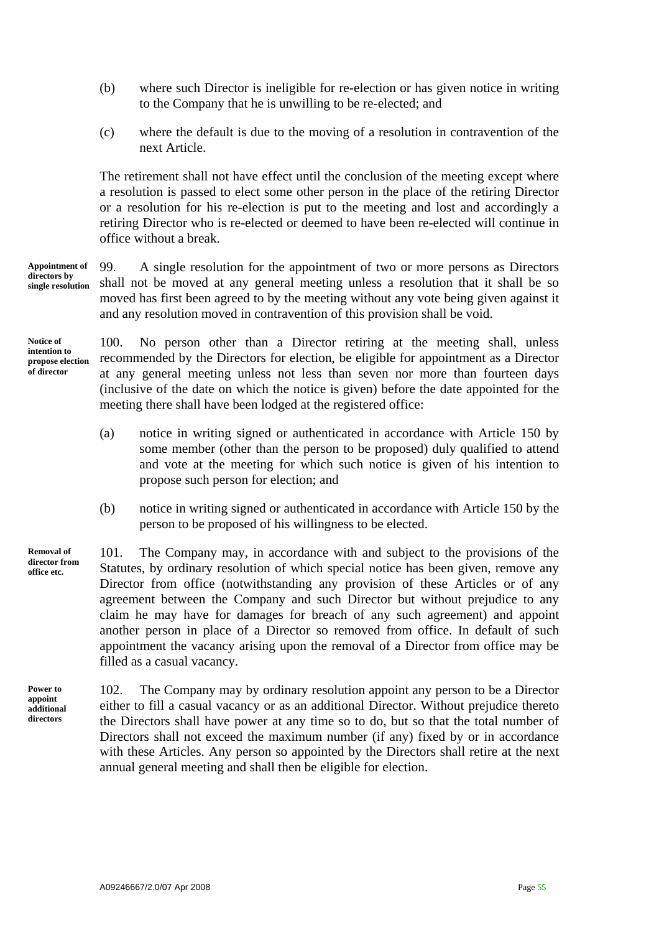- (b) where such Director is ineligible for re-election or has given notice in writing to the Company that he is unwilling to be re-elected; and
- (c) where the default is due to the moving of a resolution in contravention of the next Article.

The retirement shall not have effect until the conclusion of the meeting except where a resolution is passed to elect some other person in the place of the retiring Director or a resolution for his re-election is put to the meeting and lost and accordingly a retiring Director who is re-elected or deemed to have been re-elected will continue in office without a break.

99. A single resolution for the appointment of two or more persons as Directors shall not be moved at any general meeting unless a resolution that it shall be so moved has first been agreed to by the meeting without any vote being given against it and any resolution moved in contravention of this provision shall be void. **Appointment of directors by single resolution** 

**Notice of intention to propose election of director** 

100. No person other than a Director retiring at the meeting shall, unless recommended by the Directors for election, be eligible for appointment as a Director at any general meeting unless not less than seven nor more than fourteen days (inclusive of the date on which the notice is given) before the date appointed for the meeting there shall have been lodged at the registered office:

- (a) notice in writing signed or authenticated in accordance with Article 150 by some member (other than the person to be proposed) duly qualified to attend and vote at the meeting for which such notice is given of his intention to propose such person for election; and
- (b) notice in writing signed or authenticated in accordance with Article 150 by the person to be proposed of his willingness to be elected.

101. The Company may, in accordance with and subject to the provisions of the Statutes, by ordinary resolution of which special notice has been given, remove any Director from office (notwithstanding any provision of these Articles or of any agreement between the Company and such Director but without prejudice to any claim he may have for damages for breach of any such agreement) and appoint another person in place of a Director so removed from office. In default of such appointment the vacancy arising upon the removal of a Director from office may be filled as a casual vacancy. **director from** 

**Power to appoint additional directors** 

**Removal of** 

**office etc.** 

102. The Company may by ordinary resolution appoint any person to be a Director either to fill a casual vacancy or as an additional Director. Without prejudice thereto the Directors shall have power at any time so to do, but so that the total number of Directors shall not exceed the maximum number (if any) fixed by or in accordance with these Articles. Any person so appointed by the Directors shall retire at the next annual general meeting and shall then be eligible for election.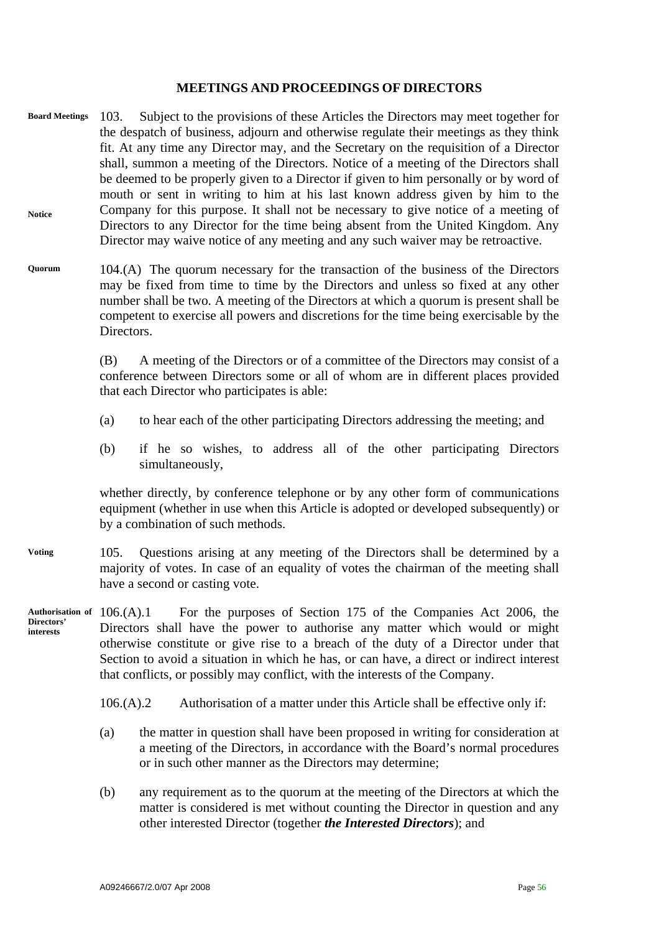#### **MEETINGS AND PROCEEDINGS OF DIRECTORS**

- 103. Subject to the provisions of these Articles the Directors may meet together for the despatch of business, adjourn and otherwise regulate their meetings as they think fit. At any time any Director may, and the Secretary on the requisition of a Director shall, summon a meeting of the Directors. Notice of a meeting of the Directors shall be deemed to be properly given to a Director if given to him personally or by word of mouth or sent in writing to him at his last known address given by him to the Company for this purpose. It shall not be necessary to give notice of a meeting of Directors to any Director for the time being absent from the United Kingdom. Any Director may waive notice of any meeting and any such waiver may be retroactive. **Board Meetings Notice**
- 104.(A) The quorum necessary for the transaction of the business of the Directors may be fixed from time to time by the Directors and unless so fixed at any other number shall be two. A meeting of the Directors at which a quorum is present shall be competent to exercise all powers and discretions for the time being exercisable by the Directors. **Quorum**

(B) A meeting of the Directors or of a committee of the Directors may consist of a conference between Directors some or all of whom are in different places provided that each Director who participates is able:

- (a) to hear each of the other participating Directors addressing the meeting; and
- (b) if he so wishes, to address all of the other participating Directors simultaneously,

whether directly, by conference telephone or by any other form of communications equipment (whether in use when this Article is adopted or developed subsequently) or by a combination of such methods.

- 105. Questions arising at any meeting of the Directors shall be determined by a majority of votes. In case of an equality of votes the chairman of the meeting shall have a second or casting vote. **Voting**
- 106.(A).1 For the purposes of Section 175 of the Companies Act 2006, the Directors shall have the power to authorise any matter which would or might otherwise constitute or give rise to a breach of the duty of a Director under that Section to avoid a situation in which he has, or can have, a direct or indirect interest that conflicts, or possibly may conflict, with the interests of the Company. **Authorisation of Directors' interests** 
	- 106.(A).2 Authorisation of a matter under this Article shall be effective only if:
	- (a) the matter in question shall have been proposed in writing for consideration at a meeting of the Directors, in accordance with the Board's normal procedures or in such other manner as the Directors may determine;
	- (b) any requirement as to the quorum at the meeting of the Directors at which the matter is considered is met without counting the Director in question and any other interested Director (together *the Interested Directors*); and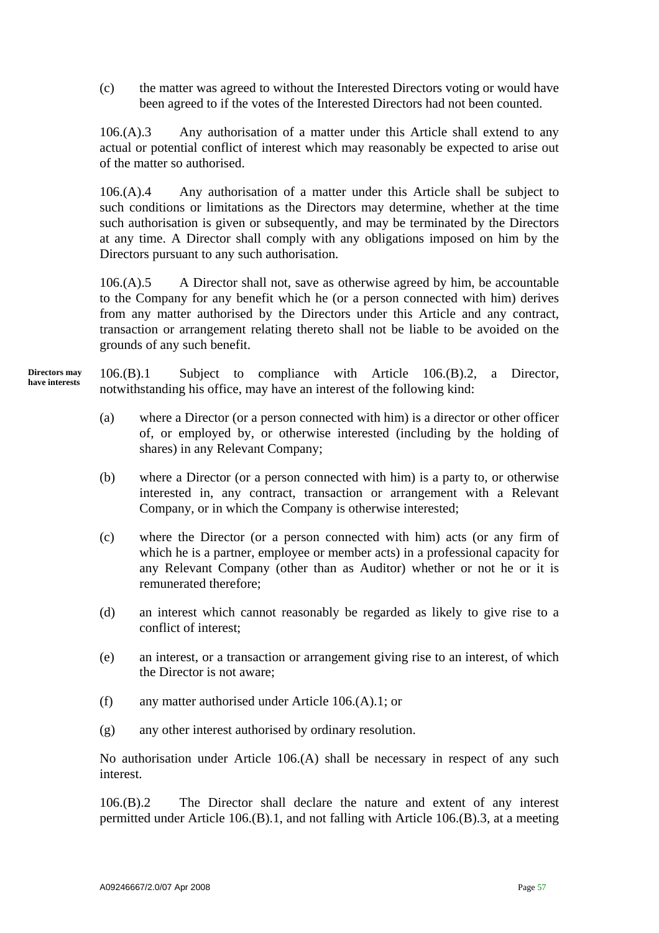(c) the matter was agreed to without the Interested Directors voting or would have been agreed to if the votes of the Interested Directors had not been counted.

106.(A).3 Any authorisation of a matter under this Article shall extend to any actual or potential conflict of interest which may reasonably be expected to arise out of the matter so authorised.

106.(A).4 Any authorisation of a matter under this Article shall be subject to such conditions or limitations as the Directors may determine, whether at the time such authorisation is given or subsequently, and may be terminated by the Directors at any time. A Director shall comply with any obligations imposed on him by the Directors pursuant to any such authorisation.

106.(A).5 A Director shall not, save as otherwise agreed by him, be accountable to the Company for any benefit which he (or a person connected with him) derives from any matter authorised by the Directors under this Article and any contract, transaction or arrangement relating thereto shall not be liable to be avoided on the grounds of any such benefit.

106.(B).1 Subject to compliance with Article 106.(B).2, a Director, notwithstanding his office, may have an interest of the following kind: **Directors may have interests** 

- (a) where a Director (or a person connected with him) is a director or other officer of, or employed by, or otherwise interested (including by the holding of shares) in any Relevant Company;
- (b) where a Director (or a person connected with him) is a party to, or otherwise interested in, any contract, transaction or arrangement with a Relevant Company, or in which the Company is otherwise interested;
- (c) where the Director (or a person connected with him) acts (or any firm of which he is a partner, employee or member acts) in a professional capacity for any Relevant Company (other than as Auditor) whether or not he or it is remunerated therefore;
- (d) an interest which cannot reasonably be regarded as likely to give rise to a conflict of interest;
- (e) an interest, or a transaction or arrangement giving rise to an interest, of which the Director is not aware;
- (f) any matter authorised under Article 106.(A).1; or
- (g) any other interest authorised by ordinary resolution.

No authorisation under Article 106.(A) shall be necessary in respect of any such interest.

106.(B).2 The Director shall declare the nature and extent of any interest permitted under Article 106.(B).1, and not falling with Article 106.(B).3, at a meeting

A09246667/2.0/07 Apr 2008 **Page 57**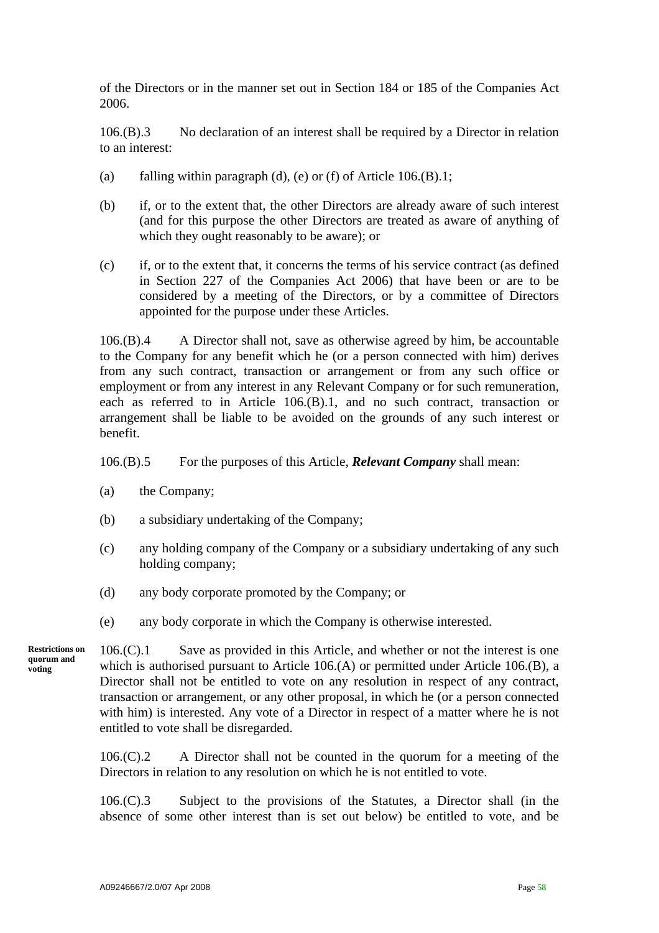of the Directors or in the manner set out in Section 184 or 185 of the Companies Act 2006.

106.(B).3 No declaration of an interest shall be required by a Director in relation to an interest:

- (a) falling within paragraph (d), (e) or (f) of Article  $106.(B).1;$
- (b) if, or to the extent that, the other Directors are already aware of such interest (and for this purpose the other Directors are treated as aware of anything of which they ought reasonably to be aware); or
- (c) if, or to the extent that, it concerns the terms of his service contract (as defined in Section 227 of the Companies Act 2006) that have been or are to be considered by a meeting of the Directors, or by a committee of Directors appointed for the purpose under these Articles.

106.(B).4 A Director shall not, save as otherwise agreed by him, be accountable to the Company for any benefit which he (or a person connected with him) derives from any such contract, transaction or arrangement or from any such office or employment or from any interest in any Relevant Company or for such remuneration, each as referred to in Article 106.(B).1, and no such contract, transaction or arrangement shall be liable to be avoided on the grounds of any such interest or benefit.

106.(B).5 For the purposes of this Article, *Relevant Company* shall mean:

- (a) the Company;
- (b) a subsidiary undertaking of the Company;
- (c) any holding company of the Company or a subsidiary undertaking of any such holding company;
- (d) any body corporate promoted by the Company; or
- (e) any body corporate in which the Company is otherwise interested.

**Restrictions on quorum and voting** 

106.(C).1 Save as provided in this Article, and whether or not the interest is one which is authorised pursuant to Article 106.(A) or permitted under Article 106.(B), a Director shall not be entitled to vote on any resolution in respect of any contract, transaction or arrangement, or any other proposal, in which he (or a person connected with him) is interested. Any vote of a Director in respect of a matter where he is not entitled to vote shall be disregarded.

106.(C).2 A Director shall not be counted in the quorum for a meeting of the Directors in relation to any resolution on which he is not entitled to vote.

106.(C).3 Subject to the provisions of the Statutes, a Director shall (in the absence of some other interest than is set out below) be entitled to vote, and be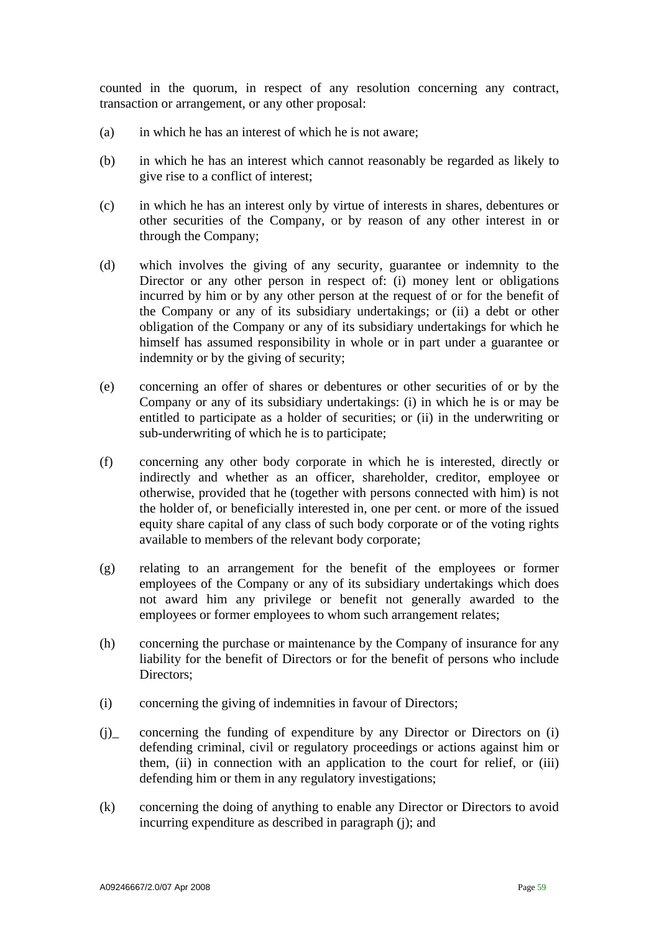counted in the quorum, in respect of any resolution concerning any contract, transaction or arrangement, or any other proposal:

- (a) in which he has an interest of which he is not aware;
- (b) in which he has an interest which cannot reasonably be regarded as likely to give rise to a conflict of interest;
- (c) in which he has an interest only by virtue of interests in shares, debentures or other securities of the Company, or by reason of any other interest in or through the Company;
- (d) which involves the giving of any security, guarantee or indemnity to the Director or any other person in respect of: (i) money lent or obligations incurred by him or by any other person at the request of or for the benefit of the Company or any of its subsidiary undertakings; or (ii) a debt or other obligation of the Company or any of its subsidiary undertakings for which he himself has assumed responsibility in whole or in part under a guarantee or indemnity or by the giving of security;
- (e) concerning an offer of shares or debentures or other securities of or by the Company or any of its subsidiary undertakings: (i) in which he is or may be entitled to participate as a holder of securities; or (ii) in the underwriting or sub-underwriting of which he is to participate;
- (f) concerning any other body corporate in which he is interested, directly or indirectly and whether as an officer, shareholder, creditor, employee or otherwise, provided that he (together with persons connected with him) is not the holder of, or beneficially interested in, one per cent. or more of the issued equity share capital of any class of such body corporate or of the voting rights available to members of the relevant body corporate;
- (g) relating to an arrangement for the benefit of the employees or former employees of the Company or any of its subsidiary undertakings which does not award him any privilege or benefit not generally awarded to the employees or former employees to whom such arrangement relates;
- (h) concerning the purchase or maintenance by the Company of insurance for any liability for the benefit of Directors or for the benefit of persons who include Directors:
- (i) concerning the giving of indemnities in favour of Directors;
- (j)\_ concerning the funding of expenditure by any Director or Directors on (i) defending criminal, civil or regulatory proceedings or actions against him or them, (ii) in connection with an application to the court for relief, or (iii) defending him or them in any regulatory investigations;
- (k) concerning the doing of anything to enable any Director or Directors to avoid incurring expenditure as described in paragraph (j); and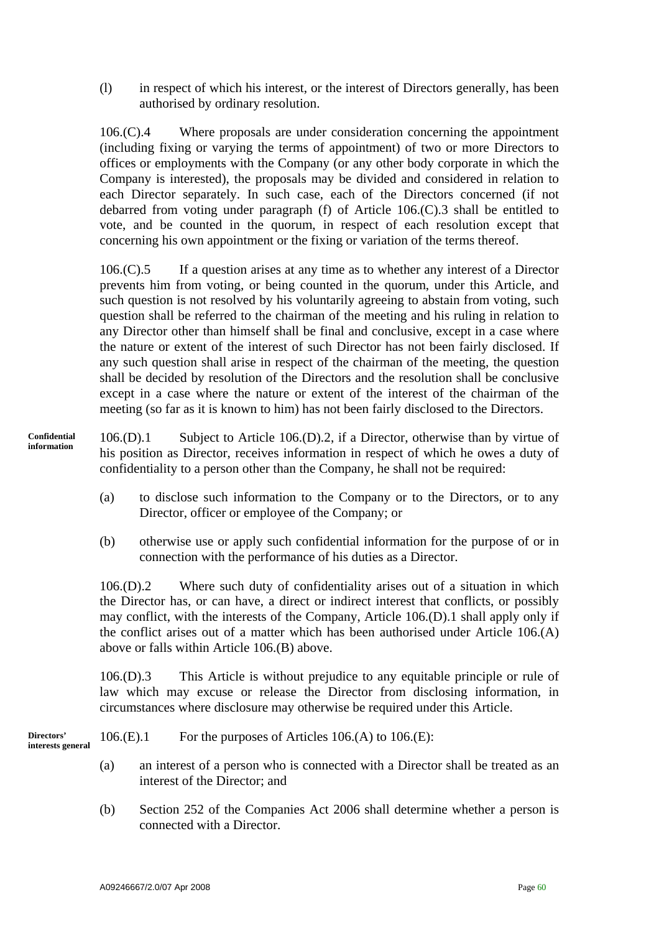(l) in respect of which his interest, or the interest of Directors generally, has been authorised by ordinary resolution.

106.(C).4 Where proposals are under consideration concerning the appointment (including fixing or varying the terms of appointment) of two or more Directors to offices or employments with the Company (or any other body corporate in which the Company is interested), the proposals may be divided and considered in relation to each Director separately. In such case, each of the Directors concerned (if not debarred from voting under paragraph (f) of Article 106.(C).3 shall be entitled to vote, and be counted in the quorum, in respect of each resolution except that concerning his own appointment or the fixing or variation of the terms thereof.

106.(C).5 If a question arises at any time as to whether any interest of a Director prevents him from voting, or being counted in the quorum, under this Article, and such question is not resolved by his voluntarily agreeing to abstain from voting, such question shall be referred to the chairman of the meeting and his ruling in relation to any Director other than himself shall be final and conclusive, except in a case where the nature or extent of the interest of such Director has not been fairly disclosed. If any such question shall arise in respect of the chairman of the meeting, the question shall be decided by resolution of the Directors and the resolution shall be conclusive except in a case where the nature or extent of the interest of the chairman of the meeting (so far as it is known to him) has not been fairly disclosed to the Directors.

- 106.(D).1 Subject to Article 106.(D).2, if a Director, otherwise than by virtue of his position as Director, receives information in respect of which he owes a duty of confidentiality to a person other than the Company, he shall not be required: **Confidential information** 
	- (a) to disclose such information to the Company or to the Directors, or to any Director, officer or employee of the Company; or
	- (b) otherwise use or apply such confidential information for the purpose of or in connection with the performance of his duties as a Director.

106.(D).2 Where such duty of confidentiality arises out of a situation in which the Director has, or can have, a direct or indirect interest that conflicts, or possibly may conflict, with the interests of the Company, Article 106.(D).1 shall apply only if the conflict arises out of a matter which has been authorised under Article 106.(A) above or falls within Article 106.(B) above.

106.(D).3 This Article is without prejudice to any equitable principle or rule of law which may excuse or release the Director from disclosing information, in circumstances where disclosure may otherwise be required under this Article.

**Directors'** 106.(E).1 For the purposes of Articles 106.(A) to 106.(E): interests general

- (a) an interest of a person who is connected with a Director shall be treated as an interest of the Director; and
- (b) Section 252 of the Companies Act 2006 shall determine whether a person is connected with a Director.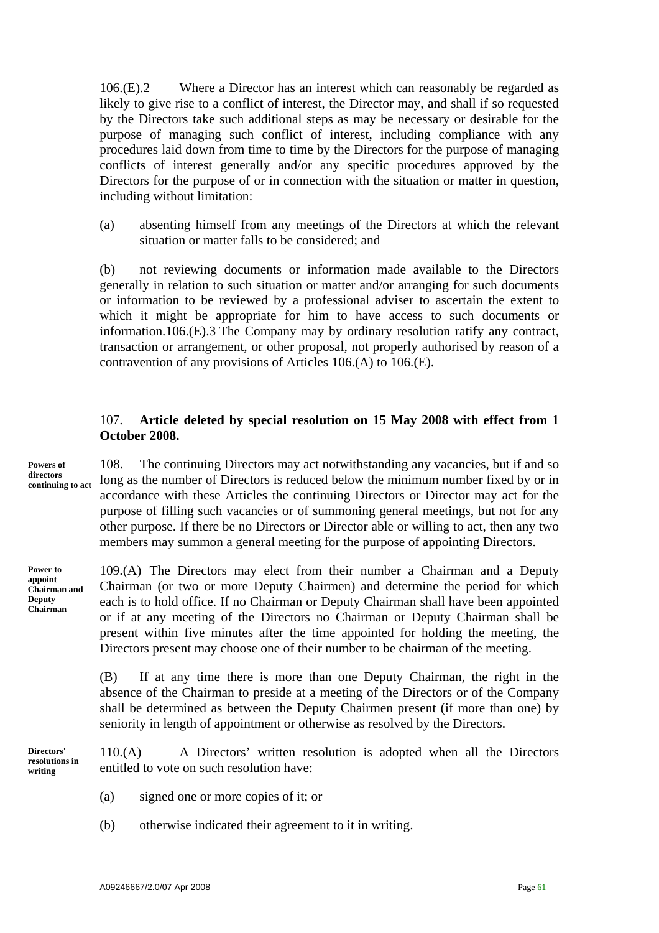106.(E).2 Where a Director has an interest which can reasonably be regarded as likely to give rise to a conflict of interest, the Director may, and shall if so requested by the Directors take such additional steps as may be necessary or desirable for the purpose of managing such conflict of interest, including compliance with any procedures laid down from time to time by the Directors for the purpose of managing conflicts of interest generally and/or any specific procedures approved by the Directors for the purpose of or in connection with the situation or matter in question, including without limitation:

(a) absenting himself from any meetings of the Directors at which the relevant situation or matter falls to be considered; and

(b) not reviewing documents or information made available to the Directors generally in relation to such situation or matter and/or arranging for such documents or information to be reviewed by a professional adviser to ascertain the extent to which it might be appropriate for him to have access to such documents or information.106.(E).3 The Company may by ordinary resolution ratify any contract, transaction or arrangement, or other proposal, not properly authorised by reason of a contravention of any provisions of Articles 106.(A) to 106.(E).

# 107. **Article deleted by special resolution on 15 May 2008 with effect from 1 October 2008.**

**Powers of directors continuing to act** 

108. The continuing Directors may act notwithstanding any vacancies, but if and so long as the number of Directors is reduced below the minimum number fixed by or in accordance with these Articles the continuing Directors or Director may act for the purpose of filling such vacancies or of summoning general meetings, but not for any other purpose. If there be no Directors or Director able or willing to act, then any two members may summon a general meeting for the purpose of appointing Directors.

**Power to appoint Chairman and Deputy Chairman** 

109.(A) The Directors may elect from their number a Chairman and a Deputy Chairman (or two or more Deputy Chairmen) and determine the period for which each is to hold office. If no Chairman or Deputy Chairman shall have been appointed or if at any meeting of the Directors no Chairman or Deputy Chairman shall be present within five minutes after the time appointed for holding the meeting, the Directors present may choose one of their number to be chairman of the meeting.

(B) If at any time there is more than one Deputy Chairman, the right in the absence of the Chairman to preside at a meeting of the Directors or of the Company shall be determined as between the Deputy Chairmen present (if more than one) by seniority in length of appointment or otherwise as resolved by the Directors.

110.(A) A Directors' written resolution is adopted when all the Directors entitled to vote on such resolution have: **Directors' resolutions in writing** 

- (a) signed one or more copies of it; or
- (b) otherwise indicated their agreement to it in writing.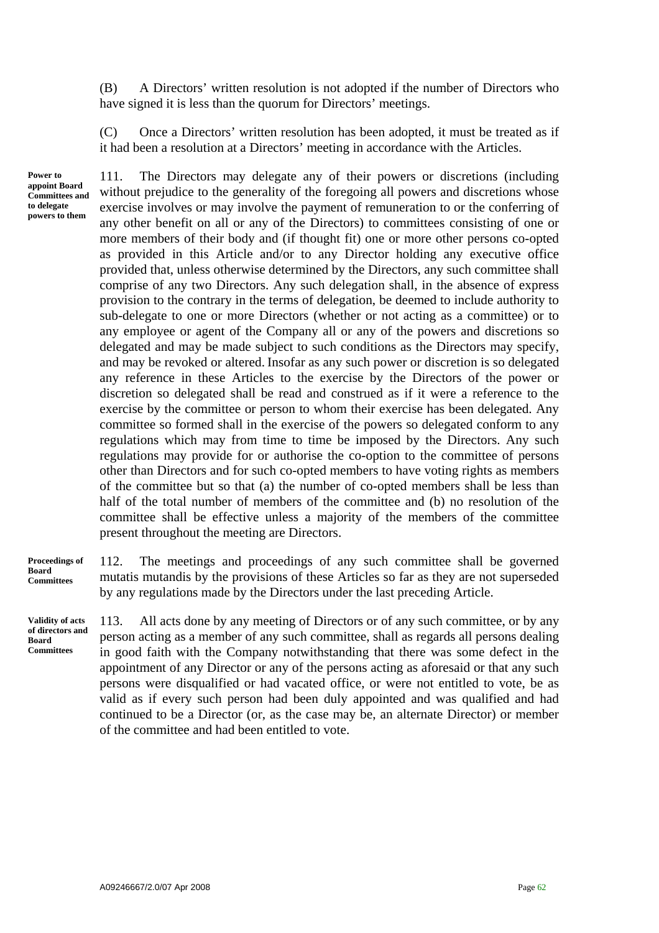(B) A Directors' written resolution is not adopted if the number of Directors who have signed it is less than the quorum for Directors' meetings.

(C) Once a Directors' written resolution has been adopted, it must be treated as if it had been a resolution at a Directors' meeting in accordance with the Articles.

**Power to appoint Board Committees and to delegate powers to them** 

111. The Directors may delegate any of their powers or discretions (including without prejudice to the generality of the foregoing all powers and discretions whose exercise involves or may involve the payment of remuneration to or the conferring of any other benefit on all or any of the Directors) to committees consisting of one or more members of their body and (if thought fit) one or more other persons co-opted as provided in this Article and/or to any Director holding any executive office provided that, unless otherwise determined by the Directors, any such committee shall comprise of any two Directors. Any such delegation shall, in the absence of express provision to the contrary in the terms of delegation, be deemed to include authority to sub-delegate to one or more Directors (whether or not acting as a committee) or to any employee or agent of the Company all or any of the powers and discretions so delegated and may be made subject to such conditions as the Directors may specify, and may be revoked or altered. Insofar as any such power or discretion is so delegated any reference in these Articles to the exercise by the Directors of the power or discretion so delegated shall be read and construed as if it were a reference to the exercise by the committee or person to whom their exercise has been delegated. Any committee so formed shall in the exercise of the powers so delegated conform to any regulations which may from time to time be imposed by the Directors. Any such regulations may provide for or authorise the co-option to the committee of persons other than Directors and for such co-opted members to have voting rights as members of the committee but so that (a) the number of co-opted members shall be less than half of the total number of members of the committee and (b) no resolution of the committee shall be effective unless a majority of the members of the committee present throughout the meeting are Directors.

#### **Proceedings of Board Committees**

**Validity of acts of directors and Board Committees** 

112. The meetings and proceedings of any such committee shall be governed mutatis mutandis by the provisions of these Articles so far as they are not superseded by any regulations made by the Directors under the last preceding Article.

113. All acts done by any meeting of Directors or of any such committee, or by any person acting as a member of any such committee, shall as regards all persons dealing in good faith with the Company notwithstanding that there was some defect in the appointment of any Director or any of the persons acting as aforesaid or that any such persons were disqualified or had vacated office, or were not entitled to vote, be as valid as if every such person had been duly appointed and was qualified and had continued to be a Director (or, as the case may be, an alternate Director) or member of the committee and had been entitled to vote.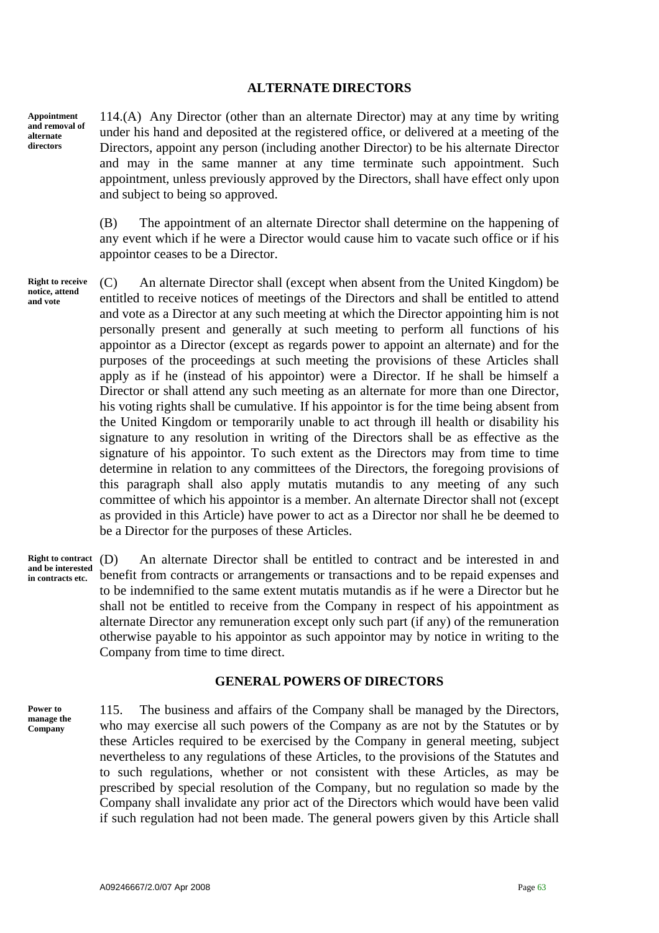#### **ALTERNATE DIRECTORS**

**Appointment and removal of alternate directors** 

114.(A) Any Director (other than an alternate Director) may at any time by writing under his hand and deposited at the registered office, or delivered at a meeting of the Directors, appoint any person (including another Director) to be his alternate Director and may in the same manner at any time terminate such appointment. Such appointment, unless previously approved by the Directors, shall have effect only upon and subject to being so approved.

(B) The appointment of an alternate Director shall determine on the happening of any event which if he were a Director would cause him to vacate such office or if his appointor ceases to be a Director.

**Right to receive notice, attend and vote** 

(C) An alternate Director shall (except when absent from the United Kingdom) be entitled to receive notices of meetings of the Directors and shall be entitled to attend and vote as a Director at any such meeting at which the Director appointing him is not personally present and generally at such meeting to perform all functions of his appointor as a Director (except as regards power to appoint an alternate) and for the purposes of the proceedings at such meeting the provisions of these Articles shall apply as if he (instead of his appointor) were a Director. If he shall be himself a Director or shall attend any such meeting as an alternate for more than one Director, his voting rights shall be cumulative. If his appointor is for the time being absent from the United Kingdom or temporarily unable to act through ill health or disability his signature to any resolution in writing of the Directors shall be as effective as the signature of his appointor. To such extent as the Directors may from time to time determine in relation to any committees of the Directors, the foregoing provisions of this paragraph shall also apply mutatis mutandis to any meeting of any such committee of which his appointor is a member. An alternate Director shall not (except as provided in this Article) have power to act as a Director nor shall he be deemed to be a Director for the purposes of these Articles.

An alternate Director shall be entitled to contract and be interested in and benefit from contracts or arrangements or transactions and to be repaid expenses and to be indemnified to the same extent mutatis mutandis as if he were a Director but he shall not be entitled to receive from the Company in respect of his appointment as alternate Director any remuneration except only such part (if any) of the remuneration otherwise payable to his appointor as such appointor may by notice in writing to the Company from time to time direct. **Right to contract** (D) **and be interested in contracts etc.** 

#### **GENERAL POWERS OF DIRECTORS**

**Power to manage the Company** 

115. The business and affairs of the Company shall be managed by the Directors, who may exercise all such powers of the Company as are not by the Statutes or by these Articles required to be exercised by the Company in general meeting, subject nevertheless to any regulations of these Articles, to the provisions of the Statutes and to such regulations, whether or not consistent with these Articles, as may be prescribed by special resolution of the Company, but no regulation so made by the Company shall invalidate any prior act of the Directors which would have been valid if such regulation had not been made. The general powers given by this Article shall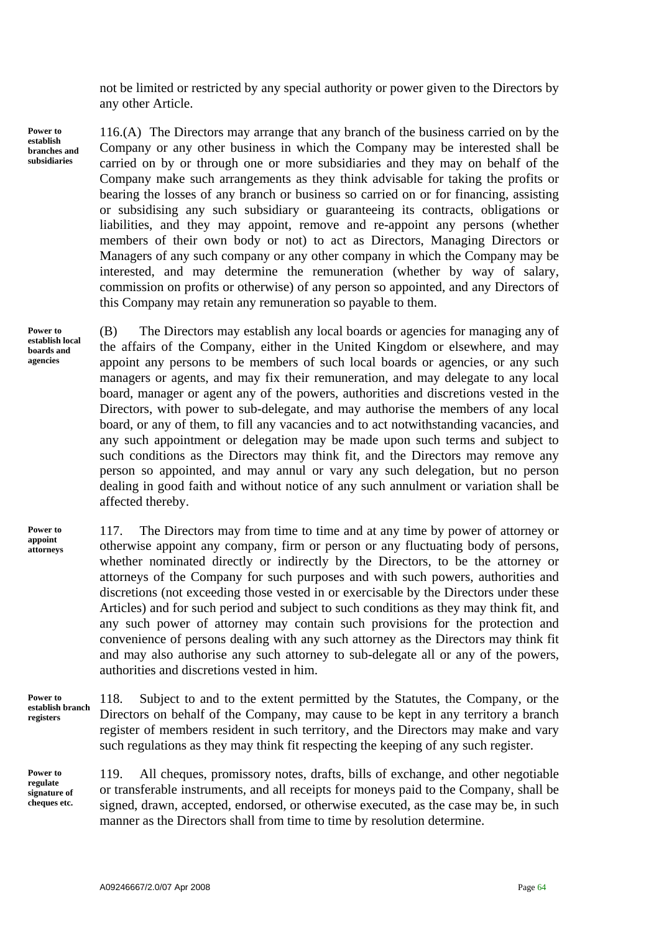not be limited or restricted by any special authority or power given to the Directors by any other Article.

**Power to establish branches and subsidiaries** 

116.(A) The Directors may arrange that any branch of the business carried on by the Company or any other business in which the Company may be interested shall be carried on by or through one or more subsidiaries and they may on behalf of the Company make such arrangements as they think advisable for taking the profits or bearing the losses of any branch or business so carried on or for financing, assisting or subsidising any such subsidiary or guaranteeing its contracts, obligations or liabilities, and they may appoint, remove and re-appoint any persons (whether members of their own body or not) to act as Directors, Managing Directors or Managers of any such company or any other company in which the Company may be interested, and may determine the remuneration (whether by way of salary, commission on profits or otherwise) of any person so appointed, and any Directors of this Company may retain any remuneration so payable to them.

**Power to establish local boards and agencies** 

(B) The Directors may establish any local boards or agencies for managing any of the affairs of the Company, either in the United Kingdom or elsewhere, and may appoint any persons to be members of such local boards or agencies, or any such managers or agents, and may fix their remuneration, and may delegate to any local board, manager or agent any of the powers, authorities and discretions vested in the Directors, with power to sub-delegate, and may authorise the members of any local board, or any of them, to fill any vacancies and to act notwithstanding vacancies, and any such appointment or delegation may be made upon such terms and subject to such conditions as the Directors may think fit, and the Directors may remove any person so appointed, and may annul or vary any such delegation, but no person dealing in good faith and without notice of any such annulment or variation shall be affected thereby.

**Power to appoint attorneys** 

117. The Directors may from time to time and at any time by power of attorney or otherwise appoint any company, firm or person or any fluctuating body of persons, whether nominated directly or indirectly by the Directors, to be the attorney or attorneys of the Company for such purposes and with such powers, authorities and discretions (not exceeding those vested in or exercisable by the Directors under these Articles) and for such period and subject to such conditions as they may think fit, and any such power of attorney may contain such provisions for the protection and convenience of persons dealing with any such attorney as the Directors may think fit and may also authorise any such attorney to sub-delegate all or any of the powers, authorities and discretions vested in him.

**Power to establish branch registers** 

**Power to regulate signature of cheques etc.** 

118. Subject to and to the extent permitted by the Statutes, the Company, or the Directors on behalf of the Company, may cause to be kept in any territory a branch register of members resident in such territory, and the Directors may make and vary such regulations as they may think fit respecting the keeping of any such register.

119. All cheques, promissory notes, drafts, bills of exchange, and other negotiable or transferable instruments, and all receipts for moneys paid to the Company, shall be signed, drawn, accepted, endorsed, or otherwise executed, as the case may be, in such manner as the Directors shall from time to time by resolution determine.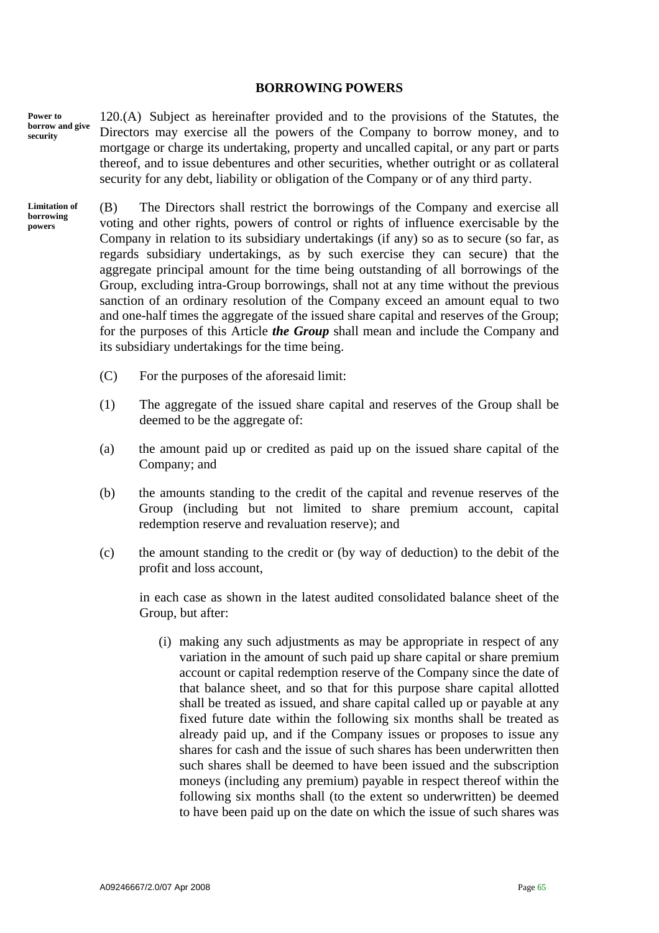#### **BORROWING POWERS**

120.(A) Subject as hereinafter provided and to the provisions of the Statutes, the Directors may exercise all the powers of the Company to borrow money, and to mortgage or charge its undertaking, property and uncalled capital, or any part or parts thereof, and to issue debentures and other securities, whether outright or as collateral security for any debt, liability or obligation of the Company or of any third party. **Power to borrow and give security** 

(B) The Directors shall restrict the borrowings of the Company and exercise all voting and other rights, powers of control or rights of influence exercisable by the Company in relation to its subsidiary undertakings (if any) so as to secure (so far, as regards subsidiary undertakings, as by such exercise they can secure) that the aggregate principal amount for the time being outstanding of all borrowings of the Group, excluding intra-Group borrowings, shall not at any time without the previous sanction of an ordinary resolution of the Company exceed an amount equal to two and one-half times the aggregate of the issued share capital and reserves of the Group; for the purposes of this Article *the Group* shall mean and include the Company and its subsidiary undertakings for the time being. **Limitation of borrowing powers** 

- (C) For the purposes of the aforesaid limit:
- (1) The aggregate of the issued share capital and reserves of the Group shall be deemed to be the aggregate of:
- (a) the amount paid up or credited as paid up on the issued share capital of the Company; and
- (b) the amounts standing to the credit of the capital and revenue reserves of the Group (including but not limited to share premium account, capital redemption reserve and revaluation reserve); and
- (c) the amount standing to the credit or (by way of deduction) to the debit of the profit and loss account,

 in each case as shown in the latest audited consolidated balance sheet of the Group, but after:

 (i) making any such adjustments as may be appropriate in respect of any variation in the amount of such paid up share capital or share premium account or capital redemption reserve of the Company since the date of that balance sheet, and so that for this purpose share capital allotted shall be treated as issued, and share capital called up or payable at any fixed future date within the following six months shall be treated as already paid up, and if the Company issues or proposes to issue any shares for cash and the issue of such shares has been underwritten then such shares shall be deemed to have been issued and the subscription moneys (including any premium) payable in respect thereof within the following six months shall (to the extent so underwritten) be deemed to have been paid up on the date on which the issue of such shares was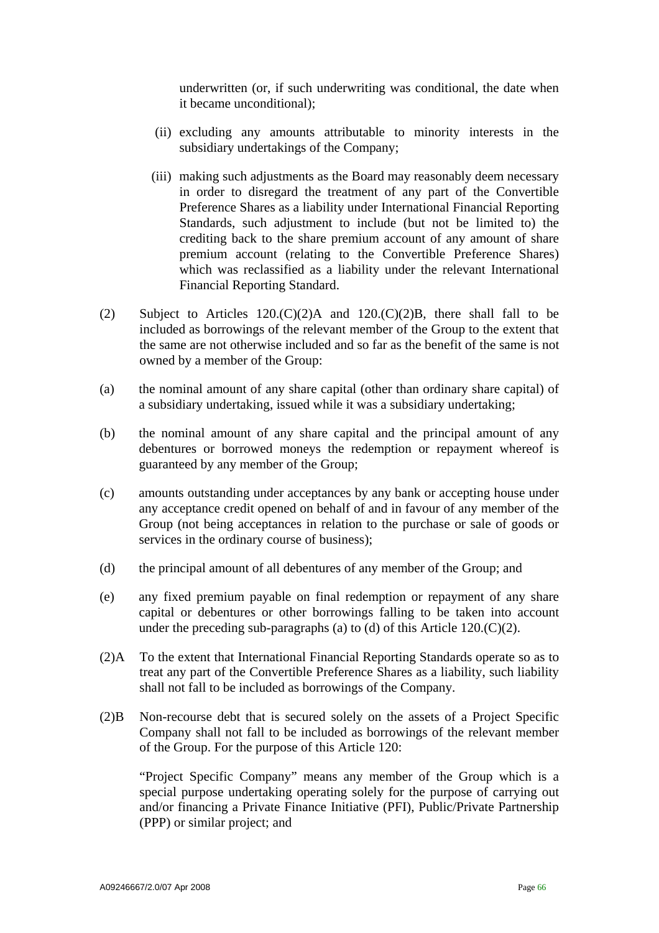underwritten (or, if such underwriting was conditional, the date when it became unconditional);

- (ii) excluding any amounts attributable to minority interests in the subsidiary undertakings of the Company;
- (iii) making such adjustments as the Board may reasonably deem necessary in order to disregard the treatment of any part of the Convertible Preference Shares as a liability under International Financial Reporting Standards, such adjustment to include (but not be limited to) the crediting back to the share premium account of any amount of share premium account (relating to the Convertible Preference Shares) which was reclassified as a liability under the relevant International Financial Reporting Standard.
- (2) Subject to Articles  $120 \cdot (C)(2)$ A and  $120 \cdot (C)(2)$ B, there shall fall to be included as borrowings of the relevant member of the Group to the extent that the same are not otherwise included and so far as the benefit of the same is not owned by a member of the Group:
- (a) the nominal amount of any share capital (other than ordinary share capital) of a subsidiary undertaking, issued while it was a subsidiary undertaking;
- (b) the nominal amount of any share capital and the principal amount of any debentures or borrowed moneys the redemption or repayment whereof is guaranteed by any member of the Group;
- (c) amounts outstanding under acceptances by any bank or accepting house under any acceptance credit opened on behalf of and in favour of any member of the Group (not being acceptances in relation to the purchase or sale of goods or services in the ordinary course of business);
- (d) the principal amount of all debentures of any member of the Group; and
- (e) any fixed premium payable on final redemption or repayment of any share capital or debentures or other borrowings falling to be taken into account under the preceding sub-paragraphs (a) to (d) of this Article  $120 \cdot (C)(2)$ .
- (2)A To the extent that International Financial Reporting Standards operate so as to treat any part of the Convertible Preference Shares as a liability, such liability shall not fall to be included as borrowings of the Company.
- (2)B Non-recourse debt that is secured solely on the assets of a Project Specific Company shall not fall to be included as borrowings of the relevant member of the Group. For the purpose of this Article 120:

 "Project Specific Company" means any member of the Group which is a special purpose undertaking operating solely for the purpose of carrying out and/or financing a Private Finance Initiative (PFI), Public/Private Partnership (PPP) or similar project; and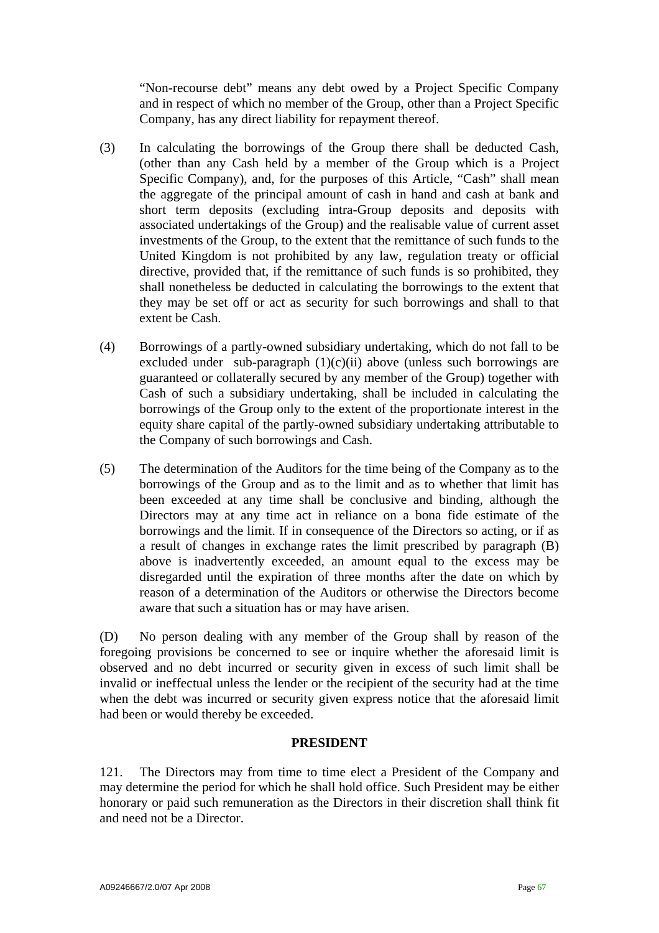"Non-recourse debt" means any debt owed by a Project Specific Company and in respect of which no member of the Group, other than a Project Specific Company, has any direct liability for repayment thereof.

- (3) In calculating the borrowings of the Group there shall be deducted Cash, (other than any Cash held by a member of the Group which is a Project Specific Company), and, for the purposes of this Article, "Cash" shall mean the aggregate of the principal amount of cash in hand and cash at bank and short term deposits (excluding intra-Group deposits and deposits with associated undertakings of the Group) and the realisable value of current asset investments of the Group, to the extent that the remittance of such funds to the United Kingdom is not prohibited by any law, regulation treaty or official directive, provided that, if the remittance of such funds is so prohibited, they shall nonetheless be deducted in calculating the borrowings to the extent that they may be set off or act as security for such borrowings and shall to that extent be Cash.
- (4) Borrowings of a partly-owned subsidiary undertaking, which do not fall to be excluded under sub-paragraph  $(1)(c)(ii)$  above (unless such borrowings are guaranteed or collaterally secured by any member of the Group) together with Cash of such a subsidiary undertaking, shall be included in calculating the borrowings of the Group only to the extent of the proportionate interest in the equity share capital of the partly-owned subsidiary undertaking attributable to the Company of such borrowings and Cash.
- (5) The determination of the Auditors for the time being of the Company as to the borrowings of the Group and as to the limit and as to whether that limit has been exceeded at any time shall be conclusive and binding, although the Directors may at any time act in reliance on a bona fide estimate of the borrowings and the limit. If in consequence of the Directors so acting, or if as a result of changes in exchange rates the limit prescribed by paragraph (B) above is inadvertently exceeded, an amount equal to the excess may be disregarded until the expiration of three months after the date on which by reason of a determination of the Auditors or otherwise the Directors become aware that such a situation has or may have arisen.

(D) No person dealing with any member of the Group shall by reason of the foregoing provisions be concerned to see or inquire whether the aforesaid limit is observed and no debt incurred or security given in excess of such limit shall be invalid or ineffectual unless the lender or the recipient of the security had at the time when the debt was incurred or security given express notice that the aforesaid limit had been or would thereby be exceeded.

# **PRESIDENT**

121. The Directors may from time to time elect a President of the Company and may determine the period for which he shall hold office. Such President may be either honorary or paid such remuneration as the Directors in their discretion shall think fit and need not be a Director.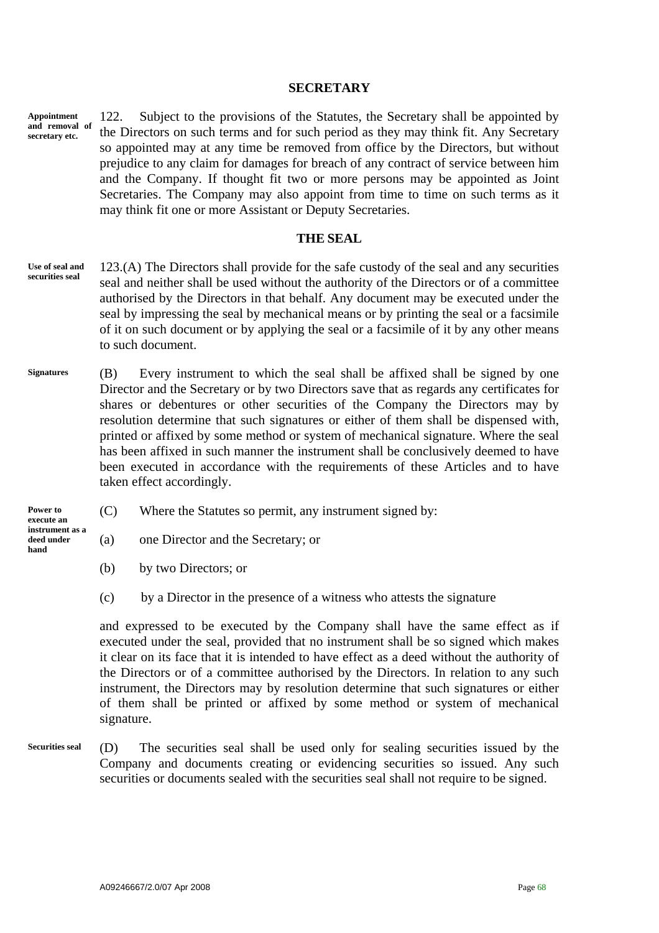#### **SECRETARY**

122. Subject to the provisions of the Statutes, the Secretary shall be appointed by the Directors on such terms and for such period as they may think fit. Any Secretary so appointed may at any time be removed from office by the Directors, but without prejudice to any claim for damages for breach of any contract of service between him and the Company. If thought fit two or more persons may be appointed as Joint Secretaries. The Company may also appoint from time to time on such terms as it may think fit one or more Assistant or Deputy Secretaries. **Appointment and removal of secretary etc.** 

#### **THE SEAL**

- 123.(A) The Directors shall provide for the safe custody of the seal and any securities seal and neither shall be used without the authority of the Directors or of a committee authorised by the Directors in that behalf. Any document may be executed under the seal by impressing the seal by mechanical means or by printing the seal or a facsimile of it on such document or by applying the seal or a facsimile of it by any other means to such document. **Use of seal and securities seal**
- (B) Every instrument to which the seal shall be affixed shall be signed by one Director and the Secretary or by two Directors save that as regards any certificates for shares or debentures or other securities of the Company the Directors may by resolution determine that such signatures or either of them shall be dispensed with, printed or affixed by some method or system of mechanical signature. Where the seal has been affixed in such manner the instrument shall be conclusively deemed to have been executed in accordance with the requirements of these Articles and to have taken effect accordingly. **Signatures**
- **Power to (C)** Where the Statutes so permit, any instrument signed by:
	- **hand** (a) one Director and the Secretary; or
		- (b) by two Directors; or

**instrument as a deed under** 

(c) by a Director in the presence of a witness who attests the signature

and expressed to be executed by the Company shall have the same effect as if executed under the seal, provided that no instrument shall be so signed which makes it clear on its face that it is intended to have effect as a deed without the authority of the Directors or of a committee authorised by the Directors. In relation to any such instrument, the Directors may by resolution determine that such signatures or either of them shall be printed or affixed by some method or system of mechanical signature.

(D) The securities seal shall be used only for sealing securities issued by the Company and documents creating or evidencing securities so issued. Any such securities or documents sealed with the securities seal shall not require to be signed. **Securities seal**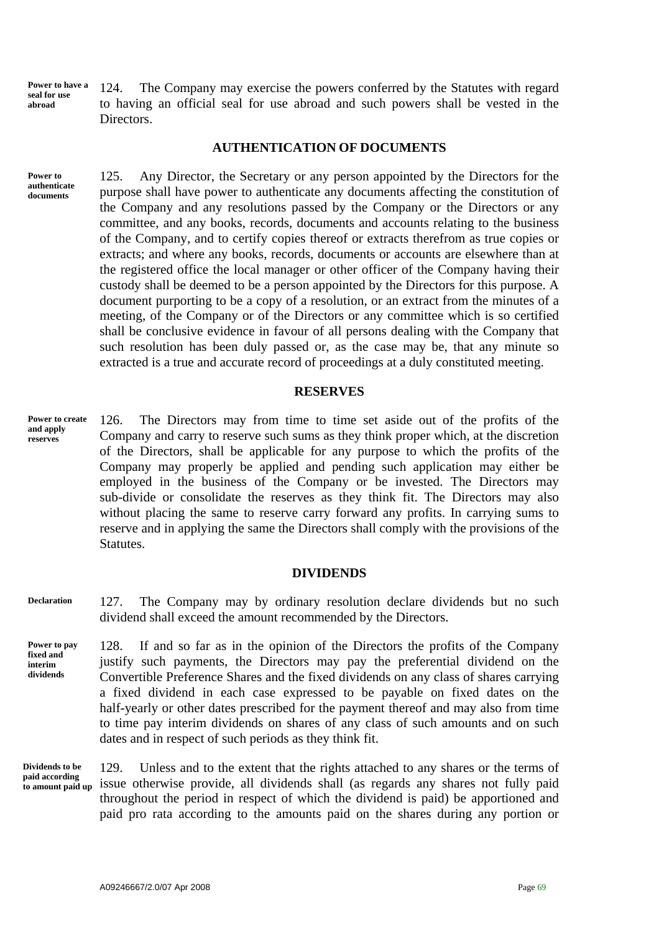**Power to have a seal for use abroad** 

124. The Company may exercise the powers conferred by the Statutes with regard to having an official seal for use abroad and such powers shall be vested in the Directors.

#### **AUTHENTICATION OF DOCUMENTS**

**Power to authenticate documents** 

125. Any Director, the Secretary or any person appointed by the Directors for the purpose shall have power to authenticate any documents affecting the constitution of the Company and any resolutions passed by the Company or the Directors or any committee, and any books, records, documents and accounts relating to the business of the Company, and to certify copies thereof or extracts therefrom as true copies or extracts; and where any books, records, documents or accounts are elsewhere than at the registered office the local manager or other officer of the Company having their custody shall be deemed to be a person appointed by the Directors for this purpose. A document purporting to be a copy of a resolution, or an extract from the minutes of a meeting, of the Company or of the Directors or any committee which is so certified shall be conclusive evidence in favour of all persons dealing with the Company that such resolution has been duly passed or, as the case may be, that any minute so extracted is a true and accurate record of proceedings at a duly constituted meeting.

#### **RESERVES**

126. The Directors may from time to time set aside out of the profits of the Company and carry to reserve such sums as they think proper which, at the discretion of the Directors, shall be applicable for any purpose to which the profits of the Company may properly be applied and pending such application may either be employed in the business of the Company or be invested. The Directors may sub-divide or consolidate the reserves as they think fit. The Directors may also without placing the same to reserve carry forward any profits. In carrying sums to reserve and in applying the same the Directors shall comply with the provisions of the Statutes. **Power to create and apply reserves** 

#### **DIVIDENDS**

127. The Company may by ordinary resolution declare dividends but no such dividend shall exceed the amount recommended by the Directors. **Declaration** 

128. If and so far as in the opinion of the Directors the profits of the Company justify such payments, the Directors may pay the preferential dividend on the Convertible Preference Shares and the fixed dividends on any class of shares carrying a fixed dividend in each case expressed to be payable on fixed dates on the half-yearly or other dates prescribed for the payment thereof and may also from time to time pay interim dividends on shares of any class of such amounts and on such dates and in respect of such periods as they think fit. **Power to pay fixed and dividends** 

**Dividends to be paid according to amount paid up** 

**interim** 

129. Unless and to the extent that the rights attached to any shares or the terms of issue otherwise provide, all dividends shall (as regards any shares not fully paid throughout the period in respect of which the dividend is paid) be apportioned and paid pro rata according to the amounts paid on the shares during any portion or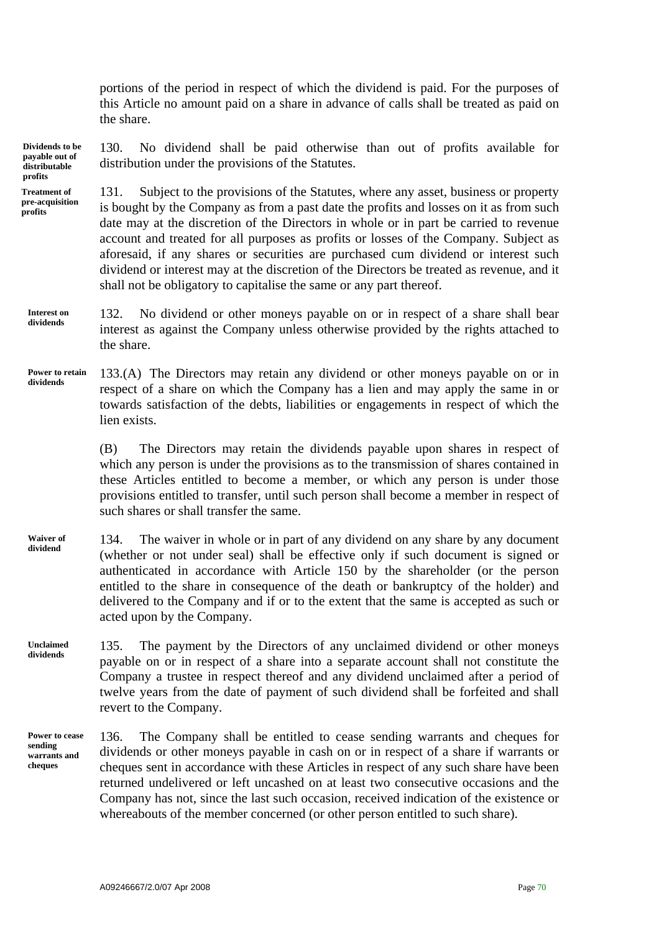portions of the period in respect of which the dividend is paid. For the purposes of this Article no amount paid on a share in advance of calls shall be treated as paid on the share.

130. No dividend shall be paid otherwise than out of profits available for distribution under the provisions of the Statutes. **Dividends to be payable out of distributable profits** 

131. Subject to the provisions of the Statutes, where any asset, business or property is bought by the Company as from a past date the profits and losses on it as from such date may at the discretion of the Directors in whole or in part be carried to revenue account and treated for all purposes as profits or losses of the Company. Subject as aforesaid, if any shares or securities are purchased cum dividend or interest such dividend or interest may at the discretion of the Directors be treated as revenue, and it shall not be obligatory to capitalise the same or any part thereof. **Treatment of pre-acquisition** 

132. No dividend or other moneys payable on or in respect of a share shall bear interest as against the Company unless otherwise provided by the rights attached to the share. **Interest on dividends** 

133.(A) The Directors may retain any dividend or other moneys payable on or in respect of a share on which the Company has a lien and may apply the same in or towards satisfaction of the debts, liabilities or engagements in respect of which the lien exists. **Power to retain dividends** 

> (B) The Directors may retain the dividends payable upon shares in respect of which any person is under the provisions as to the transmission of shares contained in these Articles entitled to become a member, or which any person is under those provisions entitled to transfer, until such person shall become a member in respect of such shares or shall transfer the same.

- 134. The waiver in whole or in part of any dividend on any share by any document (whether or not under seal) shall be effective only if such document is signed or authenticated in accordance with Article 150 by the shareholder (or the person entitled to the share in consequence of the death or bankruptcy of the holder) and delivered to the Company and if or to the extent that the same is accepted as such or acted upon by the Company. **Waiver of dividend**
- 135. The payment by the Directors of any unclaimed dividend or other moneys payable on or in respect of a share into a separate account shall not constitute the Company a trustee in respect thereof and any dividend unclaimed after a period of twelve years from the date of payment of such dividend shall be forfeited and shall revert to the Company. **Unclaimed dividends**
- 136. The Company shall be entitled to cease sending warrants and cheques for dividends or other moneys payable in cash on or in respect of a share if warrants or cheques sent in accordance with these Articles in respect of any such share have been returned undelivered or left uncashed on at least two consecutive occasions and the Company has not, since the last such occasion, received indication of the existence or whereabouts of the member concerned (or other person entitled to such share). **Power to cease sending warrants and cheques**

**profits**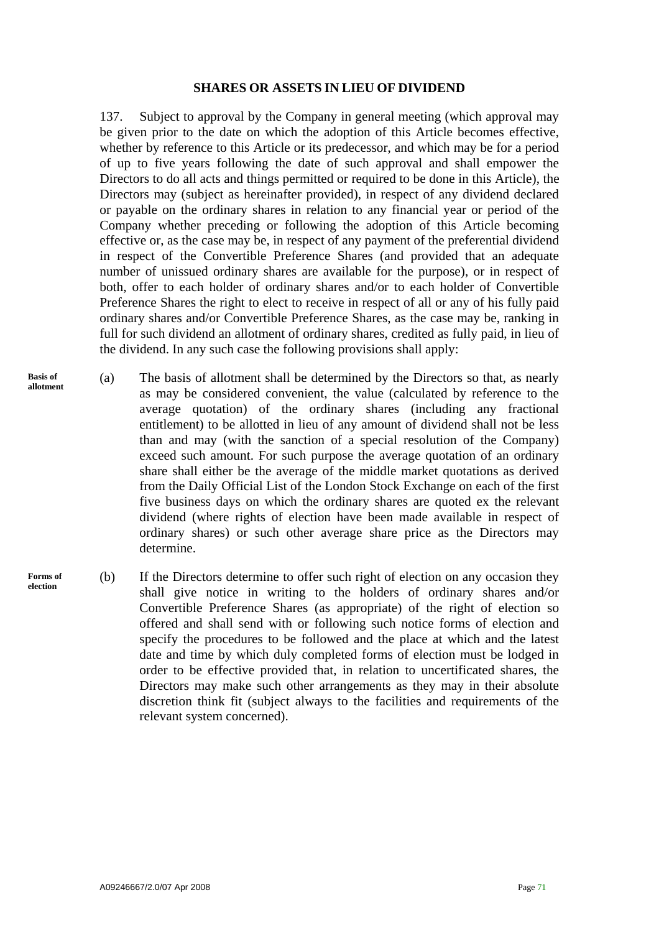#### **SHARES OR ASSETS IN LIEU OF DIVIDEND**

137. Subject to approval by the Company in general meeting (which approval may be given prior to the date on which the adoption of this Article becomes effective, whether by reference to this Article or its predecessor, and which may be for a period of up to five years following the date of such approval and shall empower the Directors to do all acts and things permitted or required to be done in this Article), the Directors may (subject as hereinafter provided), in respect of any dividend declared or payable on the ordinary shares in relation to any financial year or period of the Company whether preceding or following the adoption of this Article becoming effective or, as the case may be, in respect of any payment of the preferential dividend in respect of the Convertible Preference Shares (and provided that an adequate number of unissued ordinary shares are available for the purpose), or in respect of both, offer to each holder of ordinary shares and/or to each holder of Convertible Preference Shares the right to elect to receive in respect of all or any of his fully paid ordinary shares and/or Convertible Preference Shares, as the case may be, ranking in full for such dividend an allotment of ordinary shares, credited as fully paid, in lieu of the dividend. In any such case the following provisions shall apply:

- (a) The basis of allotment shall be determined by the Directors so that, as nearly as may be considered convenient, the value (calculated by reference to the average quotation) of the ordinary shares (including any fractional entitlement) to be allotted in lieu of any amount of dividend shall not be less than and may (with the sanction of a special resolution of the Company) exceed such amount. For such purpose the average quotation of an ordinary share shall either be the average of the middle market quotations as derived from the Daily Official List of the London Stock Exchange on each of the first five business days on which the ordinary shares are quoted ex the relevant dividend (where rights of election have been made available in respect of ordinary shares) or such other average share price as the Directors may determine. **Basis of allotment**
- (b) If the Directors determine to offer such right of election on any occasion they shall give notice in writing to the holders of ordinary shares and/or Convertible Preference Shares (as appropriate) of the right of election so offered and shall send with or following such notice forms of election and specify the procedures to be followed and the place at which and the latest date and time by which duly completed forms of election must be lodged in order to be effective provided that, in relation to uncertificated shares, the Directors may make such other arrangements as they may in their absolute discretion think fit (subject always to the facilities and requirements of the relevant system concerned). **Forms of election**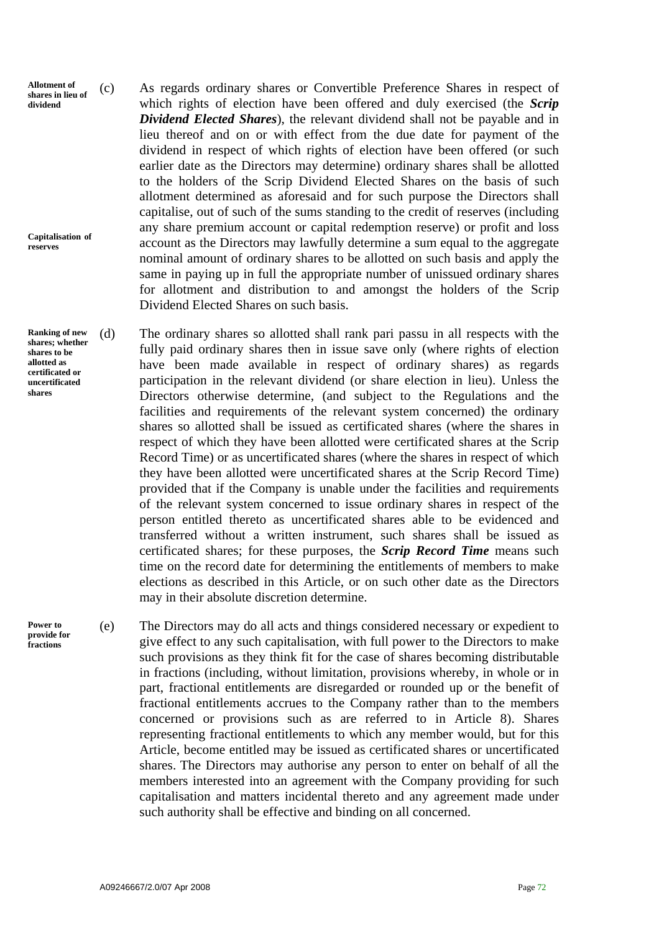**Allotment of shares in lieu of dividend** 

**Capitalisation of reserves** 

**Ranking of new shares; whether shares to be allotted as certificated or uncertificated shares** 

**Power to provide for fractions** 

(c) As regards ordinary shares or Convertible Preference Shares in respect of which rights of election have been offered and duly exercised (the *Scrip Dividend Elected Shares*), the relevant dividend shall not be payable and in lieu thereof and on or with effect from the due date for payment of the dividend in respect of which rights of election have been offered (or such earlier date as the Directors may determine) ordinary shares shall be allotted to the holders of the Scrip Dividend Elected Shares on the basis of such allotment determined as aforesaid and for such purpose the Directors shall capitalise, out of such of the sums standing to the credit of reserves (including any share premium account or capital redemption reserve) or profit and loss account as the Directors may lawfully determine a sum equal to the aggregate nominal amount of ordinary shares to be allotted on such basis and apply the same in paying up in full the appropriate number of unissued ordinary shares for allotment and distribution to and amongst the holders of the Scrip Dividend Elected Shares on such basis.

(d) The ordinary shares so allotted shall rank pari passu in all respects with the fully paid ordinary shares then in issue save only (where rights of election have been made available in respect of ordinary shares) as regards participation in the relevant dividend (or share election in lieu). Unless the Directors otherwise determine, (and subject to the Regulations and the facilities and requirements of the relevant system concerned) the ordinary shares so allotted shall be issued as certificated shares (where the shares in respect of which they have been allotted were certificated shares at the Scrip Record Time) or as uncertificated shares (where the shares in respect of which they have been allotted were uncertificated shares at the Scrip Record Time) provided that if the Company is unable under the facilities and requirements of the relevant system concerned to issue ordinary shares in respect of the person entitled thereto as uncertificated shares able to be evidenced and transferred without a written instrument, such shares shall be issued as certificated shares; for these purposes, the *Scrip Record Time* means such time on the record date for determining the entitlements of members to make elections as described in this Article, or on such other date as the Directors may in their absolute discretion determine.

(e) The Directors may do all acts and things considered necessary or expedient to give effect to any such capitalisation, with full power to the Directors to make such provisions as they think fit for the case of shares becoming distributable in fractions (including, without limitation, provisions whereby, in whole or in part, fractional entitlements are disregarded or rounded up or the benefit of fractional entitlements accrues to the Company rather than to the members concerned or provisions such as are referred to in Article 8). Shares representing fractional entitlements to which any member would, but for this Article, become entitled may be issued as certificated shares or uncertificated shares. The Directors may authorise any person to enter on behalf of all the members interested into an agreement with the Company providing for such capitalisation and matters incidental thereto and any agreement made under such authority shall be effective and binding on all concerned.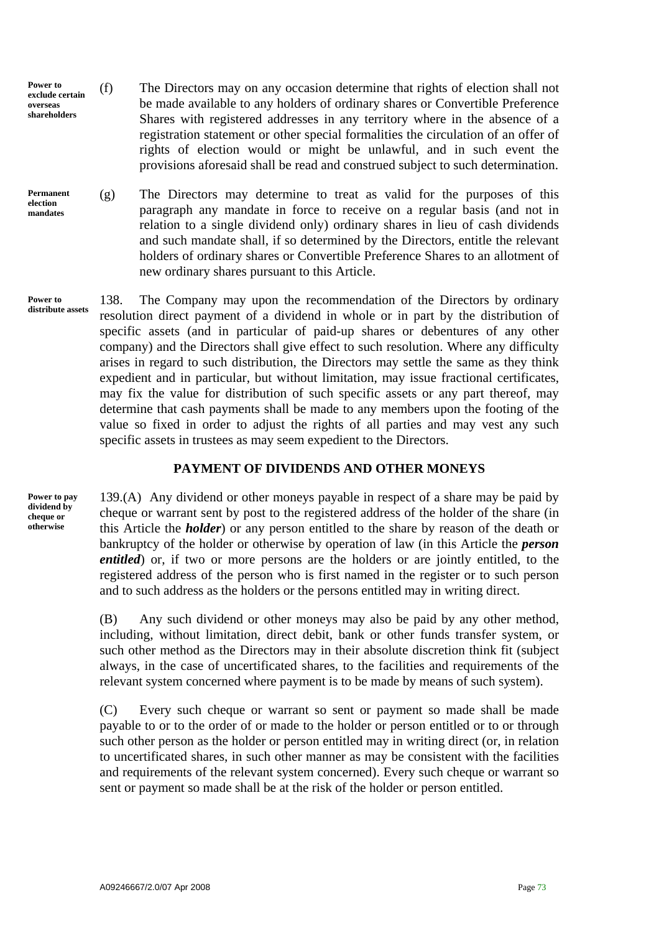- <span id="page-73-0"></span>**Power to exclude certain overseas shareholders**  (f) The Directors may on any occasion determine that rights of election shall not be made available to any holders of ordinary shares or Convertible Preference Shares with registered addresses in any territory where in the absence of a registration statement or other special formalities the circulation of an offer of rights of election would or might be unlawful, and in such event the provisions aforesaid shall be read and construed subject to such determination.
- (g) The Directors may determine to treat as valid for the purposes of this paragraph any mandate in force to receive on a regular basis (and not in relation to a single dividend only) ordinary shares in lieu of cash dividends and such mandate shall, if so determined by the Directors, entitle the relevant holders of ordinary shares or Convertible Preference Shares to an allotment of new ordinary shares pursuant to this Article. **Permanent election mandates**

**Power to distribute assets** 

138. The Company may upon the recommendation of the Directors by ordinary resolution direct payment of a dividend in whole or in part by the distribution of specific assets (and in particular of paid-up shares or debentures of any other company) and the Directors shall give effect to such resolution. Where any difficulty arises in regard to such distribution, the Directors may settle the same as they think expedient and in particular, but without limitation, may issue fractional certificates, may fix the value for distribution of such specific assets or any part thereof, may determine that cash payments shall be made to any members upon the footing of the value so fixed in order to adjust the rights of all parties and may vest any such specific assets in trustees as may seem expedient to the Directors.

#### **PAYMENT OF DIVIDENDS AND OTHER MONEYS**

**Power to pay dividend by cheque or otherwise** 

139.(A) Any dividend or other moneys payable in respect of a share may be paid by cheque or warrant sent by post to the registered address of the holder of the share (in this Article the *holder*) or any person entitled to the share by reason of the death or bankruptcy of the holder or otherwise by operation of law (in this Article the *person entitled*) or, if two or more persons are the holders or are jointly entitled, to the registered address of the person who is first named in the register or to such person and to such address as the holders or the persons entitled may in writing direct.

(B) Any such dividend or other moneys may also be paid by any other method, including, without limitation, direct debit, bank or other funds transfer system, or such other method as the Directors may in their absolute discretion think fit (subject always, in the case of uncertificated shares, to the facilities and requirements of the relevant system concerned where payment is to be made by means of such system).

(C) Every such cheque or warrant so sent or payment so made shall be made payable to or to the order of or made to the holder or person entitled or to or through such other person as the holder or person entitled may in writing direct (or, in relation to uncertificated shares, in such other manner as may be consistent with the facilities and requirements of the relevant system concerned). Every such cheque or warrant so sent or payment so made shall be at the risk of the holder or person entitled.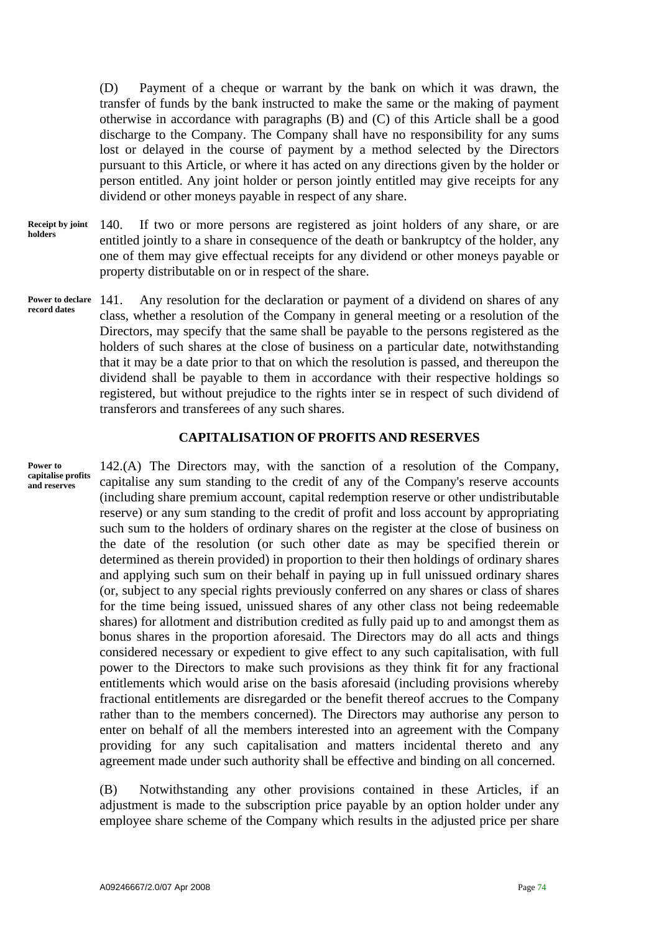<span id="page-74-0"></span>(D) Payment of a cheque or warrant by the bank on which it was drawn, the transfer of funds by the bank instructed to make the same or the making of payment otherwise in accordance with paragraphs (B) and (C) of this Article shall be a good discharge to the Company. The Company shall have no responsibility for any sums lost or delayed in the course of payment by a method selected by the Directors pursuant to this Article, or where it has acted on any directions given by the holder or person entitled. Any joint holder or person jointly entitled may give receipts for any dividend or other moneys payable in respect of any share.

- 140. If two or more persons are registered as joint holders of any share, or are entitled jointly to a share in consequence of the death or bankruptcy of the holder, any one of them may give effectual receipts for any dividend or other moneys payable or property distributable on or in respect of the share. **Receipt by joint holders**
- 141. Any resolution for the declaration or payment of a dividend on shares of any class, whether a resolution of the Company in general meeting or a resolution of the Directors, may specify that the same shall be payable to the persons registered as the holders of such shares at the close of business on a particular date, notwithstanding that it may be a date prior to that on which the resolution is passed, and thereupon the dividend shall be payable to them in accordance with their respective holdings so registered, but without prejudice to the rights inter se in respect of such dividend of transferors and transferees of any such shares. **Power to declare record dates**

#### **CAPITALISATION OF PROFITS AND RESERVES**

142.(A) The Directors may, with the sanction of a resolution of the Company, capitalise any sum standing to the credit of any of the Company's reserve accounts (including share premium account, capital redemption reserve or other undistributable reserve) or any sum standing to the credit of profit and loss account by appropriating such sum to the holders of ordinary shares on the register at the close of business on the date of the resolution (or such other date as may be specified therein or determined as therein provided) in proportion to their then holdings of ordinary shares and applying such sum on their behalf in paying up in full unissued ordinary shares (or, subject to any special rights previously conferred on any shares or class of shares for the time being issued, unissued shares of any other class not being redeemable shares) for allotment and distribution credited as fully paid up to and amongst them as bonus shares in the proportion aforesaid. The Directors may do all acts and things considered necessary or expedient to give effect to any such capitalisation, with full power to the Directors to make such provisions as they think fit for any fractional entitlements which would arise on the basis aforesaid (including provisions whereby fractional entitlements are disregarded or the benefit thereof accrues to the Company rather than to the members concerned). The Directors may authorise any person to enter on behalf of all the members interested into an agreement with the Company providing for any such capitalisation and matters incidental thereto and any agreement made under such authority shall be effective and binding on all concerned.

(B) Notwithstanding any other provisions contained in these Articles, if an adjustment is made to the subscription price payable by an option holder under any employee share scheme of the Company which results in the adjusted price per share

**Power to capitalise profits and reserves**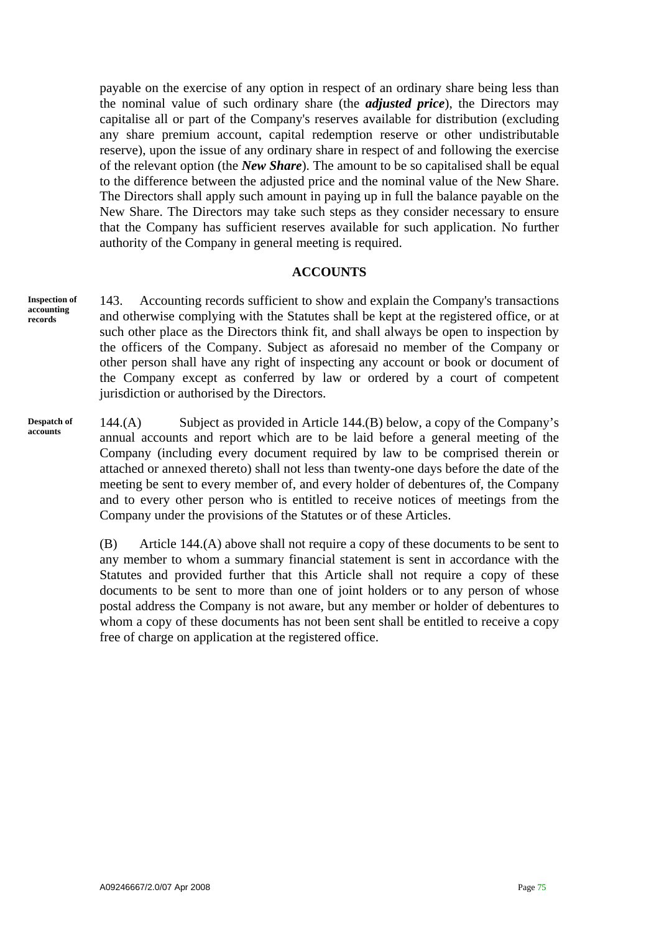<span id="page-75-0"></span>payable on the exercise of any option in respect of an ordinary share being less than the nominal value of such ordinary share (the *adjusted price*), the Directors may capitalise all or part of the Company's reserves available for distribution (excluding any share premium account, capital redemption reserve or other undistributable reserve), upon the issue of any ordinary share in respect of and following the exercise of the relevant option (the *New Share*). The amount to be so capitalised shall be equal to the difference between the adjusted price and the nominal value of the New Share. The Directors shall apply such amount in paying up in full the balance payable on the New Share. The Directors may take such steps as they consider necessary to ensure that the Company has sufficient reserves available for such application. No further authority of the Company in general meeting is required.

#### **ACCOUNTS**

**Inspection of accounting records** 

143. Accounting records sufficient to show and explain the Company's transactions and otherwise complying with the Statutes shall be kept at the registered office, or at such other place as the Directors think fit, and shall always be open to inspection by the officers of the Company. Subject as aforesaid no member of the Company or other person shall have any right of inspecting any account or book or document of the Company except as conferred by law or ordered by a court of competent jurisdiction or authorised by the Directors.

144.(A) Subject as provided in Article 144.(B) below, a copy of the Company's annual accounts and report which are to be laid before a general meeting of the Company (including every document required by law to be comprised therein or attached or annexed thereto) shall not less than twenty-one days before the date of the meeting be sent to every member of, and every holder of debentures of, the Company and to every other person who is entitled to receive notices of meetings from the Company under the provisions of the Statutes or of these Articles. **Despatch of accounts** 

> (B) Article 144.(A) above shall not require a copy of these documents to be sent to any member to whom a summary financial statement is sent in accordance with the Statutes and provided further that this Article shall not require a copy of these documents to be sent to more than one of joint holders or to any person of whose postal address the Company is not aware, but any member or holder of debentures to whom a copy of these documents has not been sent shall be entitled to receive a copy free of charge on application at the registered office.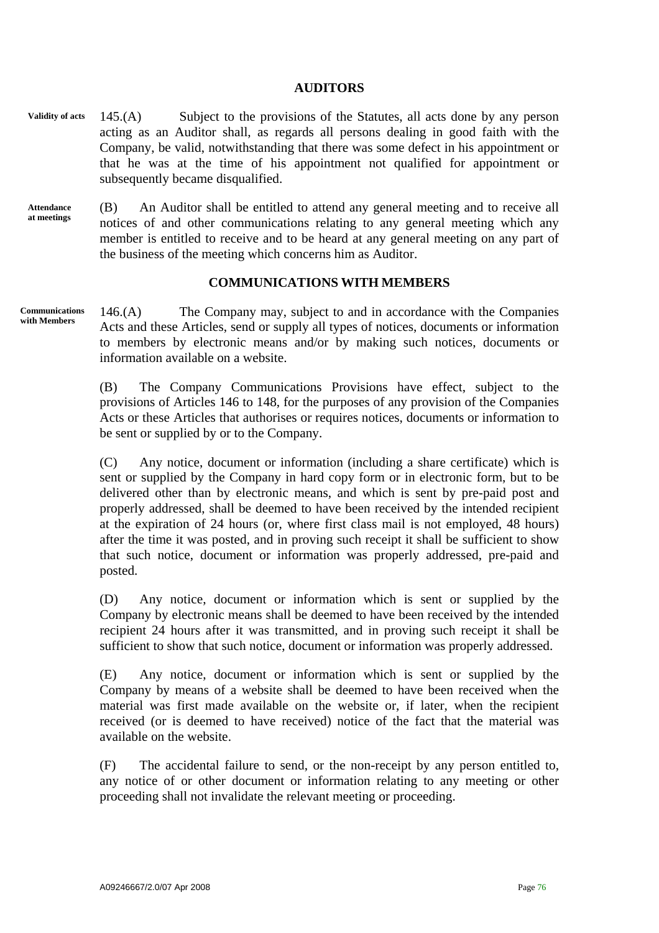#### **AUDITORS**

- <span id="page-76-0"></span>145.(A) Subject to the provisions of the Statutes, all acts done by any person acting as an Auditor shall, as regards all persons dealing in good faith with the Company, be valid, notwithstanding that there was some defect in his appointment or that he was at the time of his appointment not qualified for appointment or subsequently became disqualified. **Validity of acts**
- **Attendance at meetings**  (B) An Auditor shall be entitled to attend any general meeting and to receive all notices of and other communications relating to any general meeting which any member is entitled to receive and to be heard at any general meeting on any part of the business of the meeting which concerns him as Auditor.

#### **COMMUNICATIONS WITH MEMBERS**

146.(A) The Company may, subject to and in accordance with the Companies Acts and these Articles, send or supply all types of notices, documents or information to members by electronic means and/or by making such notices, documents or information available on a website. **Communications with Members** 

> (B) The Company Communications Provisions have effect, subject to the provisions of Articles 146 to 148, for the purposes of any provision of the Companies Acts or these Articles that authorises or requires notices, documents or information to be sent or supplied by or to the Company.

> (C) Any notice, document or information (including a share certificate) which is sent or supplied by the Company in hard copy form or in electronic form, but to be delivered other than by electronic means, and which is sent by pre-paid post and properly addressed, shall be deemed to have been received by the intended recipient at the expiration of 24 hours (or, where first class mail is not employed, 48 hours) after the time it was posted, and in proving such receipt it shall be sufficient to show that such notice, document or information was properly addressed, pre-paid and posted.

> (D) Any notice, document or information which is sent or supplied by the Company by electronic means shall be deemed to have been received by the intended recipient 24 hours after it was transmitted, and in proving such receipt it shall be sufficient to show that such notice, document or information was properly addressed.

> (E) Any notice, document or information which is sent or supplied by the Company by means of a website shall be deemed to have been received when the material was first made available on the website or, if later, when the recipient received (or is deemed to have received) notice of the fact that the material was available on the website.

> (F) The accidental failure to send, or the non-receipt by any person entitled to, any notice of or other document or information relating to any meeting or other proceeding shall not invalidate the relevant meeting or proceeding.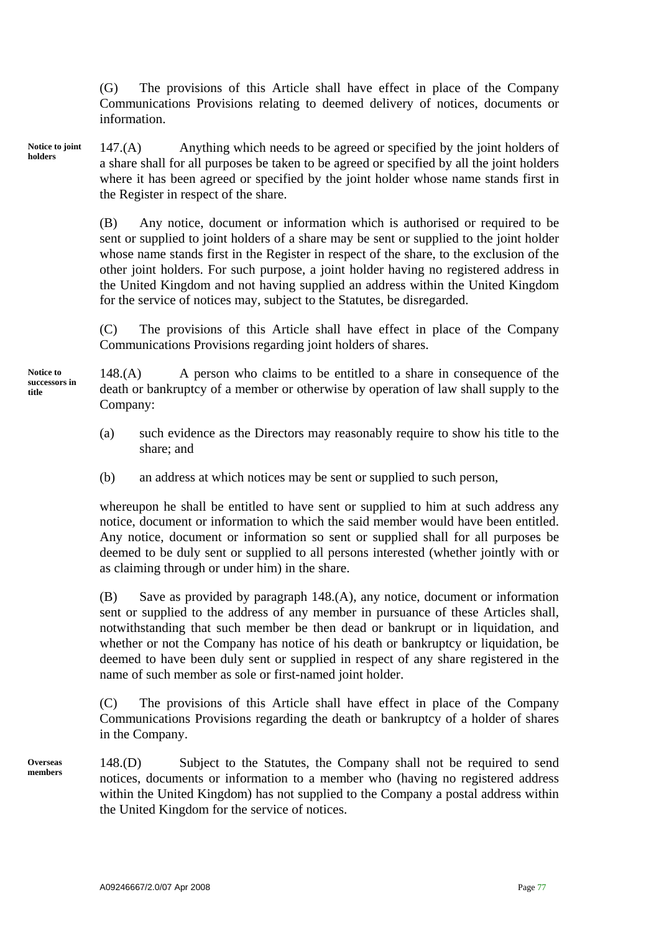(G) The provisions of this Article shall have effect in place of the Company Communications Provisions relating to deemed delivery of notices, documents or information.

147.(A) Anything which needs to be agreed or specified by the joint holders of a share shall for all purposes be taken to be agreed or specified by all the joint holders where it has been agreed or specified by the joint holder whose name stands first in the Register in respect of the share. **Notice to joint holders** 

> (B) Any notice, document or information which is authorised or required to be sent or supplied to joint holders of a share may be sent or supplied to the joint holder whose name stands first in the Register in respect of the share, to the exclusion of the other joint holders. For such purpose, a joint holder having no registered address in the United Kingdom and not having supplied an address within the United Kingdom for the service of notices may, subject to the Statutes, be disregarded.

> (C) The provisions of this Article shall have effect in place of the Company Communications Provisions regarding joint holders of shares.

148.(A) A person who claims to be entitled to a share in consequence of the death or bankruptcy of a member or otherwise by operation of law shall supply to the Company:

- (a) such evidence as the Directors may reasonably require to show his title to the share; and
- (b) an address at which notices may be sent or supplied to such person,

whereupon he shall be entitled to have sent or supplied to him at such address any notice, document or information to which the said member would have been entitled. Any notice, document or information so sent or supplied shall for all purposes be deemed to be duly sent or supplied to all persons interested (whether jointly with or as claiming through or under him) in the share.

(B) Save as provided by paragraph 148.(A), any notice, document or information sent or supplied to the address of any member in pursuance of these Articles shall, notwithstanding that such member be then dead or bankrupt or in liquidation, and whether or not the Company has notice of his death or bankruptcy or liquidation, be deemed to have been duly sent or supplied in respect of any share registered in the name of such member as sole or first-named joint holder.

(C) The provisions of this Article shall have effect in place of the Company Communications Provisions regarding the death or bankruptcy of a holder of shares in the Company.

148.(D) Subject to the Statutes, the Company shall not be required to send notices, documents or information to a member who (having no registered address within the United Kingdom) has not supplied to the Company a postal address within the United Kingdom for the service of notices.

**Notice to successors in title** 

**Overseas members**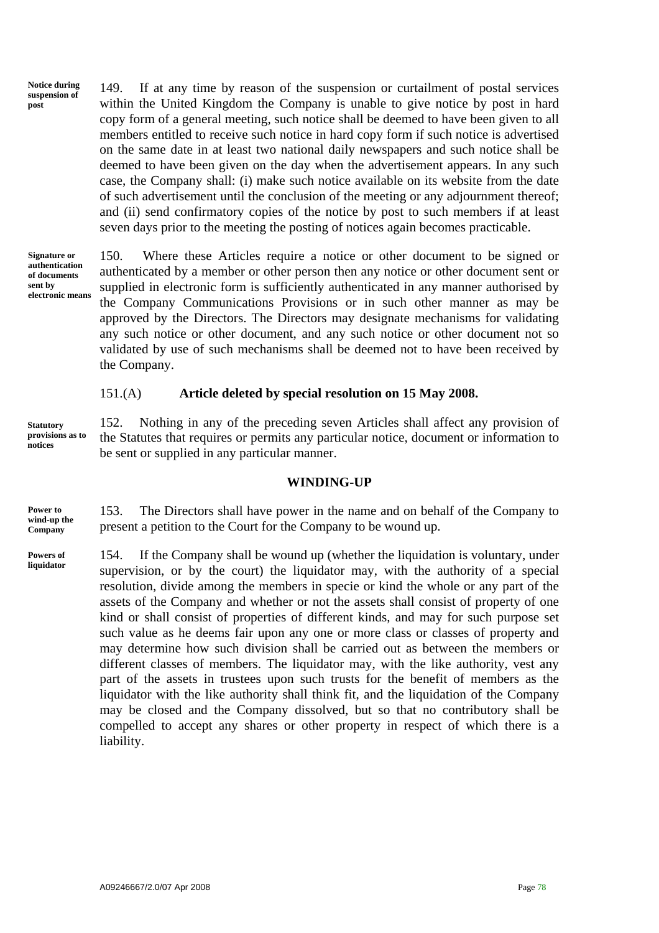<span id="page-78-0"></span>**Notice during suspension of post** 

149. If at any time by reason of the suspension or curtailment of postal services within the United Kingdom the Company is unable to give notice by post in hard copy form of a general meeting, such notice shall be deemed to have been given to all members entitled to receive such notice in hard copy form if such notice is advertised on the same date in at least two national daily newspapers and such notice shall be deemed to have been given on the day when the advertisement appears. In any such case, the Company shall: (i) make such notice available on its website from the date of such advertisement until the conclusion of the meeting or any adjournment thereof; and (ii) send confirmatory copies of the notice by post to such members if at least seven days prior to the meeting the posting of notices again becomes practicable.

**Signature or authentication of documents sent by electronic means** 

150. Where these Articles require a notice or other document to be signed or authenticated by a member or other person then any notice or other document sent or supplied in electronic form is sufficiently authenticated in any manner authorised by the Company Communications Provisions or in such other manner as may be approved by the Directors. The Directors may designate mechanisms for validating any such notice or other document, and any such notice or other document not so validated by use of such mechanisms shall be deemed not to have been received by the Company.

#### 151.(A) **Article deleted by special resolution on 15 May 2008.**

**Statutory provisions as to notices** 

152. Nothing in any of the preceding seven Articles shall affect any provision of the Statutes that requires or permits any particular notice, document or information to be sent or supplied in any particular manner.

#### **WINDING-UP**

**Power to wind-up the Company** 

153. The Directors shall have power in the name and on behalf of the Company to present a petition to the Court for the Company to be wound up.

154. If the Company shall be wound up (whether the liquidation is voluntary, under supervision, or by the court) the liquidator may, with the authority of a special resolution, divide among the members in specie or kind the whole or any part of the assets of the Company and whether or not the assets shall consist of property of one kind or shall consist of properties of different kinds, and may for such purpose set such value as he deems fair upon any one or more class or classes of property and may determine how such division shall be carried out as between the members or different classes of members. The liquidator may, with the like authority, vest any part of the assets in trustees upon such trusts for the benefit of members as the liquidator with the like authority shall think fit, and the liquidation of the Company may be closed and the Company dissolved, but so that no contributory shall be compelled to accept any shares or other property in respect of which there is a liability. **Powers of liquidator**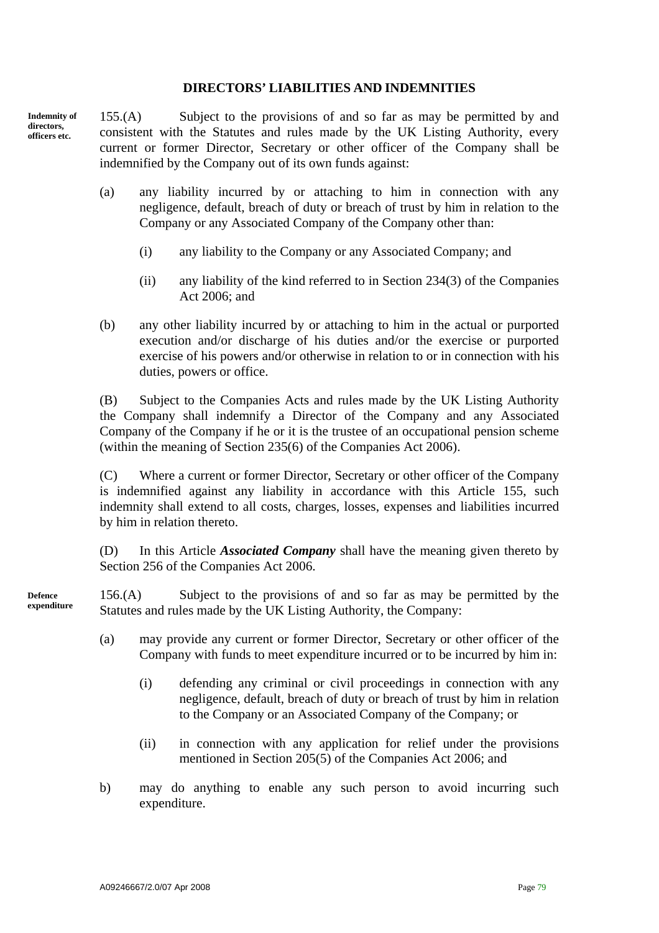#### **DIRECTORS' LIABILITIES AND INDEMNITIES**

<span id="page-79-0"></span>**Indemnity of directors, officers etc.** 

155.(A) Subject to the provisions of and so far as may be permitted by and consistent with the Statutes and rules made by the UK Listing Authority, every current or former Director, Secretary or other officer of the Company shall be indemnified by the Company out of its own funds against:

- (a) any liability incurred by or attaching to him in connection with any negligence, default, breach of duty or breach of trust by him in relation to the Company or any Associated Company of the Company other than:
	- (i) any liability to the Company or any Associated Company; and
	- (ii) any liability of the kind referred to in Section 234(3) of the Companies Act 2006; and
- (b) any other liability incurred by or attaching to him in the actual or purported execution and/or discharge of his duties and/or the exercise or purported exercise of his powers and/or otherwise in relation to or in connection with his duties, powers or office.

(B) Subject to the Companies Acts and rules made by the UK Listing Authority the Company shall indemnify a Director of the Company and any Associated Company of the Company if he or it is the trustee of an occupational pension scheme (within the meaning of Section 235(6) of the Companies Act 2006).

(C) Where a current or former Director, Secretary or other officer of the Company is indemnified against any liability in accordance with this Article 155, such indemnity shall extend to all costs, charges, losses, expenses and liabilities incurred by him in relation thereto.

(D) In this Article *Associated Company* shall have the meaning given thereto by Section 256 of the Companies Act 2006.

156.(A) Subject to the provisions of and so far as may be permitted by the Statutes and rules made by the UK Listing Authority, the Company: **Defence expenditure** 

- (a) may provide any current or former Director, Secretary or other officer of the Company with funds to meet expenditure incurred or to be incurred by him in:
	- (i) defending any criminal or civil proceedings in connection with any negligence, default, breach of duty or breach of trust by him in relation to the Company or an Associated Company of the Company; or
	- (ii) in connection with any application for relief under the provisions mentioned in Section 205(5) of the Companies Act 2006; and
- b) may do anything to enable any such person to avoid incurring such expenditure.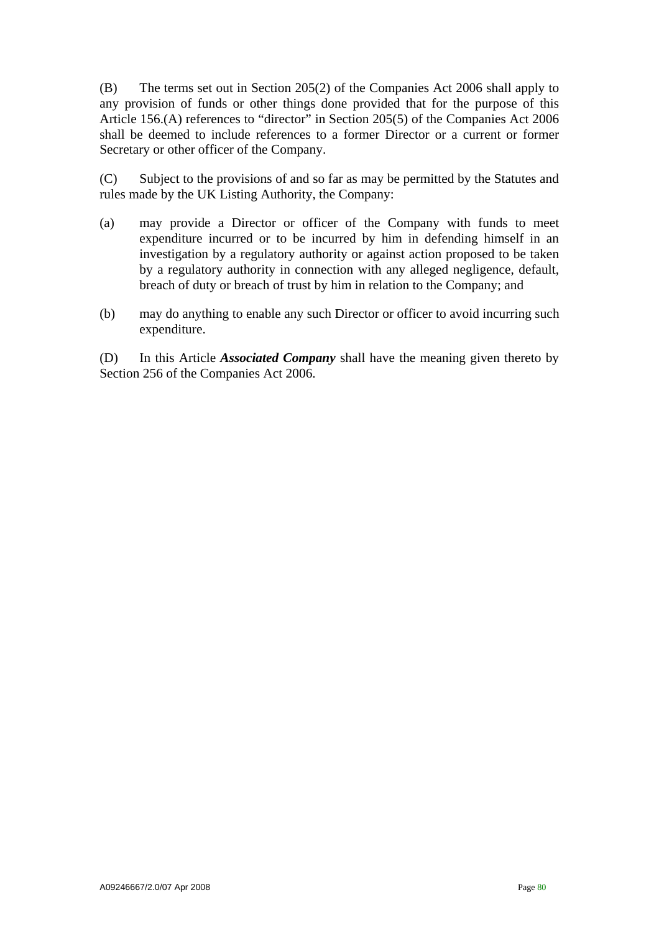(B) The terms set out in Section 205(2) of the Companies Act 2006 shall apply to any provision of funds or other things done provided that for the purpose of this Article 156.(A) references to "director" in Section 205(5) of the Companies Act 2006 shall be deemed to include references to a former Director or a current or former Secretary or other officer of the Company.

(C) Subject to the provisions of and so far as may be permitted by the Statutes and rules made by the UK Listing Authority, the Company:

- (a) may provide a Director or officer of the Company with funds to meet expenditure incurred or to be incurred by him in defending himself in an investigation by a regulatory authority or against action proposed to be taken by a regulatory authority in connection with any alleged negligence, default, breach of duty or breach of trust by him in relation to the Company; and
- (b) may do anything to enable any such Director or officer to avoid incurring such expenditure.

(D) In this Article *Associated Company* shall have the meaning given thereto by Section 256 of the Companies Act 2006.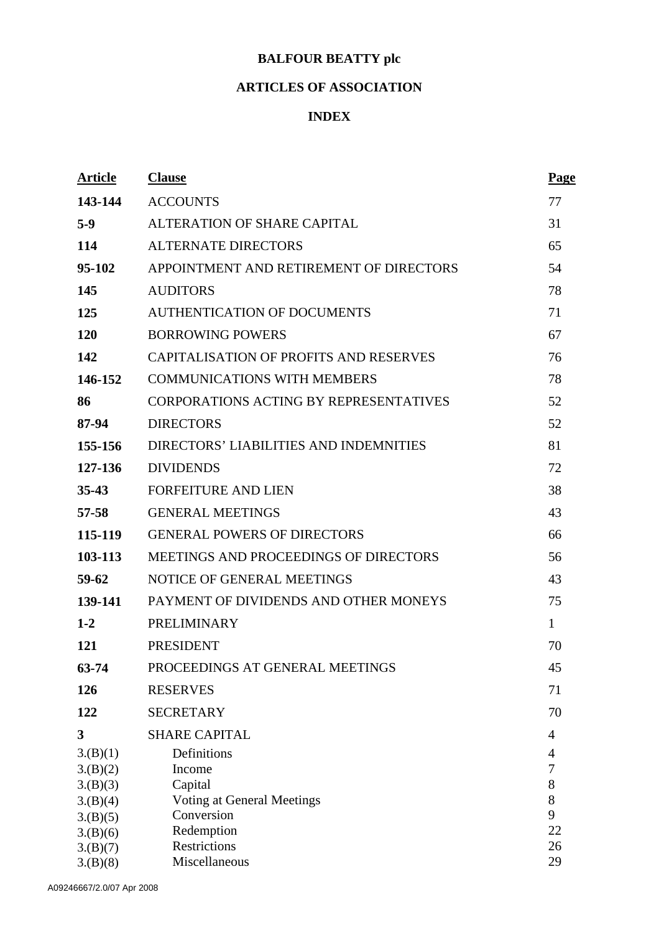# **BALFOUR BEATTY plc**

## **ARTICLES OF ASSOCIATION**

### **INDEX**

| <b>Article</b> | <b>Clause</b>                                 | <b>Page</b>    |
|----------------|-----------------------------------------------|----------------|
| 143-144        | <b>ACCOUNTS</b>                               | 77             |
| $5-9$          | ALTERATION OF SHARE CAPITAL                   | 31             |
| 114            | <b>ALTERNATE DIRECTORS</b>                    | 65             |
| 95-102         | APPOINTMENT AND RETIREMENT OF DIRECTORS       | 54             |
| 145            | <b>AUDITORS</b>                               | 78             |
| 125            | <b>AUTHENTICATION OF DOCUMENTS</b>            | 71             |
| <b>120</b>     | <b>BORROWING POWERS</b>                       | 67             |
| 142            | CAPITALISATION OF PROFITS AND RESERVES        | 76             |
| 146-152        | <b>COMMUNICATIONS WITH MEMBERS</b>            | 78             |
| 86             | <b>CORPORATIONS ACTING BY REPRESENTATIVES</b> | 52             |
| 87-94          | <b>DIRECTORS</b>                              | 52             |
| 155-156        | DIRECTORS' LIABILITIES AND INDEMNITIES        | 81             |
| 127-136        | <b>DIVIDENDS</b>                              | 72             |
| $35 - 43$      | <b>FORFEITURE AND LIEN</b>                    | 38             |
| 57-58          | <b>GENERAL MEETINGS</b>                       | 43             |
| 115-119        | <b>GENERAL POWERS OF DIRECTORS</b>            | 66             |
| 103-113        | MEETINGS AND PROCEEDINGS OF DIRECTORS         | 56             |
| $59 - 62$      | NOTICE OF GENERAL MEETINGS                    | 43             |
| 139-141        | PAYMENT OF DIVIDENDS AND OTHER MONEYS         | 75             |
| $1 - 2$        | <b>PRELIMINARY</b>                            | $\mathbf{1}$   |
| 121            | <b>PRESIDENT</b>                              | 70             |
| 63-74          | PROCEEDINGS AT GENERAL MEETINGS               | 45             |
| 126            | <b>RESERVES</b>                               | 71             |
| 122            | <b>SECRETARY</b>                              | 70             |
| 3              | <b>SHARE CAPITAL</b>                          | $\overline{4}$ |
| 3.(B)(1)       | Definitions                                   | $\overline{4}$ |
| 3.(B)(2)       | Income                                        | 7              |
| 3.(B)(3)       | Capital                                       | $8\,$          |
| 3.(B)(4)       | Voting at General Meetings                    | 8              |
| 3.(B)(5)       | Conversion                                    | 9              |
| 3.(B)(6)       | Redemption                                    | 22             |
| 3.(B)(7)       | Restrictions                                  | 26             |
| 3.(B)(8)       | Miscellaneous                                 | 29             |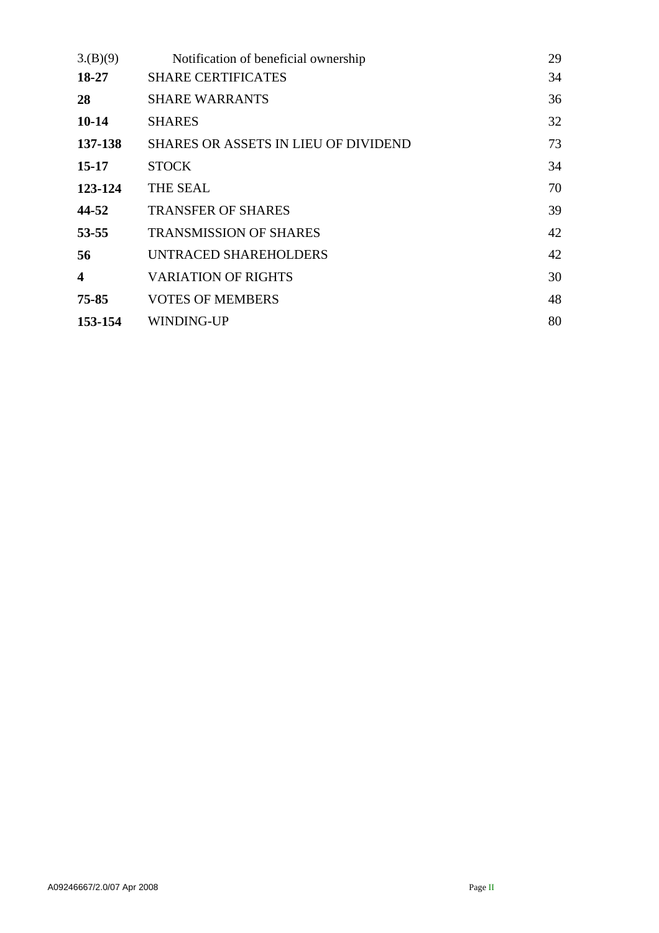| 3.(B)(9)                | Notification of beneficial ownership        | 29 |
|-------------------------|---------------------------------------------|----|
| 18-27                   | <b>SHARE CERTIFICATES</b>                   | 34 |
| 28                      | <b>SHARE WARRANTS</b>                       | 36 |
| $10 - 14$               | <b>SHARES</b>                               | 32 |
| 137-138                 | <b>SHARES OR ASSETS IN LIEU OF DIVIDEND</b> | 73 |
| $15 - 17$               | <b>STOCK</b>                                | 34 |
| 123-124                 | THE SEAL                                    | 70 |
| 44-52                   | <b>TRANSFER OF SHARES</b>                   | 39 |
| 53-55                   | <b>TRANSMISSION OF SHARES</b>               | 42 |
| 56                      | UNTRACED SHAREHOLDERS                       | 42 |
| $\overline{\mathbf{4}}$ | <b>VARIATION OF RIGHTS</b>                  | 30 |
| $75 - 85$               | <b>VOTES OF MEMBERS</b>                     | 48 |
| 153-154                 | WINDING-UP                                  | 80 |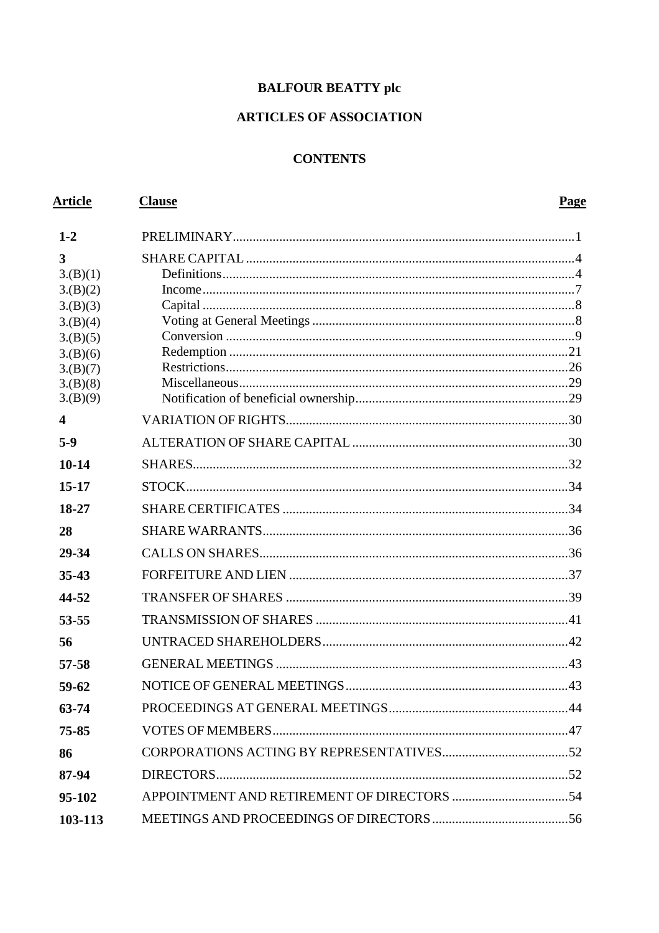## **BALFOUR BEATTY plc**

### **ARTICLES OF ASSOCIATION**

## **CONTENTS**

| <b>Article</b>          | <b>Clause</b> | <b>Page</b> |
|-------------------------|---------------|-------------|
| $1 - 2$                 |               |             |
| 3                       |               |             |
| 3.(B)(1)                |               |             |
| 3.(B)(2)                |               |             |
| 3.(B)(3)                |               |             |
| 3.(B)(4)<br>3.(B)(5)    |               |             |
| 3.(B)(6)                |               |             |
| 3.(B)(7)                |               |             |
| 3.(B)(8)                |               |             |
| 3.(B)(9)                |               |             |
| $\overline{\mathbf{4}}$ |               |             |
| $5-9$                   |               |             |
| $10 - 14$               |               |             |
| $15 - 17$               |               |             |
| 18-27                   |               |             |
| 28                      |               |             |
| 29-34                   |               |             |
| $35 - 43$               |               |             |
| 44-52                   |               |             |
| 53-55                   |               |             |
| 56                      |               |             |
| $57 - 58$               |               |             |
| 59-62                   |               |             |
| 63-74                   |               |             |
| 75-85                   |               |             |
| 86                      |               |             |
| 87-94                   |               |             |
| 95-102                  |               |             |
| 103-113                 |               |             |